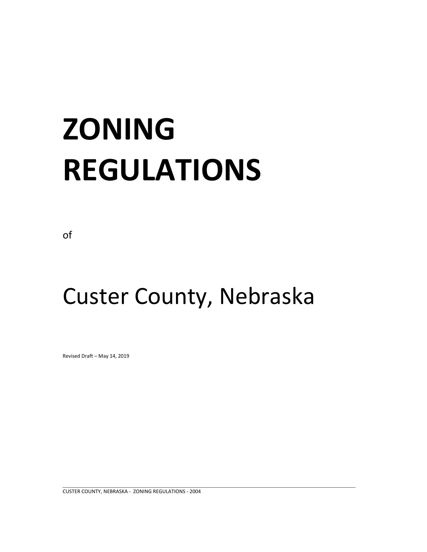# **ZONING REGULATIONS**

of

## Custer County, Nebraska

Revised Draft – May 14, 2019

CUSTER COUNTY, NEBRASKA ‐ ZONING REGULATIONS ‐ 2004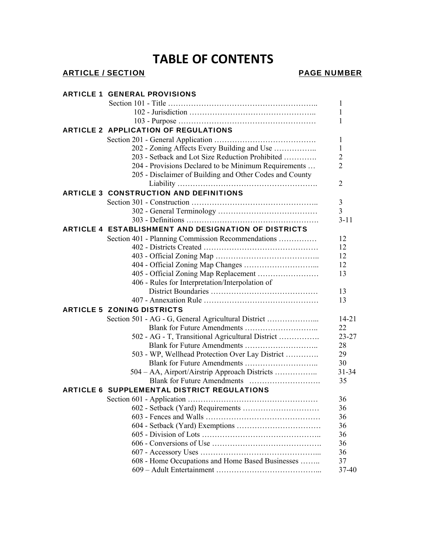## **TABLE OF CONTENTS**

## ARTICLE / SECTION **PAGE NUMBER**

| <b>ARTICLE 1 GENERAL PROVISIONS</b>                         |                |  |
|-------------------------------------------------------------|----------------|--|
|                                                             | 1              |  |
|                                                             | 1              |  |
|                                                             | 1              |  |
| <b>ARTICLE 2 APPLICATION OF REGULATIONS</b>                 |                |  |
|                                                             | 1              |  |
| 202 - Zoning Affects Every Building and Use                 | 1              |  |
| 203 - Setback and Lot Size Reduction Prohibited             | $\overline{2}$ |  |
| 204 - Provisions Declared to be Minimum Requirements        | $\overline{2}$ |  |
| 205 - Disclaimer of Building and Other Codes and County     | 2              |  |
| <b>ARTICLE 3 CONSTRUCTION AND DEFINITIONS</b>               |                |  |
|                                                             | 3              |  |
|                                                             | $\overline{3}$ |  |
|                                                             | $3 - 11$       |  |
| <b>ARTICLE 4 ESTABLISHMENT AND DESIGNATION OF DISTRICTS</b> |                |  |
| Section 401 - Planning Commission Recommendations           | 12             |  |
|                                                             | 12             |  |
|                                                             | 12             |  |
|                                                             | 12             |  |
| 405 - Official Zoning Map Replacement                       | 13             |  |
| 406 - Rules for Interpretation/Interpolation of             |                |  |
|                                                             | 13             |  |
|                                                             | 13             |  |
| <b>ARTICLE 5 ZONING DISTRICTS</b>                           |                |  |
| Section 501 - AG - G, General Agricultural District         | $14 - 21$      |  |
|                                                             | 22             |  |
| 502 - AG - T, Transitional Agricultural District            | $23 - 27$      |  |
|                                                             | 28             |  |
| 503 - WP, Wellhead Protection Over Lay District             | 29             |  |
|                                                             | 30             |  |
| 504 - AA, Airport/Airstrip Approach Districts               | $31 - 34$      |  |
|                                                             | 35             |  |
| <b>ARTICLE 6 SUPPLEMENTAL DISTRICT REGULATIONS</b>          |                |  |
|                                                             | 36             |  |
|                                                             | 36             |  |
|                                                             | 36             |  |
|                                                             | 36             |  |
|                                                             | 36             |  |
|                                                             | 36             |  |
|                                                             | 36             |  |
| 608 - Home Occupations and Home Based Businesses            | 37             |  |
|                                                             | 37-40          |  |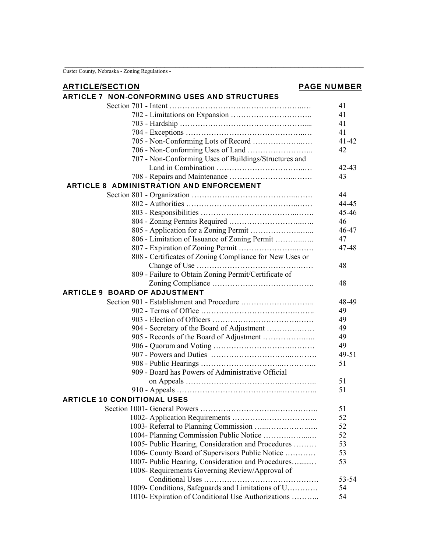Custer County, Nebraska - Zoning Regulations -

## ARTICLE/SECTION **PAGE NUMBER**

## ARTICLE 7 NON-CONFORMING USES AND STRUCTURES

| 80 HVLL 1 | <u>NUN-CUNFURNINU UJEJ AND JI RUCTURES</u>              |           |
|-----------|---------------------------------------------------------|-----------|
|           |                                                         | 41        |
|           |                                                         | 41        |
|           |                                                         | 41        |
|           |                                                         | 41        |
|           |                                                         | $41 - 42$ |
|           |                                                         | 42        |
|           | 707 - Non-Conforming Uses of Buildings/Structures and   |           |
|           |                                                         | 42-43     |
|           |                                                         | 43        |
|           |                                                         |           |
|           | <b>ARTICLE 8 ADMINISTRATION AND ENFORCEMENT</b>         |           |
|           |                                                         | 44        |
|           |                                                         | 44-45     |
|           |                                                         | 45-46     |
|           |                                                         | 46        |
|           |                                                         | 46-47     |
|           | 806 - Limitation of Issuance of Zoning Permit           | 47        |
|           |                                                         | 47-48     |
|           | 808 - Certificates of Zoning Compliance for New Uses or |           |
|           |                                                         | 48        |
|           | 809 - Failure to Obtain Zoning Permit/Certificate of    |           |
|           |                                                         | 48        |
|           | <b>ARTICLE 9 BOARD OF ADJUSTMENT</b>                    |           |
|           |                                                         | 48-49     |
|           |                                                         | 49        |
|           |                                                         | 49        |
|           | 904 - Secretary of the Board of Adjustment              | 49        |
|           | 905 - Records of the Board of Adjustment                | 49        |
|           |                                                         | 49        |
|           |                                                         |           |
|           |                                                         | $49 - 51$ |
|           |                                                         | 51        |
|           | 909 - Board has Powers of Administrative Official       |           |
|           |                                                         | 51        |
|           |                                                         | 51        |
|           | <b>ARTICLE 10 CONDITIONAL USES</b>                      |           |
|           | Section 1001 - General Powers                           | 51        |
|           |                                                         | 52        |
|           | 1003- Referral to Planning Commission                   | 52        |
|           | 1004- Planning Commission Public Notice                 | 52        |
|           | 1005- Public Hearing, Consideration and Procedures      | 53        |
|           | 1006- County Board of Supervisors Public Notice         | 53        |
|           | 1007- Public Hearing, Consideration and Procedures      | 53        |
|           | 1008- Requirements Governing Review/Approval of         |           |
|           |                                                         | 53-54     |
|           | 1009- Conditions, Safeguards and Limitations of U       | 54        |
|           | 1010- Expiration of Conditional Use Authorizations      | 54        |
|           |                                                         |           |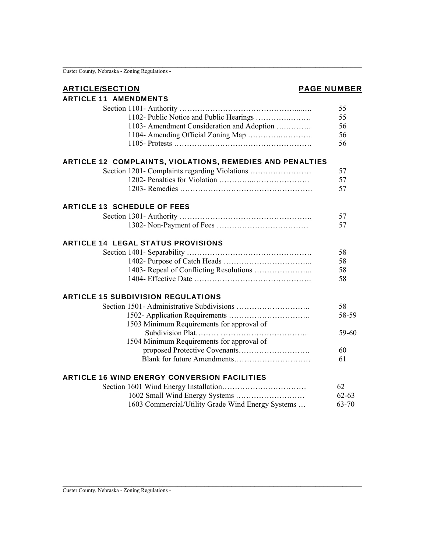$\overline{\text{Custer County, Nebraska - Zoning Regulations -}}$ 

### ARTICLE/SECTION **PAGE NUMBER**

| <b>ARTICLE 11 AMENDMENTS</b>                                     |           |
|------------------------------------------------------------------|-----------|
|                                                                  | 55        |
| 1102- Public Notice and Public Hearings                          | 55        |
| 1103- Amendment Consideration and Adoption                       | 56        |
| 1104- Amending Official Zoning Map                               | 56        |
|                                                                  | 56        |
| <b>ARTICLE 12 COMPLAINTS, VIOLATIONS, REMEDIES AND PENALTIES</b> |           |
| Section 1201- Complaints regarding Violations                    | 57        |
|                                                                  | 57        |
|                                                                  | 57        |
| <b>ARTICLE 13 SCHEDULE OF FEES</b>                               |           |
|                                                                  | 57        |
|                                                                  | 57        |
| <b>ARTICLE 14 LEGAL STATUS PROVISIONS</b>                        |           |
|                                                                  | 58        |
|                                                                  | 58        |
|                                                                  | 58        |
|                                                                  | 58        |
| <b>ARTICLE 15 SUBDIVISION REGULATIONS</b>                        |           |
|                                                                  | 58        |
|                                                                  | 58-59     |
| 1503 Minimum Requirements for approval of                        |           |
|                                                                  | 59-60     |
| 1504 Minimum Requirements for approval of                        |           |
|                                                                  | 60        |
|                                                                  | 61        |
| <b>ARTICLE 16 WIND ENERGY CONVERSION FACILITIES</b>              |           |
|                                                                  | 62        |
|                                                                  | $62 - 63$ |

1603 Commercial/Utility Grade Wind Energy Systems … 63-70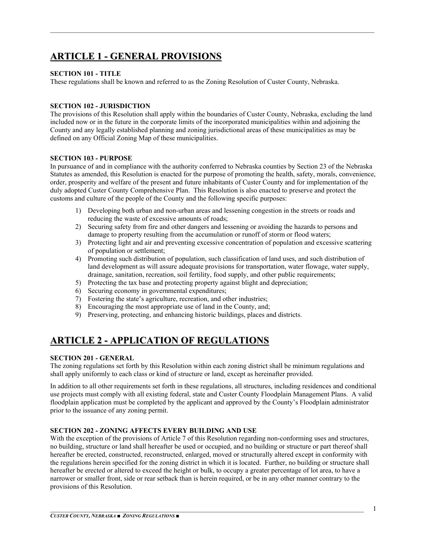## **ARTICLE 1 - GENERAL PROVISIONS**

#### **SECTION 101 - TITLE**

These regulations shall be known and referred to as the Zoning Resolution of Custer County, Nebraska.

#### **SECTION 102 - JURISDICTION**

The provisions of this Resolution shall apply within the boundaries of Custer County, Nebraska, excluding the land included now or in the future in the corporate limits of the incorporated municipalities within and adjoining the County and any legally established planning and zoning jurisdictional areas of these municipalities as may be defined on any Official Zoning Map of these municipalities.

 $\mathcal{L}_\mathcal{L} = \mathcal{L}_\mathcal{L} = \mathcal{L}_\mathcal{L} = \mathcal{L}_\mathcal{L} = \mathcal{L}_\mathcal{L} = \mathcal{L}_\mathcal{L} = \mathcal{L}_\mathcal{L} = \mathcal{L}_\mathcal{L} = \mathcal{L}_\mathcal{L} = \mathcal{L}_\mathcal{L} = \mathcal{L}_\mathcal{L} = \mathcal{L}_\mathcal{L} = \mathcal{L}_\mathcal{L} = \mathcal{L}_\mathcal{L} = \mathcal{L}_\mathcal{L} = \mathcal{L}_\mathcal{L} = \mathcal{L}_\mathcal{L}$ 

#### **SECTION 103 - PURPOSE**

In pursuance of and in compliance with the authority conferred to Nebraska counties by Section 23 of the Nebraska Statutes as amended, this Resolution is enacted for the purpose of promoting the health, safety, morals, convenience, order, prosperity and welfare of the present and future inhabitants of Custer County and for implementation of the duly adopted Custer County Comprehensive Plan. This Resolution is also enacted to preserve and protect the customs and culture of the people of the County and the following specific purposes:

- 1) Developing both urban and non-urban areas and lessening congestion in the streets or roads and reducing the waste of excessive amounts of roads;
- 2) Securing safety from fire and other dangers and lessening or avoiding the hazards to persons and damage to property resulting from the accumulation or runoff of storm or flood waters;
- 3) Protecting light and air and preventing excessive concentration of population and excessive scattering of population or settlement;
- 4) Promoting such distribution of population, such classification of land uses, and such distribution of land development as will assure adequate provisions for transportation, water flowage, water supply, drainage, sanitation, recreation, soil fertility, food supply, and other public requirements;
- 5) Protecting the tax base and protecting property against blight and depreciation;
- 6) Securing economy in governmental expenditures;
- 7) Fostering the state's agriculture, recreation, and other industries;
- 8) Encouraging the most appropriate use of land in the County, and;
- 9) Preserving, protecting, and enhancing historic buildings, places and districts.

## **ARTICLE 2 - APPLICATION OF REGULATIONS**

#### **SECTION 201 - GENERAL**

The zoning regulations set forth by this Resolution within each zoning district shall be minimum regulations and shall apply uniformly to each class or kind of structure or land, except as hereinafter provided.

In addition to all other requirements set forth in these regulations, all structures, including residences and conditional use projects must comply with all existing federal, state and Custer County Floodplain Management Plans. A valid floodplain application must be completed by the applicant and approved by the County's Floodplain administrator prior to the issuance of any zoning permit.

#### **SECTION 202 - ZONING AFFECTS EVERY BUILDING AND USE**

With the exception of the provisions of Article 7 of this Resolution regarding non-conforming uses and structures, no building, structure or land shall hereafter be used or occupied, and no building or structure or part thereof shall hereafter be erected, constructed, reconstructed, enlarged, moved or structurally altered except in conformity with the regulations herein specified for the zoning district in which it is located. Further, no building or structure shall hereafter be erected or altered to exceed the height or bulk, to occupy a greater percentage of lot area, to have a narrower or smaller front, side or rear setback than is herein required, or be in any other manner contrary to the provisions of this Resolution.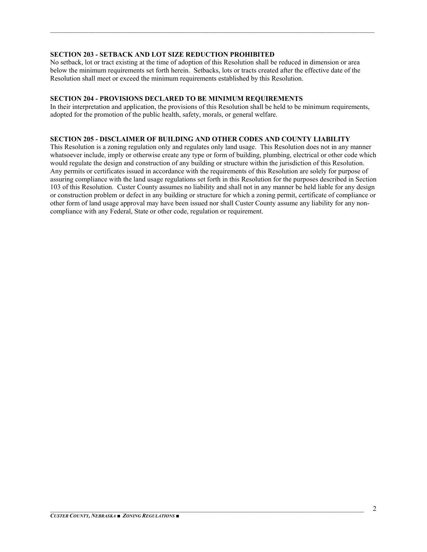#### **SECTION 203 - SETBACK AND LOT SIZE REDUCTION PROHIBITED**

No setback, lot or tract existing at the time of adoption of this Resolution shall be reduced in dimension or area below the minimum requirements set forth herein. Setbacks, lots or tracts created after the effective date of the Resolution shall meet or exceed the minimum requirements established by this Resolution.

 $\mathcal{L}_\mathcal{L} = \mathcal{L}_\mathcal{L} = \mathcal{L}_\mathcal{L} = \mathcal{L}_\mathcal{L} = \mathcal{L}_\mathcal{L} = \mathcal{L}_\mathcal{L} = \mathcal{L}_\mathcal{L} = \mathcal{L}_\mathcal{L} = \mathcal{L}_\mathcal{L} = \mathcal{L}_\mathcal{L} = \mathcal{L}_\mathcal{L} = \mathcal{L}_\mathcal{L} = \mathcal{L}_\mathcal{L} = \mathcal{L}_\mathcal{L} = \mathcal{L}_\mathcal{L} = \mathcal{L}_\mathcal{L} = \mathcal{L}_\mathcal{L}$ 

#### **SECTION 204 - PROVISIONS DECLARED TO BE MINIMUM REQUIREMENTS**

In their interpretation and application, the provisions of this Resolution shall be held to be minimum requirements, adopted for the promotion of the public health, safety, morals, or general welfare.

#### **SECTION 205 - DISCLAIMER OF BUILDING AND OTHER CODES AND COUNTY LIABILITY**

This Resolution is a zoning regulation only and regulates only land usage. This Resolution does not in any manner whatsoever include, imply or otherwise create any type or form of building, plumbing, electrical or other code which would regulate the design and construction of any building or structure within the jurisdiction of this Resolution. Any permits or certificates issued in accordance with the requirements of this Resolution are solely for purpose of assuring compliance with the land usage regulations set forth in this Resolution for the purposes described in Section 103 of this Resolution. Custer County assumes no liability and shall not in any manner be held liable for any design or construction problem or defect in any building or structure for which a zoning permit, certificate of compliance or other form of land usage approval may have been issued nor shall Custer County assume any liability for any noncompliance with any Federal, State or other code, regulation or requirement.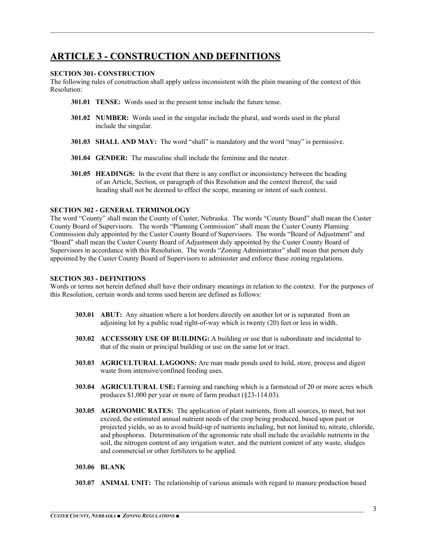## **ARTICLE 3 - CONSTRUCTION AND DEFINITIONS**

#### **SECTION 301- CONSTRUCTION**

The following rules of construction shall apply unless inconsistent with the plain meaning of the context of this Resolution:

 $\mathcal{L}_\mathcal{L} = \mathcal{L}_\mathcal{L} = \mathcal{L}_\mathcal{L} = \mathcal{L}_\mathcal{L} = \mathcal{L}_\mathcal{L} = \mathcal{L}_\mathcal{L} = \mathcal{L}_\mathcal{L} = \mathcal{L}_\mathcal{L} = \mathcal{L}_\mathcal{L} = \mathcal{L}_\mathcal{L} = \mathcal{L}_\mathcal{L} = \mathcal{L}_\mathcal{L} = \mathcal{L}_\mathcal{L} = \mathcal{L}_\mathcal{L} = \mathcal{L}_\mathcal{L} = \mathcal{L}_\mathcal{L} = \mathcal{L}_\mathcal{L}$ 

- **301.01 TENSE:** Words used in the present tense include the future tense.
- **301.02 NUMBER:** Words used in the singular include the plural, and words used in the plural include the singular.
- **301.03 SHALL AND MAY:** The word "shall" is mandatory and the word "may" is permissive.
- **301.04 GENDER:** The masculine shall include the feminine and the neuter.
- **301.05 HEADINGS:** In the event that there is any conflict or inconsistency between the heading of an Article, Section, or paragraph of this Resolution and the context thereof, the said heading shall not be deemed to effect the scope, meaning or intent of such context.

#### **SECTION 302 - GENERAL TERMINOLOGY**

The word "County" shall mean the County of Custer, Nebraska. The words "County Board" shall mean the Custer County Board of Supervisors. The words "Planning Commission" shall mean the Custer County Planning Commission duly appointed by the Custer County Board of Supervisors. The words "Board of Adjustment" and "Board" shall mean the Custer County Board of Adjustment duly appointed by the Custer County Board of Supervisors in accordance with this Resolution. The words "Zoning Administrator" shall mean that person duly appointed by the Custer County Board of Supervisors to administer and enforce these zoning regulations.

#### **SECTION 303 - DEFINITIONS**

Words or terms not herein defined shall have their ordinary meanings in relation to the context. For the purposes of this Resolution, certain words and terms used herein are defined as follows:

- **303.01 ABUT:** Any situation where a lot borders directly on another lot or is separated from an adjoining lot by a public road right-of-way which is twenty (20) feet or less in width.
- **303.02 ACCESSORY USE OF BUILDING:** A building or use that is subordinate and incidental to that of the main or principal building or use on the same lot or tract.
- **303.03 AGRICULTURAL LAGOONS:** Are man made ponds used to hold, store, process and digest waste from intensive/confined feeding uses.
- **303.04 AGRICULTURAL USE:** Farming and ranching which is a farmstead of 20 or more acres which produces \$1,000 per year or more of farm product (§23-114.03).
- **303.05 AGRONOMIC RATES:** The application of plant nutrients, from all sources, to meet, but not exceed, the estimated annual nutrient needs of the crop being produced, based upon past or projected yields, so as to avoid build-up of nutrients including, but not limited to, nitrate, chloride, and phosphorus. Determination of the agronomic rate shall include the available nutrients in the soil, the nitrogen content of any irrigation water, and the nutrient content of any waste, sludges and commercial or other fertilizers to be applied.

#### **303.06 BLANK**

**303.07 ANIMAL UNIT:** The relationship of various animals with regard to manure production based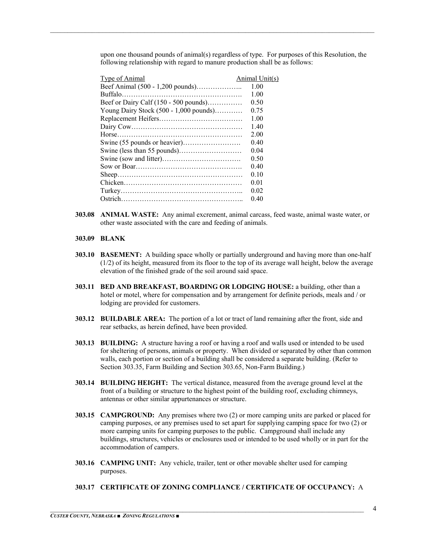upon one thousand pounds of animal(s) regardless of type. For purposes of this Resolution, the following relationship with regard to manure production shall be as follows:

| <b>Type of Animal</b>                    | Animal Unit(s) |
|------------------------------------------|----------------|
| Beef Animal (500 - 1,200 pounds)         | 1.00           |
|                                          | 1.00           |
| Beef or Dairy Calf $(150 - 500$ pounds)  | 0.50           |
| Young Dairy Stock $(500 - 1,000$ pounds) | 0.75           |
|                                          | 1.00           |
|                                          | 1.40           |
|                                          | 2.00           |
|                                          | 0.40           |
|                                          | 0.04           |
|                                          | 0.50           |
|                                          | 0.40           |
|                                          | 0.10           |
|                                          | 0.01           |
|                                          | 0.02           |
| Ostrich                                  | 0.40           |
|                                          |                |

- **303.08 ANIMAL WASTE:** Any animal excrement, animal carcass, feed waste, animal waste water, or other waste associated with the care and feeding of animals.
- **303.09 BLANK**
- **303.10 BASEMENT:** A building space wholly or partially underground and having more than one-half (1/2) of its height, measured from its floor to the top of its average wall height, below the average elevation of the finished grade of the soil around said space.
- **303.11 BED AND BREAKFAST, BOARDING OR LODGING HOUSE:** a building, other than a hotel or motel, where for compensation and by arrangement for definite periods, meals and / or lodging are provided for customers.
- **303.12 BUILDABLE AREA:** The portion of a lot or tract of land remaining after the front, side and rear setbacks, as herein defined, have been provided.
- **303.13 BUILDING:** A structure having a roof or having a roof and walls used or intended to be used for sheltering of persons, animals or property. When divided or separated by other than common walls, each portion or section of a building shall be considered a separate building. (Refer to Section 303.35, Farm Building and Section 303.65, Non-Farm Building.)
- **303.14 BUILDING HEIGHT:** The vertical distance, measured from the average ground level at the front of a building or structure to the highest point of the building roof, excluding chimneys, antennas or other similar appurtenances or structure.
- **303.15 CAMPGROUND:** Any premises where two (2) or more camping units are parked or placed for camping purposes, or any premises used to set apart for supplying camping space for two (2) or more camping units for camping purposes to the public. Campground shall include any buildings, structures, vehicles or enclosures used or intended to be used wholly or in part for the accommodation of campers.
- **303.16 CAMPING UNIT:** Any vehicle, trailer, tent or other movable shelter used for camping purposes.
- **303.17 CERTIFICATE OF ZONING COMPLIANCE / CERTIFICATE OF OCCUPANCY:** A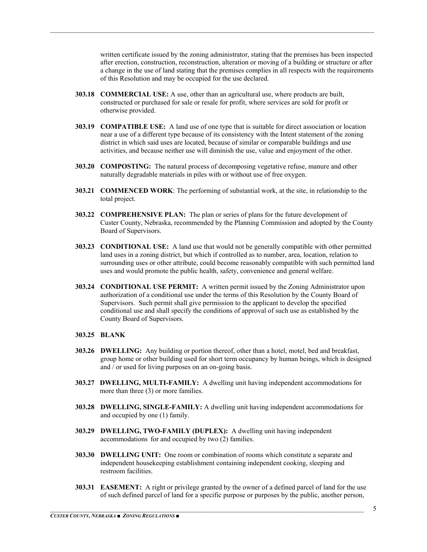written certificate issued by the zoning administrator, stating that the premises has been inspected after erection, construction, reconstruction, alteration or moving of a building or structure or after a change in the use of land stating that the premises complies in all respects with the requirements of this Resolution and may be occupied for the use declared.

**303.18 COMMERCIAL USE:** A use, other than an agricultural use, where products are built, constructed or purchased for sale or resale for profit, where services are sold for profit or otherwise provided.

 $\mathcal{L}_\mathcal{L} = \mathcal{L}_\mathcal{L} = \mathcal{L}_\mathcal{L} = \mathcal{L}_\mathcal{L} = \mathcal{L}_\mathcal{L} = \mathcal{L}_\mathcal{L} = \mathcal{L}_\mathcal{L} = \mathcal{L}_\mathcal{L} = \mathcal{L}_\mathcal{L} = \mathcal{L}_\mathcal{L} = \mathcal{L}_\mathcal{L} = \mathcal{L}_\mathcal{L} = \mathcal{L}_\mathcal{L} = \mathcal{L}_\mathcal{L} = \mathcal{L}_\mathcal{L} = \mathcal{L}_\mathcal{L} = \mathcal{L}_\mathcal{L}$ 

- **303.19 COMPATIBLE USE:** A land use of one type that is suitable for direct association or location near a use of a different type because of its consistency with the Intent statement of the zoning district in which said uses are located, because of similar or comparable buildings and use activities, and because neither use will diminish the use, value and enjoyment of the other.
- **303.20 COMPOSTING:** The natural process of decomposing vegetative refuse, manure and other naturally degradable materials in piles with or without use of free oxygen.
- **303.21 COMMENCED WORK**: The performing of substantial work, at the site, in relationship to the total project.
- **303.22 COMPREHENSIVE PLAN:** The plan or series of plans for the future development of Custer County, Nebraska, recommended by the Planning Commission and adopted by the County Board of Supervisors.
- **303.23 CONDITIONAL USE:** A land use that would not be generally compatible with other permitted land uses in a zoning district, but which if controlled as to number, area, location, relation to surrounding uses or other attribute, could become reasonably compatible with such permitted land uses and would promote the public health, safety, convenience and general welfare.
- **303.24 CONDITIONAL USE PERMIT:** A written permit issued by the Zoning Administrator upon authorization of a conditional use under the terms of this Resolution by the County Board of Supervisors. Such permit shall give permission to the applicant to develop the specified conditional use and shall specify the conditions of approval of such use as established by the County Board of Supervisors.

#### **303.25 BLANK**

- **303.26 DWELLING:** Any building or portion thereof, other than a hotel, motel, bed and breakfast, group home or other building used for short term occupancy by human beings, which is designed and / or used for living purposes on an on-going basis.
- **303.27 DWELLING, MULTI-FAMILY:** A dwelling unit having independent accommodations for more than three (3) or more families.
- **303.28 DWELLING, SINGLE-FAMILY:** A dwelling unit having independent accommodations for and occupied by one (1) family.
- **303.29 DWELLING, TWO-FAMILY (DUPLEX):** A dwelling unit having independent accommodations for and occupied by two (2) families.
- **303.30 DWELLING UNIT:** One room or combination of rooms which constitute a separate and independent housekeeping establishment containing independent cooking, sleeping and restroom facilities.
- **303.31 EASEMENT:** A right or privilege granted by the owner of a defined parcel of land for the use of such defined parcel of land for a specific purpose or purposes by the public, another person,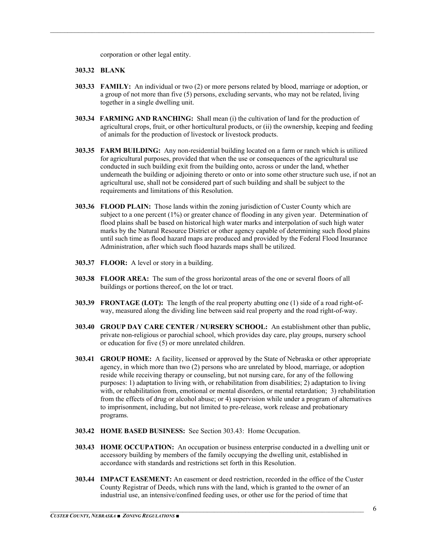corporation or other legal entity.

#### **303.32 BLANK**

**303.33 FAMILY:** An individual or two (2) or more persons related by blood, marriage or adoption, or a group of not more than five (5) persons, excluding servants, who may not be related, living together in a single dwelling unit.

- **303.34 FARMING AND RANCHING:** Shall mean (i) the cultivation of land for the production of agricultural crops, fruit, or other horticultural products, or (ii) the ownership, keeping and feeding of animals for the production of livestock or livestock products.
- **303.35 FARM BUILDING:** Any non-residential building located on a farm or ranch which is utilized for agricultural purposes, provided that when the use or consequences of the agricultural use conducted in such building exit from the building onto, across or under the land, whether underneath the building or adjoining thereto or onto or into some other structure such use, if not an agricultural use, shall not be considered part of such building and shall be subject to the requirements and limitations of this Resolution.
- **303.36 FLOOD PLAIN:** Those lands within the zoning jurisdiction of Custer County which are subject to a one percent (1%) or greater chance of flooding in any given year. Determination of flood plains shall be based on historical high water marks and interpolation of such high water marks by the Natural Resource District or other agency capable of determining such flood plains until such time as flood hazard maps are produced and provided by the Federal Flood Insurance Administration, after which such flood hazards maps shall be utilized.
- **303.37 FLOOR:** A level or story in a building.
- **303.38 FLOOR AREA:** The sum of the gross horizontal areas of the one or several floors of all buildings or portions thereof, on the lot or tract.
- **303.39 FRONTAGE (LOT):** The length of the real property abutting one (1) side of a road right-ofway, measured along the dividing line between said real property and the road right-of-way.
- **303.40 GROUP DAY CARE CENTER / NURSERY SCHOOL:** An establishment other than public, private non-religious or parochial school, which provides day care, play groups, nursery school or education for five (5) or more unrelated children.
- **303.41 GROUP HOME:** A facility, licensed or approved by the State of Nebraska or other appropriate agency, in which more than two (2) persons who are unrelated by blood, marriage, or adoption reside while receiving therapy or counseling, but not nursing care, for any of the following purposes: 1) adaptation to living with, or rehabilitation from disabilities; 2) adaptation to living with, or rehabilitation from, emotional or mental disorders, or mental retardation; 3) rehabilitation from the effects of drug or alcohol abuse; or 4) supervision while under a program of alternatives to imprisonment, including, but not limited to pre-release, work release and probationary programs.
- **303.42 HOME BASED BUSINESS:** See Section 303.43: Home Occupation.
- **303.43 HOME OCCUPATION:** An occupation or business enterprise conducted in a dwelling unit or accessory building by members of the family occupying the dwelling unit, established in accordance with standards and restrictions set forth in this Resolution.
- **303.44 IMPACT EASEMENT:** An easement or deed restriction, recorded in the office of the Custer County Registrar of Deeds, which runs with the land, which is granted to the owner of an industrial use, an intensive/confined feeding uses, or other use for the period of time that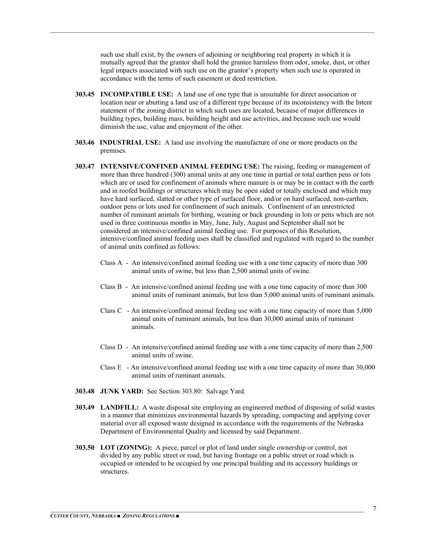such use shall exist, by the owners of adjoining or neighboring real property in which it is mutually agreed that the grantor shall hold the grantee harmless from odor, smoke, dust, or other legal impacts associated with such use on the grantor's property when such use is operated in accordance with the terms of such easement or deed restriction.

**303.45 INCOMPATIBLE USE:** A land use of one type that is unsuitable for direct association or location near or abutting a land use of a different type because of its inconsistency with the Intent statement of the zoning district in which such uses are located, because of major differences in building types, building mass, building height and use activities, and because such use would diminish the use, value and enjoyment of the other.

- **303.46 INDUSTRIAL USE:** A land use involving the manufacture of one or more products on the premises.
- **303.47 INTENSIVE/CONFINED ANIMAL FEEDING USE:** The raising, feeding or management of more than three hundred (300) animal units at any one time in partial or total earthen pens or lots which are or used for confinement of animals where manure is or may be in contact with the earth and in roofed buildings or structures which may be open sided or totally enclosed and which may have hard surfaced, slatted or other type of surfaced floor, and/or on hard surfaced, non-earthen, outdoor pens or lots used for confinement of such animals. Confinement of an unrestricted number of ruminant animals for birthing, weaning or back grounding in lots or pens which are not used in three continuous months in May, June, July, August and September shall not be considered an intensive/confined animal feeding use. For purposes of this Resolution, intensive/confined animal feeding uses shall be classified and regulated with regard to the number of animal units confined as follows:
	- Class A An intensive/confined animal feeding use with a one time capacity of more than 300 animal units of swine, but less than 2,500 animal units of swine.
	- Class B An intensive/confined animal feeding use with a one time capacity of more than 300 animal units of ruminant animals, but less than 5,000 animal units of ruminant animals.
	- Class C An intensive/confined animal feeding use with a one time capacity of more than 5,000 animal units of ruminant animals, but less than 30,000 animal units of ruminant animals.
	- Class D An intensive/confined animal feeding use with a one time capacity of more than 2,500 animal units of swine.
	- Class E An intensive/confined animal feeding use with a one time capacity of more than 30,000 animal units of ruminant animals.
- **303.48 JUNK YARD:** See Section 303.80: Salvage Yard.
- **303.49 LANDFILL:** A waste disposal site employing an engineered method of disposing of solid wastes in a manner that minimizes environmental hazards by spreading, compacting and applying cover material over all exposed waste designed in accordance with the requirements of the Nebraska Department of Environmental Quality and licensed by said Department.
- **303.50 LOT (ZONING):** A piece, parcel or plot of land under single ownership or control, not divided by any public street or road, but having frontage on a public street or road which is occupied or intended to be occupied by one principal building and its accessory buildings or structures.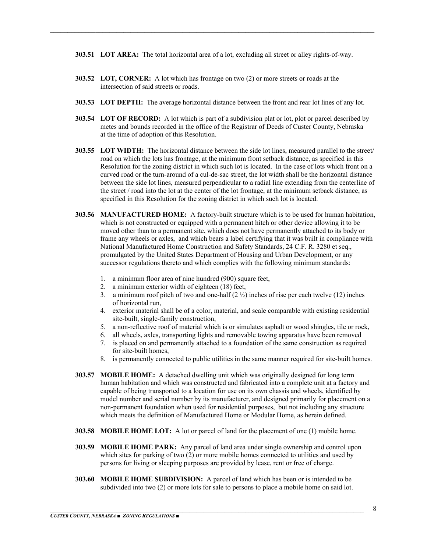**303.51 LOT AREA:** The total horizontal area of a lot, excluding all street or alley rights-of-way.

- **303.52 LOT, CORNER:** A lot which has frontage on two (2) or more streets or roads at the intersection of said streets or roads.
- **303.53 LOT DEPTH:** The average horizontal distance between the front and rear lot lines of any lot.
- **303.54 LOT OF RECORD:** A lot which is part of a subdivision plat or lot, plot or parcel described by metes and bounds recorded in the office of the Registrar of Deeds of Custer County, Nebraska at the time of adoption of this Resolution.
- **303.55 LOT WIDTH:** The horizontal distance between the side lot lines, measured parallel to the street/ road on which the lots has frontage, at the minimum front setback distance, as specified in this Resolution for the zoning district in which such lot is located. In the case of lots which front on a curved road or the turn-around of a cul-de-sac street, the lot width shall be the horizontal distance between the side lot lines, measured perpendicular to a radial line extending from the centerline of the street / road into the lot at the center of the lot frontage, at the minimum setback distance, as specified in this Resolution for the zoning district in which such lot is located.
- **303.56 MANUFACTURED HOME:** A factory-built structure which is to be used for human habitation, which is not constructed or equipped with a permanent hitch or other device allowing it to be moved other than to a permanent site, which does not have permanently attached to its body or frame any wheels or axles, and which bears a label certifying that it was built in compliance with National Manufactured Home Construction and Safety Standards, 24 C.F. R. 3280 et seq., promulgated by the United States Department of Housing and Urban Development, or any successor regulations thereto and which complies with the following minimum standards:
	- 1. a minimum floor area of nine hundred (900) square feet,
	- 2. a minimum exterior width of eighteen (18) feet,
	- 3. a minimum roof pitch of two and one-half  $(2 \frac{1}{2})$  inches of rise per each twelve (12) inches of horizontal run,
	- 4. exterior material shall be of a color, material, and scale comparable with existing residential site-built, single-family construction,
	- 5. a non-reflective roof of material which is or simulates asphalt or wood shingles, tile or rock,
	- 6. all wheels, axles, transporting lights and removable towing apparatus have been removed
	- 7. is placed on and permanently attached to a foundation of the same construction as required for site-built homes,
	- 8. is permanently connected to public utilities in the same manner required for site-built homes.
- **303.57 MOBILE HOME:** A detached dwelling unit which was originally designed for long term human habitation and which was constructed and fabricated into a complete unit at a factory and capable of being transported to a location for use on its own chassis and wheels, identified by model number and serial number by its manufacturer, and designed primarily for placement on a non-permanent foundation when used for residential purposes, but not including any structure which meets the definition of Manufactured Home or Modular Home, as herein defined.
- **303.58 MOBILE HOME LOT:** A lot or parcel of land for the placement of one (1) mobile home.
- **303.59 MOBILE HOME PARK:** Any parcel of land area under single ownership and control upon which sites for parking of two (2) or more mobile homes connected to utilities and used by persons for living or sleeping purposes are provided by lease, rent or free of charge.
- **303.60 MOBILE HOME SUBDIVISION:** A parcel of land which has been or is intended to be subdivided into two (2) or more lots for sale to persons to place a mobile home on said lot.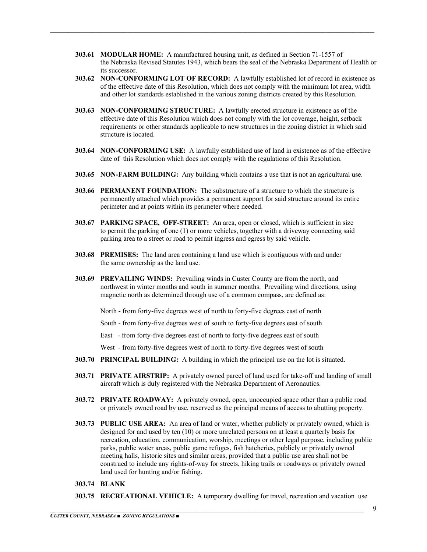**303.61 MODULAR HOME:** A manufactured housing unit, as defined in Section 71-1557 of the Nebraska Revised Statutes 1943, which bears the seal of the Nebraska Department of Health or its successor.

 $\mathcal{L}_\mathcal{L} = \mathcal{L}_\mathcal{L} = \mathcal{L}_\mathcal{L} = \mathcal{L}_\mathcal{L} = \mathcal{L}_\mathcal{L} = \mathcal{L}_\mathcal{L} = \mathcal{L}_\mathcal{L} = \mathcal{L}_\mathcal{L} = \mathcal{L}_\mathcal{L} = \mathcal{L}_\mathcal{L} = \mathcal{L}_\mathcal{L} = \mathcal{L}_\mathcal{L} = \mathcal{L}_\mathcal{L} = \mathcal{L}_\mathcal{L} = \mathcal{L}_\mathcal{L} = \mathcal{L}_\mathcal{L} = \mathcal{L}_\mathcal{L}$ 

- **303.62 NON-CONFORMING LOT OF RECORD:** A lawfully established lot of record in existence as of the effective date of this Resolution, which does not comply with the minimum lot area, width and other lot standards established in the various zoning districts created by this Resolution.
- **303.63 NON-CONFORMING STRUCTURE:** A lawfully erected structure in existence as of the effective date of this Resolution which does not comply with the lot coverage, height, setback requirements or other standards applicable to new structures in the zoning district in which said structure is located.
- **303.64 NON-CONFORMING USE:** A lawfully established use of land in existence as of the effective date of this Resolution which does not comply with the regulations of this Resolution.
- **303.65 NON-FARM BUILDING:** Any building which contains a use that is not an agricultural use.
- **303.66 PERMANENT FOUNDATION:** The substructure of a structure to which the structure is permanently attached which provides a permanent support for said structure around its entire perimeter and at points within its perimeter where needed.
- **303.67 PARKING SPACE, OFF-STREET:** An area, open or closed, which is sufficient in size to permit the parking of one (1) or more vehicles, together with a driveway connecting said parking area to a street or road to permit ingress and egress by said vehicle.
- **303.68 PREMISES:** The land area containing a land use which is contiguous with and under the same ownership as the land use.
- **303.69 PREVAILING WINDS:** Prevailing winds in Custer County are from the north, and northwest in winter months and south in summer months. Prevailing wind directions, using magnetic north as determined through use of a common compass, are defined as:

North - from forty-five degrees west of north to forty-five degrees east of north

South - from forty-five degrees west of south to forty-five degrees east of south

East - from forty-five degrees east of north to forty-five degrees east of south

West - from forty-five degrees west of north to forty-five degrees west of south

- **303.70 PRINCIPAL BUILDING:** A building in which the principal use on the lot is situated.
- **303.71 PRIVATE AIRSTRIP:** A privately owned parcel of land used for take-off and landing of small aircraft which is duly registered with the Nebraska Department of Aeronautics.
- **303.72 PRIVATE ROADWAY:** A privately owned, open, unoccupied space other than a public road or privately owned road by use, reserved as the principal means of access to abutting property.
- **303.73 PUBLIC USE AREA:** An area of land or water, whether publicly or privately owned, which is designed for and used by ten (10) or more unrelated persons on at least a quarterly basis for recreation, education, communication, worship, meetings or other legal purpose, including public parks, public water areas, public game refuges, fish hatcheries, publicly or privately owned meeting halls, historic sites and similar areas, provided that a public use area shall not be construed to include any rights-of-way for streets, hiking trails or roadways or privately owned land used for hunting and/or fishing.
- **303.74 BLANK**
- **303.75 RECREATIONAL VEHICLE:** A temporary dwelling for travel, recreation and vacation use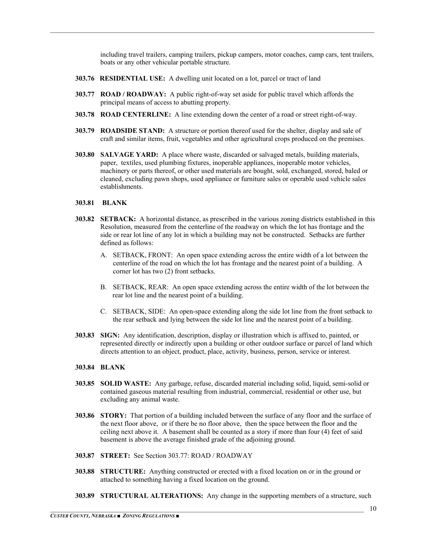including travel trailers, camping trailers, pickup campers, motor coaches, camp cars, tent trailers, boats or any other vehicular portable structure.

- **303.76 RESIDENTIAL USE:** A dwelling unit located on a lot, parcel or tract of land
- **303.77 ROAD / ROADWAY:** A public right-of-way set aside for public travel which affords the principal means of access to abutting property.

 $\mathcal{L}_\mathcal{L} = \mathcal{L}_\mathcal{L} = \mathcal{L}_\mathcal{L} = \mathcal{L}_\mathcal{L} = \mathcal{L}_\mathcal{L} = \mathcal{L}_\mathcal{L} = \mathcal{L}_\mathcal{L} = \mathcal{L}_\mathcal{L} = \mathcal{L}_\mathcal{L} = \mathcal{L}_\mathcal{L} = \mathcal{L}_\mathcal{L} = \mathcal{L}_\mathcal{L} = \mathcal{L}_\mathcal{L} = \mathcal{L}_\mathcal{L} = \mathcal{L}_\mathcal{L} = \mathcal{L}_\mathcal{L} = \mathcal{L}_\mathcal{L}$ 

- **303.78 ROAD CENTERLINE:** A line extending down the center of a road or street right-of-way.
- **303.79 ROADSIDE STAND:** A structure or portion thereof used for the shelter, display and sale of craft and similar items, fruit, vegetables and other agricultural crops produced on the premises.
- **303.80 SALVAGE YARD:** A place where waste, discarded or salvaged metals, building materials, paper, textiles, used plumbing fixtures, inoperable appliances, inoperable motor vehicles, machinery or parts thereof, or other used materials are bought, sold, exchanged, stored, baled or cleaned, excluding pawn shops, used appliance or furniture sales or operable used vehicle sales establishments.

#### **303.81 BLANK**

- **303.82 SETBACK:** A horizontal distance, as prescribed in the various zoning districts established in this Resolution, measured from the centerline of the roadway on which the lot has frontage and the side or rear lot line of any lot in which a building may not be constructed. Setbacks are further defined as follows:
	- A. SETBACK, FRONT: An open space extending across the entire width of a lot between the centerline of the road on which the lot has frontage and the nearest point of a building. A corner lot has two (2) front setbacks.
	- B. SETBACK, REAR: An open space extending across the entire width of the lot between the rear lot line and the nearest point of a building.
	- C. SETBACK, SIDE: An open-space extending along the side lot line from the front setback to the rear setback and lying between the side lot line and the nearest point of a building.
- **303.83 SIGN:** Any identification, description, display or illustration which is affixed to, painted, or represented directly or indirectly upon a building or other outdoor surface or parcel of land which directs attention to an object, product, place, activity, business, person, service or interest.

#### **303.84 BLANK**

- **303.85 SOLID WASTE:** Any garbage, refuse, discarded material including solid, liquid, semi-solid or contained gaseous material resulting from industrial, commercial, residential or other use, but excluding any animal waste.
- **303.86 STORY:** That portion of a building included between the surface of any floor and the surface of the next floor above, or if there be no floor above, then the space between the floor and the ceiling next above it. A basement shall be counted as a story if more than four (4) feet of said basement is above the average finished grade of the adjoining ground.
- **303.87 STREET:** See Section 303.77: ROAD / ROADWAY
- **303.88 STRUCTURE:** Anything constructed or erected with a fixed location on or in the ground or attached to something having a fixed location on the ground.
- **303.89 STRUCTURAL ALTERATIONS:** Any change in the supporting members of a structure, such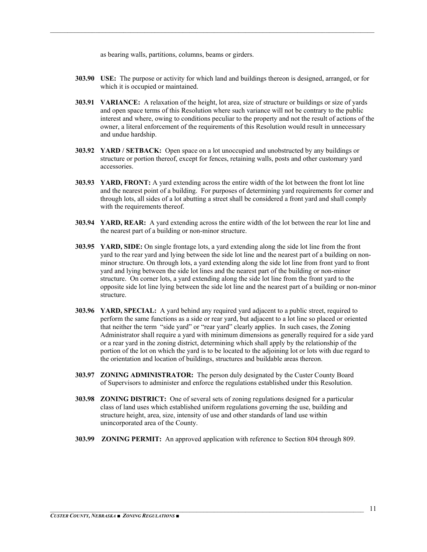as bearing walls, partitions, columns, beams or girders.

**303.90 USE:** The purpose or activity for which land and buildings thereon is designed, arranged, or for which it is occupied or maintained.

- **303.91 VARIANCE:** A relaxation of the height, lot area, size of structure or buildings or size of yards and open space terms of this Resolution where such variance will not be contrary to the public interest and where, owing to conditions peculiar to the property and not the result of actions of the owner, a literal enforcement of the requirements of this Resolution would result in unnecessary and undue hardship.
- **303.92 YARD / SETBACK:** Open space on a lot unoccupied and unobstructed by any buildings or structure or portion thereof, except for fences, retaining walls, posts and other customary yard accessories.
- **303.93 YARD, FRONT:** A yard extending across the entire width of the lot between the front lot line and the nearest point of a building. For purposes of determining yard requirements for corner and through lots, all sides of a lot abutting a street shall be considered a front yard and shall comply with the requirements thereof.
- **303.94 YARD, REAR:** A yard extending across the entire width of the lot between the rear lot line and the nearest part of a building or non-minor structure.
- **303.95 YARD, SIDE:** On single frontage lots, a yard extending along the side lot line from the front yard to the rear yard and lying between the side lot line and the nearest part of a building on nonminor structure. On through lots, a yard extending along the side lot line from front yard to front yard and lying between the side lot lines and the nearest part of the building or non-minor structure. On corner lots, a yard extending along the side lot line from the front yard to the opposite side lot line lying between the side lot line and the nearest part of a building or non-minor structure.
- **303.96 YARD, SPECIAL:** A yard behind any required yard adjacent to a public street, required to perform the same functions as a side or rear yard, but adjacent to a lot line so placed or oriented that neither the term "side yard" or "rear yard" clearly applies. In such cases, the Zoning Administrator shall require a yard with minimum dimensions as generally required for a side yard or a rear yard in the zoning district, determining which shall apply by the relationship of the portion of the lot on which the yard is to be located to the adjoining lot or lots with due regard to the orientation and location of buildings, structures and buildable areas thereon.
- **303.97 ZONING ADMINISTRATOR:** The person duly designated by the Custer County Board of Supervisors to administer and enforce the regulations established under this Resolution.
- **303.98 ZONING DISTRICT:** One of several sets of zoning regulations designed for a particular class of land uses which established uniform regulations governing the use, building and structure height, area, size, intensity of use and other standards of land use within unincorporated area of the County.
- **303.99 ZONING PERMIT:** An approved application with reference to Section 804 through 809.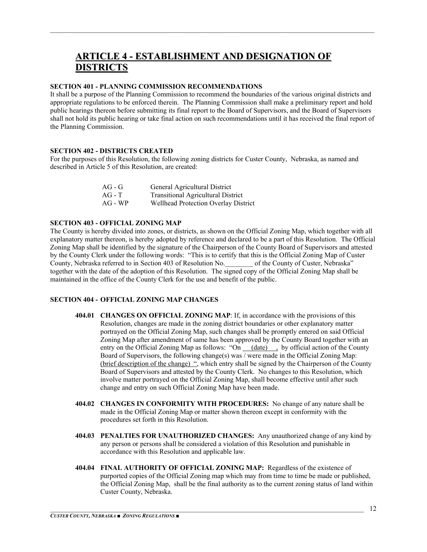## **ARTICLE 4 - ESTABLISHMENT AND DESIGNATION OF DISTRICTS**

 $\mathcal{L}_\mathcal{L} = \mathcal{L}_\mathcal{L} = \mathcal{L}_\mathcal{L} = \mathcal{L}_\mathcal{L} = \mathcal{L}_\mathcal{L} = \mathcal{L}_\mathcal{L} = \mathcal{L}_\mathcal{L} = \mathcal{L}_\mathcal{L} = \mathcal{L}_\mathcal{L} = \mathcal{L}_\mathcal{L} = \mathcal{L}_\mathcal{L} = \mathcal{L}_\mathcal{L} = \mathcal{L}_\mathcal{L} = \mathcal{L}_\mathcal{L} = \mathcal{L}_\mathcal{L} = \mathcal{L}_\mathcal{L} = \mathcal{L}_\mathcal{L}$ 

#### **SECTION 401 - PLANNING COMMISSION RECOMMENDATIONS**

It shall be a purpose of the Planning Commission to recommend the boundaries of the various original districts and appropriate regulations to be enforced therein. The Planning Commission shall make a preliminary report and hold public hearings thereon before submitting its final report to the Board of Supervisors, and the Board of Supervisors shall not hold its public hearing or take final action on such recommendations until it has received the final report of the Planning Commission.

#### **SECTION 402 - DISTRICTS CREATED**

For the purposes of this Resolution, the following zoning districts for Custer County, Nebraska, as named and described in Article 5 of this Resolution, are created:

| $AG - G$ | General Agricultural District             |
|----------|-------------------------------------------|
| $AG - T$ | <b>Transitional Agricultural District</b> |
| $AG-WP$  | Wellhead Protection Overlay District      |

#### **SECTION 403 - OFFICIAL ZONING MAP**

The County is hereby divided into zones, or districts, as shown on the Official Zoning Map, which together with all explanatory matter thereon, is hereby adopted by reference and declared to be a part of this Resolution. The Official Zoning Map shall be identified by the signature of the Chairperson of the County Board of Supervisors and attested by the County Clerk under the following words: "This is to certify that this is the Official Zoning Map of Custer County, Nebraska referred to in Section 403 of Resolution No.\_\_\_\_\_\_\_\_ of the County of Custer, Nebraska" together with the date of the adoption of this Resolution. The signed copy of the Official Zoning Map shall be maintained in the office of the County Clerk for the use and benefit of the public.

#### **SECTION 404 - OFFICIAL ZONING MAP CHANGES**

- **404.01 CHANGES ON OFFICIAL ZONING MAP**: If, in accordance with the provisions of this Resolution, changes are made in the zoning district boundaries or other explanatory matter portrayed on the Official Zoning Map, such changes shall be promptly entered on said Official Zoning Map after amendment of same has been approved by the County Board together with an entry on the Official Zoning Map as follows: "On (date) , by official action of the County Board of Supervisors, the following change(s) was / were made in the Official Zoning Map: (brief description of the change) ", which entry shall be signed by the Chairperson of the County Board of Supervisors and attested by the County Clerk. No changes to this Resolution, which involve matter portrayed on the Official Zoning Map, shall become effective until after such change and entry on such Official Zoning Map have been made.
- **404.02 CHANGES IN CONFORMITY WITH PROCEDURES:** No change of any nature shall be made in the Official Zoning Map or matter shown thereon except in conformity with the procedures set forth in this Resolution.
- **404.03 PENALTIES FOR UNAUTHORIZED CHANGES:** Any unauthorized change of any kind by any person or persons shall be considered a violation of this Resolution and punishable in accordance with this Resolution and applicable law.
- **404.04 FINAL AUTHORITY OF OFFICIAL ZONING MAP:** Regardless of the existence of purported copies of the Official Zoning map which may from time to time be made or published, the Official Zoning Map, shall be the final authority as to the current zoning status of land within Custer County, Nebraska.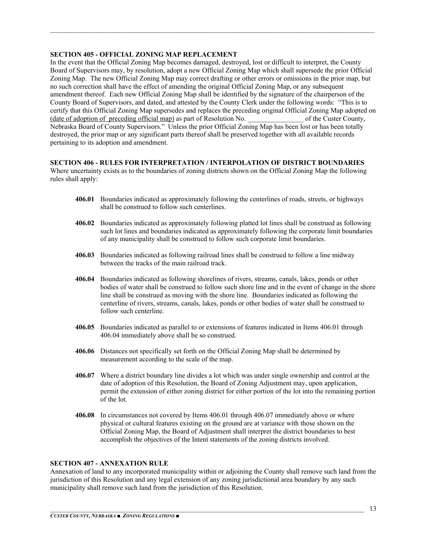#### **SECTION 405 - OFFICIAL ZONING MAP REPLACEMENT**

In the event that the Official Zoning Map becomes damaged, destroyed, lost or difficult to interpret, the County Board of Supervisors may, by resolution, adopt a new Official Zoning Map which shall supersede the prior Official Zoning Map. The new Official Zoning Map may correct drafting or other errors or omissions in the prior map, but no such correction shall have the effect of amending the original Official Zoning Map, or any subsequent amendment thereof. Each new Official Zoning Map shall be identified by the signature of the chairperson of the County Board of Supervisors, and dated, and attested by the County Clerk under the following words: "This is to certify that this Official Zoning Map supersedes and replaces the preceding original Official Zoning Map adopted on (date of adoption of preceding official map) as part of Resolution No. \_\_\_\_\_\_\_\_\_\_\_\_\_\_\_\_ of the Custer County, Nebraska Board of County Supervisors." Unless the prior Official Zoning Map has been lost or has been totally destroyed, the prior map or any significant parts thereof shall be preserved together with all available records pertaining to its adoption and amendment.

 $\mathcal{L}_\mathcal{L} = \mathcal{L}_\mathcal{L} = \mathcal{L}_\mathcal{L} = \mathcal{L}_\mathcal{L} = \mathcal{L}_\mathcal{L} = \mathcal{L}_\mathcal{L} = \mathcal{L}_\mathcal{L} = \mathcal{L}_\mathcal{L} = \mathcal{L}_\mathcal{L} = \mathcal{L}_\mathcal{L} = \mathcal{L}_\mathcal{L} = \mathcal{L}_\mathcal{L} = \mathcal{L}_\mathcal{L} = \mathcal{L}_\mathcal{L} = \mathcal{L}_\mathcal{L} = \mathcal{L}_\mathcal{L} = \mathcal{L}_\mathcal{L}$ 

#### **SECTION 406 - RULES FOR INTERPRETATION / INTERPOLATION OF DISTRICT BOUNDARIES**

Where uncertainty exists as to the boundaries of zoning districts shown on the Official Zoning Map the following rules shall apply:

- **406.01** Boundaries indicated as approximately following the centerlines of roads, streets, or highways shall be construed to follow such centerlines.
- **406.02** Boundaries indicated as approximately following platted lot lines shall be construed as following such lot lines and boundaries indicated as approximately following the corporate limit boundaries of any municipality shall be construed to follow such corporate limit boundaries.
- **406.03** Boundaries indicated as following railroad lines shall be construed to follow a line midway between the tracks of the main railroad track.
- **406.04** Boundaries indicated as following shorelines of rivers, streams, canals, lakes, ponds or other bodies of water shall be construed to follow such shore line and in the event of change in the shore line shall be construed as moving with the shore line. Boundaries indicated as following the centerline of rivers, streams, canals, lakes, ponds or other bodies of water shall be construed to follow such centerline.
- **406.05** Boundaries indicated as parallel to or extensions of features indicated in Items 406.01 through 406.04 immediately above shall be so construed.
- **406.06** Distances not specifically set forth on the Official Zoning Map shall be determined by measurement according to the scale of the map.
- **406.07** Where a district boundary line divides a lot which was under single ownership and control at the date of adoption of this Resolution, the Board of Zoning Adjustment may, upon application, permit the extension of either zoning district for either portion of the lot into the remaining portion of the lot.
- **406.08** In circumstances not covered by Items 406.01 through 406.07 immediately above or where physical or cultural features existing on the ground are at variance with those shown on the Official Zoning Map, the Board of Adjustment shall interpret the district boundaries to best accomplish the objectives of the Intent statements of the zoning districts involved.

#### **SECTION 407 - ANNEXATION RULE**

Annexation of land to any incorporated municipality within or adjoining the County shall remove such land from the jurisdiction of this Resolution and any legal extension of any zoning jurisdictional area boundary by any such municipality shall remove such land from the jurisdiction of this Resolution.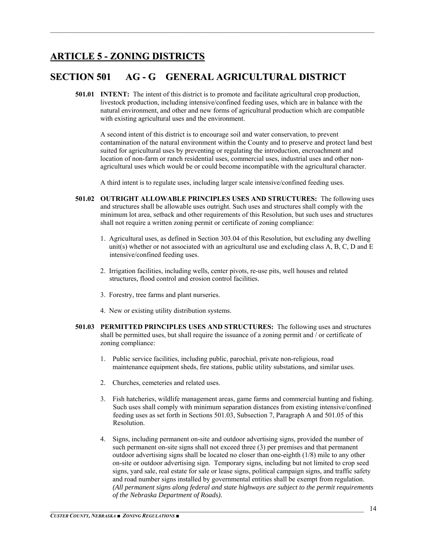## **ARTICLE 5 - ZONING DISTRICTS**

## **SECTION 501 AG - G GENERAL AGRICULTURAL DISTRICT**

**501.01 INTENT:** The intent of this district is to promote and facilitate agricultural crop production, livestock production, including intensive/confined feeding uses, which are in balance with the natural environment, and other and new forms of agricultural production which are compatible with existing agricultural uses and the environment.

 $\mathcal{L}_\mathcal{L} = \mathcal{L}_\mathcal{L} = \mathcal{L}_\mathcal{L} = \mathcal{L}_\mathcal{L} = \mathcal{L}_\mathcal{L} = \mathcal{L}_\mathcal{L} = \mathcal{L}_\mathcal{L} = \mathcal{L}_\mathcal{L} = \mathcal{L}_\mathcal{L} = \mathcal{L}_\mathcal{L} = \mathcal{L}_\mathcal{L} = \mathcal{L}_\mathcal{L} = \mathcal{L}_\mathcal{L} = \mathcal{L}_\mathcal{L} = \mathcal{L}_\mathcal{L} = \mathcal{L}_\mathcal{L} = \mathcal{L}_\mathcal{L}$ 

A second intent of this district is to encourage soil and water conservation, to prevent contamination of the natural environment within the County and to preserve and protect land best suited for agricultural uses by preventing or regulating the introduction, encroachment and location of non-farm or ranch residential uses, commercial uses, industrial uses and other nonagricultural uses which would be or could become incompatible with the agricultural character.

A third intent is to regulate uses, including larger scale intensive/confined feeding uses.

- **501.02 OUTRIGHT ALLOWABLE PRINCIPLES USES AND STRUCTURES:** The following uses and structures shall be allowable uses outright. Such uses and structures shall comply with the minimum lot area, setback and other requirements of this Resolution, but such uses and structures shall not require a written zoning permit or certificate of zoning compliance:
	- 1. Agricultural uses, as defined in Section 303.04 of this Resolution, but excluding any dwelling unit(s) whether or not associated with an agricultural use and excluding class A, B, C, D and E intensive/confined feeding uses.
	- 2. Irrigation facilities, including wells, center pivots, re-use pits, well houses and related structures, flood control and erosion control facilities.
	- 3. Forestry, tree farms and plant nurseries.
	- 4. New or existing utility distribution systems.
- **501.03 PERMITTED PRINCIPLES USES AND STRUCTURES:** The following uses and structures shall be permitted uses, but shall require the issuance of a zoning permit and / or certificate of zoning compliance:
	- 1. Public service facilities, including public, parochial, private non-religious, road maintenance equipment sheds, fire stations, public utility substations, and similar uses.
	- 2. Churches, cemeteries and related uses.
	- 3. Fish hatcheries, wildlife management areas, game farms and commercial hunting and fishing. Such uses shall comply with minimum separation distances from existing intensive/confined feeding uses as set forth in Sections 501.03, Subsection 7, Paragraph A and 501.05 of this Resolution.
	- 4. Signs, including permanent on-site and outdoor advertising signs, provided the number of such permanent on-site signs shall not exceed three (3) per premises and that permanent outdoor advertising signs shall be located no closer than one-eighth (1/8) mile to any other on-site or outdoor advertising sign. Temporary signs, including but not limited to crop seed signs, yard sale, real estate for sale or lease signs, political campaign signs, and traffic safety and road number signs installed by governmental entities shall be exempt from regulation. *(All permanent signs along federal and state highways are subject to the permit requirements of the Nebraska Department of Roads).*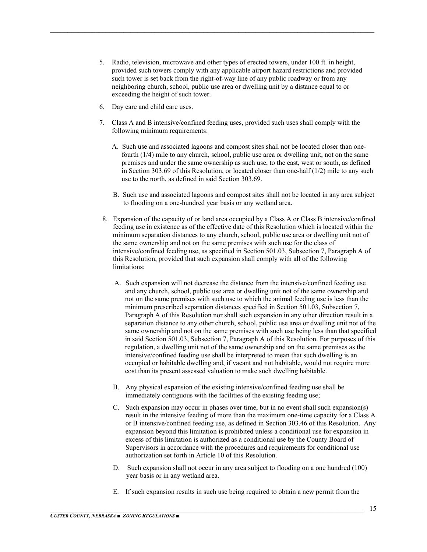5. Radio, television, microwave and other types of erected towers, under 100 ft. in height, provided such towers comply with any applicable airport hazard restrictions and provided such tower is set back from the right-of-way line of any public roadway or from any neighboring church, school, public use area or dwelling unit by a distance equal to or exceeding the height of such tower.

- 6. Day care and child care uses.
- 7. Class A and B intensive/confined feeding uses, provided such uses shall comply with the following minimum requirements:
	- A. Such use and associated lagoons and compost sites shall not be located closer than one fourth (1/4) mile to any church, school, public use area or dwelling unit, not on the same premises and under the same ownership as such use, to the east, west or south, as defined in Section 303.69 of this Resolution, or located closer than one-half  $(1/2)$  mile to any such use to the north, as defined in said Section 303.69.
	- B. Such use and associated lagoons and compost sites shall not be located in any area subject to flooding on a one-hundred year basis or any wetland area.
- 8. Expansion of the capacity of or land area occupied by a Class A or Class B intensive/confined feeding use in existence as of the effective date of this Resolution which is located within the minimum separation distances to any church, school, public use area or dwelling unit not of the same ownership and not on the same premises with such use for the class of intensive/confined feeding use, as specified in Section 501.03, Subsection 7, Paragraph A of this Resolution, provided that such expansion shall comply with all of the following limitations:
	- A. Such expansion will not decrease the distance from the intensive/confined feeding use and any church, school, public use area or dwelling unit not of the same ownership and not on the same premises with such use to which the animal feeding use is less than the minimum prescribed separation distances specified in Section 501.03, Subsection 7, Paragraph A of this Resolution nor shall such expansion in any other direction result in a separation distance to any other church, school, public use area or dwelling unit not of the same ownership and not on the same premises with such use being less than that specified in said Section 501.03, Subsection 7, Paragraph A of this Resolution. For purposes of this regulation, a dwelling unit not of the same ownership and on the same premises as the intensive/confined feeding use shall be interpreted to mean that such dwelling is an occupied or habitable dwelling and, if vacant and not habitable, would not require more cost than its present assessed valuation to make such dwelling habitable.
	- B. Any physical expansion of the existing intensive/confined feeding use shall be immediately contiguous with the facilities of the existing feeding use;
	- C. Such expansion may occur in phases over time, but in no event shall such expansion(s) result in the intensive feeding of more than the maximum one-time capacity for a Class A or B intensive/confined feeding use, as defined in Section 303.46 of this Resolution. Any expansion beyond this limitation is prohibited unless a conditional use for expansion in excess of this limitation is authorized as a conditional use by the County Board of Supervisors in accordance with the procedures and requirements for conditional use authorization set forth in Article 10 of this Resolution.
	- D. Such expansion shall not occur in any area subject to flooding on a one hundred (100) year basis or in any wetland area.
	- E. If such expansion results in such use being required to obtain a new permit from the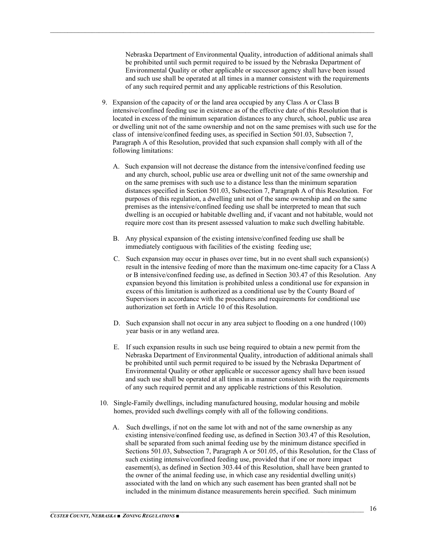Nebraska Department of Environmental Quality, introduction of additional animals shall be prohibited until such permit required to be issued by the Nebraska Department of Environmental Quality or other applicable or successor agency shall have been issued and such use shall be operated at all times in a manner consistent with the requirements of any such required permit and any applicable restrictions of this Resolution.

- 9. Expansion of the capacity of or the land area occupied by any Class A or Class B intensive/confined feeding use in existence as of the effective date of this Resolution that is located in excess of the minimum separation distances to any church, school, public use area or dwelling unit not of the same ownership and not on the same premises with such use for the class of intensive/confined feeding uses, as specified in Section 501.03, Subsection 7, Paragraph A of this Resolution, provided that such expansion shall comply with all of the following limitations:
	- A. Such expansion will not decrease the distance from the intensive/confined feeding use and any church, school, public use area or dwelling unit not of the same ownership and on the same premises with such use to a distance less than the minimum separation distances specified in Section 501.03, Subsection 7, Paragraph A of this Resolution. For purposes of this regulation, a dwelling unit not of the same ownership and on the same premises as the intensive/confined feeding use shall be interpreted to mean that such dwelling is an occupied or habitable dwelling and, if vacant and not habitable, would not require more cost than its present assessed valuation to make such dwelling habitable.
	- B. Any physical expansion of the existing intensive/confined feeding use shall be immediately contiguous with facilities of the existing feeding use;
	- C. Such expansion may occur in phases over time, but in no event shall such expansion(s) result in the intensive feeding of more than the maximum one-time capacity for a Class A or B intensive/confined feeding use, as defined in Section 303.47 of this Resolution. Any expansion beyond this limitation is prohibited unless a conditional use for expansion in excess of this limitation is authorized as a conditional use by the County Board of Supervisors in accordance with the procedures and requirements for conditional use authorization set forth in Article 10 of this Resolution.
	- D. Such expansion shall not occur in any area subject to flooding on a one hundred (100) year basis or in any wetland area.
	- E. If such expansion results in such use being required to obtain a new permit from the Nebraska Department of Environmental Quality, introduction of additional animals shall be prohibited until such permit required to be issued by the Nebraska Department of Environmental Quality or other applicable or successor agency shall have been issued and such use shall be operated at all times in a manner consistent with the requirements of any such required permit and any applicable restrictions of this Resolution.
- 10. Single-Family dwellings, including manufactured housing, modular housing and mobile homes, provided such dwellings comply with all of the following conditions.
	- A. Such dwellings, if not on the same lot with and not of the same ownership as any existing intensive/confined feeding use, as defined in Section 303.47 of this Resolution, shall be separated from such animal feeding use by the minimum distance specified in Sections 501.03, Subsection 7, Paragraph A or 501.05, of this Resolution, for the Class of such existing intensive/confined feeding use, provided that if one or more impact easement(s), as defined in Section 303.44 of this Resolution, shall have been granted to the owner of the animal feeding use, in which case any residential dwelling unit(s) associated with the land on which any such easement has been granted shall not be included in the minimum distance measurements herein specified. Such minimum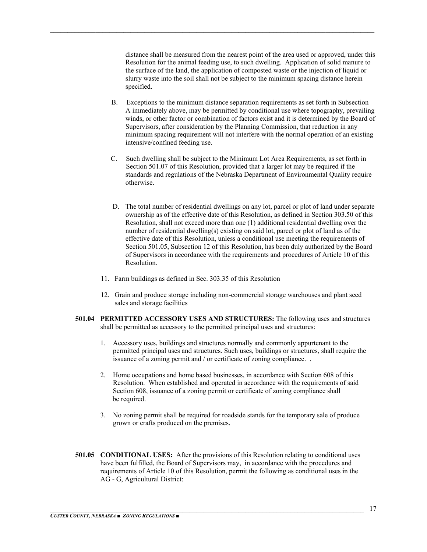distance shall be measured from the nearest point of the area used or approved, under this Resolution for the animal feeding use, to such dwelling. Application of solid manure to the surface of the land, the application of composted waste or the injection of liquid or slurry waste into the soil shall not be subject to the minimum spacing distance herein specified.

- B. Exceptions to the minimum distance separation requirements as set forth in Subsection A immediately above, may be permitted by conditional use where topography, prevailing winds, or other factor or combination of factors exist and it is determined by the Board of Supervisors, after consideration by the Planning Commission, that reduction in any minimum spacing requirement will not interfere with the normal operation of an existing intensive/confined feeding use.
- C. Such dwelling shall be subject to the Minimum Lot Area Requirements, as set forth in Section 501.07 of this Resolution, provided that a larger lot may be required if the standards and regulations of the Nebraska Department of Environmental Quality require otherwise.
- D. The total number of residential dwellings on any lot, parcel or plot of land under separate ownership as of the effective date of this Resolution, as defined in Section 303.50 of this Resolution, shall not exceed more than one (1) additional residential dwelling over the number of residential dwelling(s) existing on said lot, parcel or plot of land as of the effective date of this Resolution, unless a conditional use meeting the requirements of Section 501.05, Subsection 12 of this Resolution, has been duly authorized by the Board of Supervisors in accordance with the requirements and procedures of Article 10 of this Resolution.
- 11. Farm buildings as defined in Sec. 303.35 of this Resolution
- 12. Grain and produce storage including non-commercial storage warehouses and plant seed sales and storage facilities
- **501.04 PERMITTED ACCESSORY USES AND STRUCTURES:** The following uses and structures shall be permitted as accessory to the permitted principal uses and structures:
	- 1. Accessory uses, buildings and structures normally and commonly appurtenant to the permitted principal uses and structures. Such uses, buildings or structures, shall require the issuance of a zoning permit and / or certificate of zoning compliance. .
	- 2. Home occupations and home based businesses, in accordance with Section 608 of this Resolution. When established and operated in accordance with the requirements of said Section 608, issuance of a zoning permit or certificate of zoning compliance shall be required.
	- 3. No zoning permit shall be required for roadside stands for the temporary sale of produce grown or crafts produced on the premises.
- **501.05 CONDITIONAL USES:** After the provisions of this Resolution relating to conditional uses have been fulfilled, the Board of Supervisors may, in accordance with the procedures and requirements of Article 10 of this Resolution, permit the following as conditional uses in the AG - G, Agricultural District: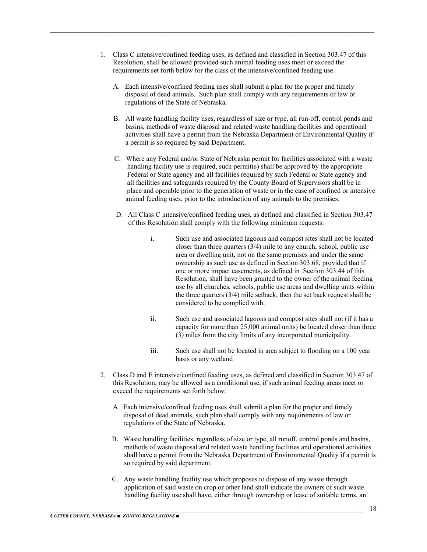1. Class C intensive/confined feeding uses, as defined and classified in Section 303.47 of this Resolution, shall be allowed provided such animal feeding uses meet or exceed the requirements set forth below for the class of the intensive/confined feeding use.

- A. Each intensive/confined feeding uses shall submit a plan for the proper and timely disposal of dead animals. Such plan shall comply with any requirements of law or regulations of the State of Nebraska.
- B. All waste handling facility uses, regardless of size or type, all run-off, control ponds and basins, methods of waste disposal and related waste handling facilities and operational activities shall have a permit from the Nebraska Department of Environmental Quality if a permit is so required by said Department.
- C. Where any Federal and/or State of Nebraska permit for facilities associated with a waste handling facility use is required, such permit(s) shall be approved by the appropriate Federal or State agency and all facilities required by such Federal or State agency and all facilities and safeguards required by the County Board of Supervisors shall be in place and operable prior to the generation of waste or in the case of confined or intensive animal feeding uses, prior to the introduction of any animals to the premises.
- D. All Class C intensive/confined feeding uses, as defined and classified in Section 303.47 of this Resolution shall comply with the following minimum requests:
	- i. Such use and associated lagoons and compost sites shall not be located closer than three quarters (3/4) mile to any church, school, public use area or dwelling unit, not on the same premises and under the same ownership as such use as defined in Section 303.68, provided that if one or more impact easements, as defined in Section 303.44 of this Resolution, shall have been granted to the owner of the animal feeding use by all churches, schools, public use areas and dwelling units within the three quarters (3/4) mile setback, then the set back request shall be considered to be complied with.
	- ii. Such use and associated lagoons and compost sites shall not (if it has a capacity for more than 25,000 animal units) be located closer than three (3) miles from the city limits of any incorporated municipality.
	- iii. Such use shall not be located in area subject to flooding on a 100 year basis or any wetland
- 2. Class D and E intensive/confined feeding uses, as defined and classified in Section 303.47 of this Resolution, may be allowed as a conditional use, if such animal feeding areas meet or exceed the requirements set forth below:
	- A. Each intensive/confined feeding uses shall submit a plan for the proper and timely disposal of dead animals, such plan shall comply with any requirements of law or regulations of the State of Nebraska.
	- B. Waste handling facilities, regardless of size or type, all runoff, control ponds and basins, methods of waste disposal and related waste handling facilities and operational activities shall have a permit from the Nebraska Department of Environmental Quality if a permit is so required by said department.
	- C. Any waste handling facility use which proposes to dispose of any waste through application of said waste on crop or other land shall indicate the owners of such waste handling facility use shall have, either through ownership or lease of suitable terms, an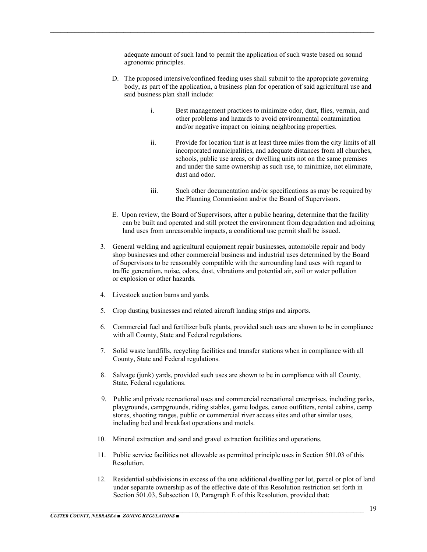adequate amount of such land to permit the application of such waste based on sound agronomic principles.

- D. The proposed intensive/confined feeding uses shall submit to the appropriate governing body, as part of the application, a business plan for operation of said agricultural use and said business plan shall include:
	- i. Best management practices to minimize odor, dust, flies, vermin, and other problems and hazards to avoid environmental contamination and/or negative impact on joining neighboring properties.
	- ii. Provide for location that is at least three miles from the city limits of all incorporated municipalities, and adequate distances from all churches, schools, public use areas, or dwelling units not on the same premises and under the same ownership as such use, to minimize, not eliminate, dust and odor.
	- iii. Such other documentation and/or specifications as may be required by the Planning Commission and/or the Board of Supervisors.
- E. Upon review, the Board of Supervisors, after a public hearing, determine that the facility can be built and operated and still protect the environment from degradation and adjoining land uses from unreasonable impacts, a conditional use permit shall be issued.
- 3. General welding and agricultural equipment repair businesses, automobile repair and body shop businesses and other commercial business and industrial uses determined by the Board of Supervisors to be reasonably compatible with the surrounding land uses with regard to traffic generation, noise, odors, dust, vibrations and potential air, soil or water pollution or explosion or other hazards.
- 4. Livestock auction barns and yards.
- 5. Crop dusting businesses and related aircraft landing strips and airports.
- 6. Commercial fuel and fertilizer bulk plants, provided such uses are shown to be in compliance with all County, State and Federal regulations.
- 7. Solid waste landfills, recycling facilities and transfer stations when in compliance with all County, State and Federal regulations.
- 8. Salvage (junk) yards, provided such uses are shown to be in compliance with all County, State, Federal regulations.
- 9. Public and private recreational uses and commercial recreational enterprises, including parks, playgrounds, campgrounds, riding stables, game lodges, canoe outfitters, rental cabins, camp stores, shooting ranges, public or commercial river access sites and other similar uses, including bed and breakfast operations and motels.
- 10. Mineral extraction and sand and gravel extraction facilities and operations.
- 11. Public service facilities not allowable as permitted principle uses in Section 501.03 of this Resolution.
- 12. Residential subdivisions in excess of the one additional dwelling per lot, parcel or plot of land under separate ownership as of the effective date of this Resolution restriction set forth in Section 501.03, Subsection 10, Paragraph E of this Resolution, provided that: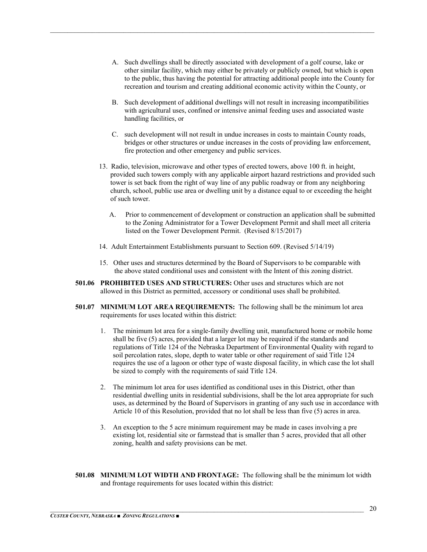A. Such dwellings shall be directly associated with development of a golf course, lake or other similar facility, which may either be privately or publicly owned, but which is open to the public, thus having the potential for attracting additional people into the County for recreation and tourism and creating additional economic activity within the County, or

- B. Such development of additional dwellings will not result in increasing incompatibilities with agricultural uses, confined or intensive animal feeding uses and associated waste handling facilities, or
- C. such development will not result in undue increases in costs to maintain County roads, bridges or other structures or undue increases in the costs of providing law enforcement, fire protection and other emergency and public services.
- 13. Radio, television, microwave and other types of erected towers, above 100 ft. in height, provided such towers comply with any applicable airport hazard restrictions and provided such tower is set back from the right of way line of any public roadway or from any neighboring church, school, public use area or dwelling unit by a distance equal to or exceeding the height of such tower.
	- A. Prior to commencement of development or construction an application shall be submitted to the Zoning Administrator for a Tower Development Permit and shall meet all criteria listed on the Tower Development Permit. (Revised 8/15/2017)
- 14. Adult Entertainment Establishments pursuant to Section 609. (Revised 5/14/19)
- 15. Other uses and structures determined by the Board of Supervisors to be comparable with the above stated conditional uses and consistent with the Intent of this zoning district.
- **501.06 PROHIBITED USES AND STRUCTURES:** Other uses and structures which are not allowed in this District as permitted, accessory or conditional uses shall be prohibited.
- **501.07 MINIMUM LOT AREA REQUIREMENTS:** The following shall be the minimum lot area requirements for uses located within this district:
	- 1. The minimum lot area for a single-family dwelling unit, manufactured home or mobile home shall be five (5) acres, provided that a larger lot may be required if the standards and regulations of Title 124 of the Nebraska Department of Environmental Quality with regard to soil percolation rates, slope, depth to water table or other requirement of said Title 124 requires the use of a lagoon or other type of waste disposal facility, in which case the lot shall be sized to comply with the requirements of said Title 124.
	- 2. The minimum lot area for uses identified as conditional uses in this District, other than residential dwelling units in residential subdivisions, shall be the lot area appropriate for such uses, as determined by the Board of Supervisors in granting of any such use in accordance with Article 10 of this Resolution, provided that no lot shall be less than five (5) acres in area.
	- 3. An exception to the 5 acre minimum requirement may be made in cases involving a pre existing lot, residential site or farmstead that is smaller than 5 acres, provided that all other zoning, health and safety provisions can be met.
- **501.08 MINIMUM LOT WIDTH AND FRONTAGE:** The following shall be the minimum lot width and frontage requirements for uses located within this district: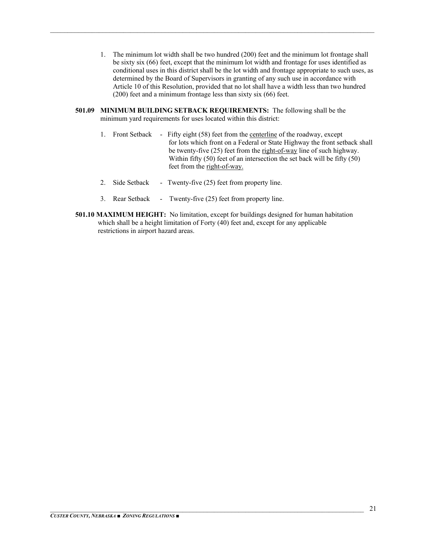- 1. The minimum lot width shall be two hundred (200) feet and the minimum lot frontage shall be sixty six (66) feet, except that the minimum lot width and frontage for uses identified as conditional uses in this district shall be the lot width and frontage appropriate to such uses, as determined by the Board of Supervisors in granting of any such use in accordance with Article 10 of this Resolution, provided that no lot shall have a width less than two hundred (200) feet and a minimum frontage less than sixty six (66) feet.
- **501.09 MINIMUM BUILDING SETBACK REQUIREMENTS:** The following shall be the minimum yard requirements for uses located within this district:

- 1. Front Setback Fifty eight (58) feet from the centerline of the roadway, except for lots which front on a Federal or State Highway the front setback shall be twenty-five (25) feet from the right-of-way line of such highway. Within fifty (50) feet of an intersection the set back will be fifty (50) feet from the right-of-way.
- 2. Side Setback Twenty-five (25) feet from property line.
- 3. Rear Setback Twenty-five (25) feet from property line.
- **501.10 MAXIMUM HEIGHT:** No limitation, except for buildings designed for human habitation which shall be a height limitation of Forty (40) feet and, except for any applicable restrictions in airport hazard areas.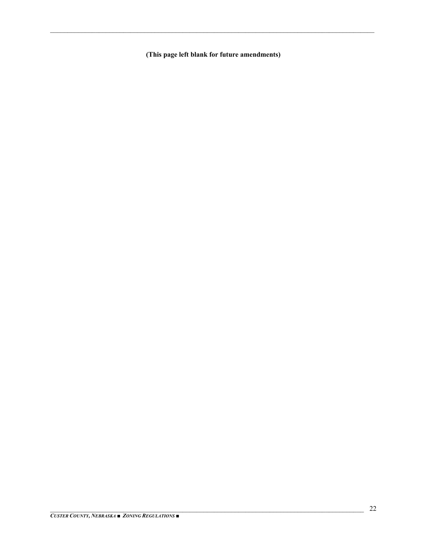(This page left blank for future amendments)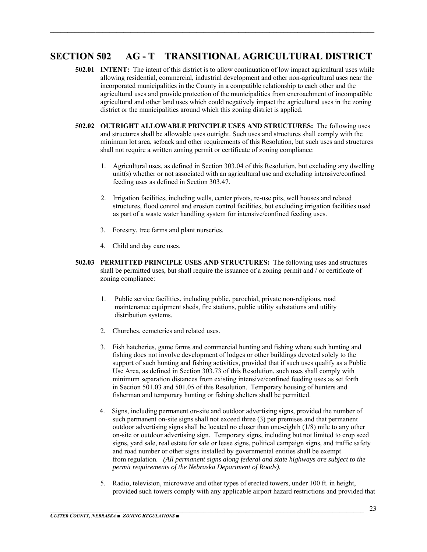## **SECTION 502 AG - T TRANSITIONAL AGRICULTURAL DISTRICT**

- **502.01 INTENT:** The intent of this district is to allow continuation of low impact agricultural uses while allowing residential, commercial, industrial development and other non-agricultural uses near the incorporated municipalities in the County in a compatible relationship to each other and the agricultural uses and provide protection of the municipalities from encroachment of incompatible agricultural and other land uses which could negatively impact the agricultural uses in the zoning district or the municipalities around which this zoning district is applied.
- **502.02 OUTRIGHT ALLOWABLE PRINCIPLE USES AND STRUCTURES:** The following uses and structures shall be allowable uses outright. Such uses and structures shall comply with the minimum lot area, setback and other requirements of this Resolution, but such uses and structures shall not require a written zoning permit or certificate of zoning compliance:
	- 1. Agricultural uses, as defined in Section 303.04 of this Resolution, but excluding any dwelling unit(s) whether or not associated with an agricultural use and excluding intensive/confined feeding uses as defined in Section 303.47.
	- 2. Irrigation facilities, including wells, center pivots, re-use pits, well houses and related structures, flood control and erosion control facilities, but excluding irrigation facilities used as part of a waste water handling system for intensive/confined feeding uses.
	- 3. Forestry, tree farms and plant nurseries.
	- 4. Child and day care uses.
- **502.03 PERMITTED PRINCIPLE USES AND STRUCTURES:** The following uses and structures shall be permitted uses, but shall require the issuance of a zoning permit and / or certificate of zoning compliance:
	- 1. Public service facilities, including public, parochial, private non-religious, road maintenance equipment sheds, fire stations, public utility substations and utility distribution systems.
	- 2. Churches, cemeteries and related uses.
	- 3. Fish hatcheries, game farms and commercial hunting and fishing where such hunting and fishing does not involve development of lodges or other buildings devoted solely to the support of such hunting and fishing activities, provided that if such uses qualify as a Public Use Area, as defined in Section 303.73 of this Resolution, such uses shall comply with minimum separation distances from existing intensive/confined feeding uses as set forth in Section 501.03 and 501.05 of this Resolution. Temporary housing of hunters and fisherman and temporary hunting or fishing shelters shall be permitted.
	- 4. Signs, including permanent on-site and outdoor advertising signs, provided the number of such permanent on-site signs shall not exceed three (3) per premises and that permanent outdoor advertising signs shall be located no closer than one-eighth (1/8) mile to any other on-site or outdoor advertising sign. Temporary signs, including but not limited to crop seed signs, yard sale, real estate for sale or lease signs, political campaign signs, and traffic safety and road number or other signs installed by governmental entities shall be exempt from regulation*. (All permanent signs along federal and state highways are subject to the permit requirements of the Nebraska Department of Roads).*
	- 5. Radio, television, microwave and other types of erected towers, under 100 ft. in height, provided such towers comply with any applicable airport hazard restrictions and provided that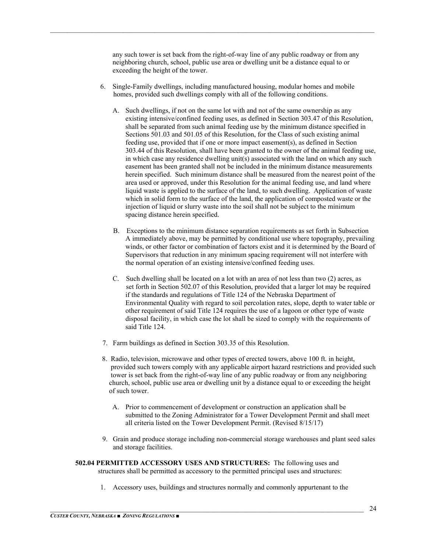any such tower is set back from the right-of-way line of any public roadway or from any neighboring church, school, public use area or dwelling unit be a distance equal to or exceeding the height of the tower.

6. Single-Family dwellings, including manufactured housing, modular homes and mobile homes, provided such dwellings comply with all of the following conditions.

- A. Such dwellings, if not on the same lot with and not of the same ownership as any existing intensive/confined feeding uses, as defined in Section 303.47 of this Resolution, shall be separated from such animal feeding use by the minimum distance specified in Sections 501.03 and 501.05 of this Resolution, for the Class of such existing animal feeding use, provided that if one or more impact easement(s), as defined in Section 303.44 of this Resolution, shall have been granted to the owner of the animal feeding use, in which case any residence dwelling unit(s) associated with the land on which any such easement has been granted shall not be included in the minimum distance measurements herein specified. Such minimum distance shall be measured from the nearest point of the area used or approved, under this Resolution for the animal feeding use, and land where liquid waste is applied to the surface of the land, to such dwelling. Application of waste which in solid form to the surface of the land, the application of composted waste or the injection of liquid or slurry waste into the soil shall not be subject to the minimum spacing distance herein specified.
- B. Exceptions to the minimum distance separation requirements as set forth in Subsection A immediately above, may be permitted by conditional use where topography, prevailing winds, or other factor or combination of factors exist and it is determined by the Board of Supervisors that reduction in any minimum spacing requirement will not interfere with the normal operation of an existing intensive/confined feeding uses.
- C. Such dwelling shall be located on a lot with an area of not less than two (2) acres, as set forth in Section 502.07 of this Resolution, provided that a larger lot may be required if the standards and regulations of Title 124 of the Nebraska Department of Environmental Quality with regard to soil percolation rates, slope, depth to water table or other requirement of said Title 124 requires the use of a lagoon or other type of waste disposal facility, in which case the lot shall be sized to comply with the requirements of said Title 124.
- 7. Farm buildings as defined in Section 303.35 of this Resolution.
- 8. Radio, television, microwave and other types of erected towers, above 100 ft. in height, provided such towers comply with any applicable airport hazard restrictions and provided such tower is set back from the right-of-way line of any public roadway or from any neighboring church, school, public use area or dwelling unit by a distance equal to or exceeding the height of such tower.
	- A. Prior to commencement of development or construction an application shall be submitted to the Zoning Administrator for a Tower Development Permit and shall meet all criteria listed on the Tower Development Permit. (Revised 8/15/17)
- 9. Grain and produce storage including non-commercial storage warehouses and plant seed sales and storage facilities.
- **502.04 PERMITTED ACCESSORY USES AND STRUCTURES:** The following uses and structures shall be permitted as accessory to the permitted principal uses and structures:
	- 1. Accessory uses, buildings and structures normally and commonly appurtenant to the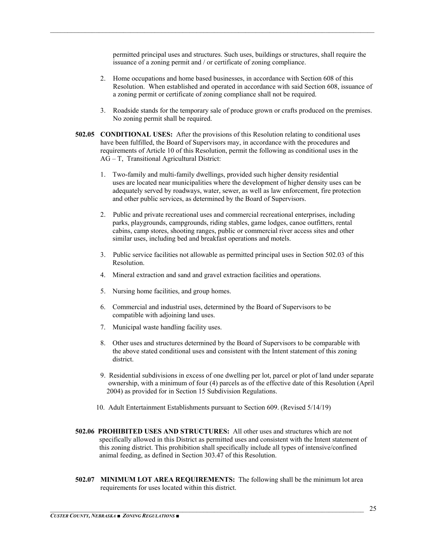permitted principal uses and structures. Such uses, buildings or structures, shall require the issuance of a zoning permit and / or certificate of zoning compliance.

- 2. Home occupations and home based businesses, in accordance with Section 608 of this Resolution. When established and operated in accordance with said Section 608, issuance of a zoning permit or certificate of zoning compliance shall not be required.
- 3. Roadside stands for the temporary sale of produce grown or crafts produced on the premises. No zoning permit shall be required.
- **502.05 CONDITIONAL USES:** After the provisions of this Resolution relating to conditional uses have been fulfilled, the Board of Supervisors may, in accordance with the procedures and requirements of Article 10 of this Resolution, permit the following as conditional uses in the AG – T, Transitional Agricultural District:

- 1. Two-family and multi-family dwellings, provided such higher density residential uses are located near municipalities where the development of higher density uses can be adequately served by roadways, water, sewer, as well as law enforcement, fire protection and other public services, as determined by the Board of Supervisors.
- 2. Public and private recreational uses and commercial recreational enterprises, including parks, playgrounds, campgrounds, riding stables, game lodges, canoe outfitters, rental cabins, camp stores, shooting ranges, public or commercial river access sites and other similar uses, including bed and breakfast operations and motels.
- 3. Public service facilities not allowable as permitted principal uses in Section 502.03 of this Resolution.
- 4. Mineral extraction and sand and gravel extraction facilities and operations.
- 5. Nursing home facilities, and group homes.
- 6. Commercial and industrial uses, determined by the Board of Supervisors to be compatible with adjoining land uses.
- 7. Municipal waste handling facility uses.
- 8. Other uses and structures determined by the Board of Supervisors to be comparable with the above stated conditional uses and consistent with the Intent statement of this zoning district.
- 9. Residential subdivisions in excess of one dwelling per lot, parcel or plot of land under separate ownership, with a minimum of four (4) parcels as of the effective date of this Resolution (April 2004) as provided for in Section 15 Subdivision Regulations.
- 10. Adult Entertainment Establishments pursuant to Section 609. (Revised 5/14/19)
- **502.06 PROHIBITED USES AND STRUCTURES:** All other uses and structures which are not specifically allowed in this District as permitted uses and consistent with the Intent statement of this zoning district. This prohibition shall specifically include all types of intensive/confined animal feeding, as defined in Section 303.47 of this Resolution.
- **502.07 MINIMUM LOT AREA REQUIREMENTS:** The following shall be the minimum lot area requirements for uses located within this district.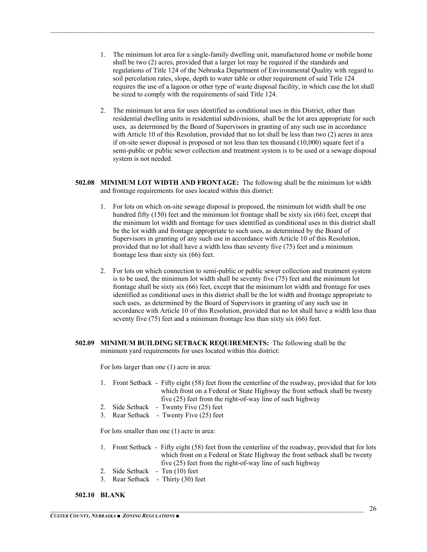1. The minimum lot area for a single-family dwelling unit, manufactured home or mobile home shall be two (2) acres, provided that a larger lot may be required if the standards and regulations of Title 124 of the Nebraska Department of Environmental Quality with regard to soil percolation rates, slope, depth to water table or other requirement of said Title 124 requires the use of a lagoon or other type of waste disposal facility, in which case the lot shall be sized to comply with the requirements of said Title 124.

 $\mathcal{L}_\mathcal{L} = \mathcal{L}_\mathcal{L} = \mathcal{L}_\mathcal{L} = \mathcal{L}_\mathcal{L} = \mathcal{L}_\mathcal{L} = \mathcal{L}_\mathcal{L} = \mathcal{L}_\mathcal{L} = \mathcal{L}_\mathcal{L} = \mathcal{L}_\mathcal{L} = \mathcal{L}_\mathcal{L} = \mathcal{L}_\mathcal{L} = \mathcal{L}_\mathcal{L} = \mathcal{L}_\mathcal{L} = \mathcal{L}_\mathcal{L} = \mathcal{L}_\mathcal{L} = \mathcal{L}_\mathcal{L} = \mathcal{L}_\mathcal{L}$ 

- 2. The minimum lot area for uses identified as conditional uses in this District, other than residential dwelling units in residential subdivisions, shall be the lot area appropriate for such uses, as determined by the Board of Supervisors in granting of any such use in accordance with Article 10 of this Resolution, provided that no lot shall be less than two (2) acres in area if on-site sewer disposal is proposed or not less than ten thousand  $(10,000)$  square feet if a semi-public or public sewer collection and treatment system is to be used or a sewage disposal system is not needed.
- **502.08 MINIMUM LOT WIDTH AND FRONTAGE:** The following shall be the minimum lot width and frontage requirements for uses located within this district:
	- 1. For lots on which on-site sewage disposal is proposed, the minimum lot width shall be one hundred fifty (150) feet and the minimum lot frontage shall be sixty six (66) feet, except that the minimum lot width and frontage for uses identified as conditional uses in this district shall be the lot width and frontage appropriate to such uses, as determined by the Board of Supervisors in granting of any such use in accordance with Article 10 of this Resolution, provided that no lot shall have a width less than seventy five (75) feet and a minimum frontage less than sixty six (66) feet.
	- 2. For lots on which connection to semi-public or public sewer collection and treatment system is to be used, the minimum lot width shall be seventy five (75) feet and the minimum lot frontage shall be sixty six (66) feet, except that the minimum lot width and frontage for uses identified as conditional uses in this district shall be the lot width and frontage appropriate to such uses, as determined by the Board of Supervisors in granting of any such use in accordance with Article 10 of this Resolution, provided that no lot shall have a width less than seventy five (75) feet and a minimum frontage less than sixty six (66) feet.
- **502.09 MINIMUM BUILDING SETBACK REQUIREMENTS:** The following shall be the minimum yard requirements for uses located within this district:

For lots larger than one (1) acre in area:

- 1. Front Setback Fifty eight (58) feet from the centerline of the roadway, provided that for lots which front on a Federal or State Highway the front setback shall be twenty five (25) feet from the right-of-way line of such highway
- 2. Side Setback Twenty Five (25) feet
- 3. Rear Setback Twenty Five (25) feet

For lots smaller than one (1) acre in area:

- 1. Front Setback Fifty eight (58) feet from the centerline of the roadway, provided that for lots which front on a Federal or State Highway the front setback shall be twenty five (25) feet from the right-of-way line of such highway
- 2. Side Setback Ten (10) feet
- 3. Rear Setback Thirty (30) feet

#### **502.10 BLANK**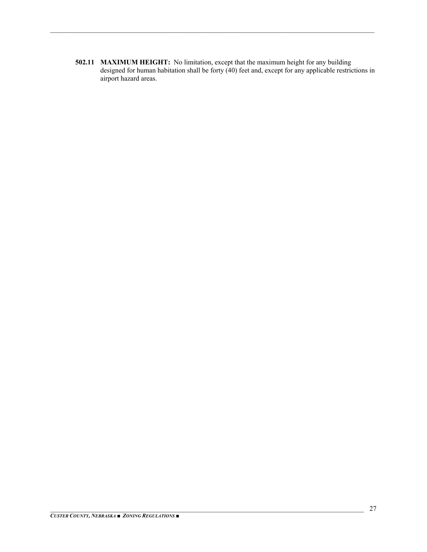**502.11 MAXIMUM HEIGHT:** No limitation, except that the maximum height for any building designed for human habitation shall be forty (40) feet and, except for any applicable restrictions in airport hazard areas.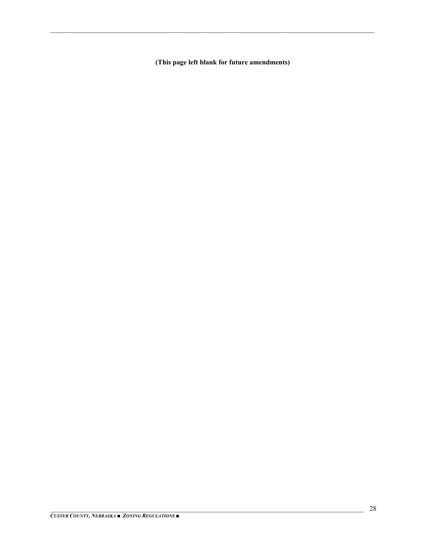(This page left blank for future amendments)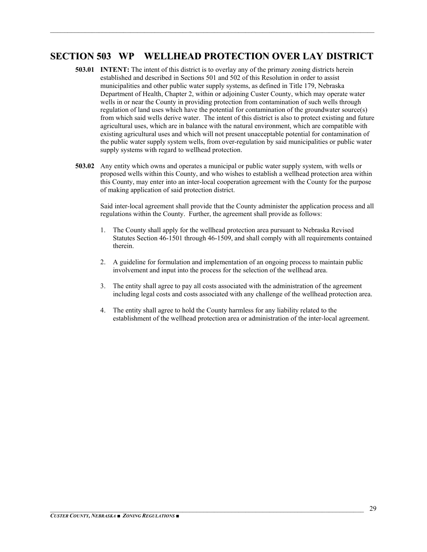## **SECTION 503 WP WELLHEAD PROTECTION OVER LAY DISTRICT**

 $\mathcal{L}_\mathcal{L} = \mathcal{L}_\mathcal{L} = \mathcal{L}_\mathcal{L} = \mathcal{L}_\mathcal{L} = \mathcal{L}_\mathcal{L} = \mathcal{L}_\mathcal{L} = \mathcal{L}_\mathcal{L} = \mathcal{L}_\mathcal{L} = \mathcal{L}_\mathcal{L} = \mathcal{L}_\mathcal{L} = \mathcal{L}_\mathcal{L} = \mathcal{L}_\mathcal{L} = \mathcal{L}_\mathcal{L} = \mathcal{L}_\mathcal{L} = \mathcal{L}_\mathcal{L} = \mathcal{L}_\mathcal{L} = \mathcal{L}_\mathcal{L}$ 

- **503.01 INTENT:** The intent of this district is to overlay any of the primary zoning districts herein established and described in Sections 501 and 502 of this Resolution in order to assist municipalities and other public water supply systems, as defined in Title 179, Nebraska Department of Health, Chapter 2, within or adjoining Custer County, which may operate water wells in or near the County in providing protection from contamination of such wells through regulation of land uses which have the potential for contamination of the groundwater source(s) from which said wells derive water. The intent of this district is also to protect existing and future agricultural uses, which are in balance with the natural environment, which are compatible with existing agricultural uses and which will not present unacceptable potential for contamination of the public water supply system wells, from over-regulation by said municipalities or public water supply systems with regard to wellhead protection.
- **503.02** Any entity which owns and operates a municipal or public water supply system, with wells or proposed wells within this County, and who wishes to establish a wellhead protection area within this County, may enter into an inter-local cooperation agreement with the County for the purpose of making application of said protection district.

Said inter-local agreement shall provide that the County administer the application process and all regulations within the County. Further, the agreement shall provide as follows:

- 1. The County shall apply for the wellhead protection area pursuant to Nebraska Revised Statutes Section 46-1501 through 46-1509, and shall comply with all requirements contained therein.
- 2. A guideline for formulation and implementation of an ongoing process to maintain public involvement and input into the process for the selection of the wellhead area.
- 3. The entity shall agree to pay all costs associated with the administration of the agreement including legal costs and costs associated with any challenge of the wellhead protection area.
- 4. The entity shall agree to hold the County harmless for any liability related to the establishment of the wellhead protection area or administration of the inter-local agreement.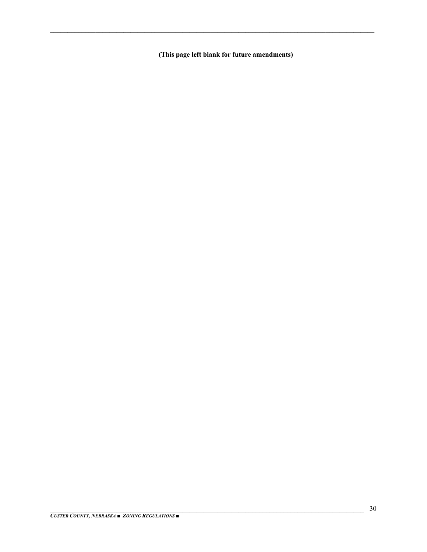(This page left blank for future amendments)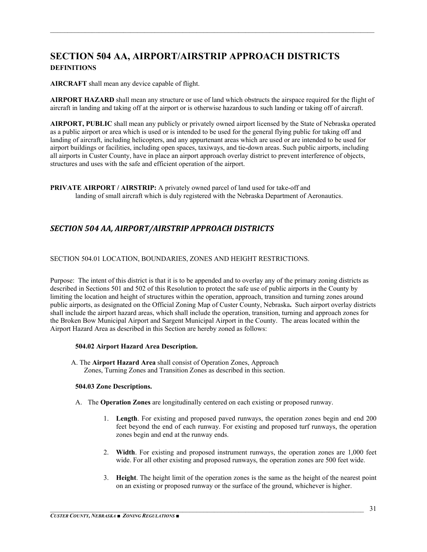## **SECTION 504 AA, AIRPORT/AIRSTRIP APPROACH DISTRICTS DEFINITIONS**

**AIRCRAFT** shall mean any device capable of flight.

**AIRPORT HAZARD** shall mean any structure or use of land which obstructs the airspace required for the flight of aircraft in landing and taking off at the airport or is otherwise hazardous to such landing or taking off of aircraft.

 $\mathcal{L}_\mathcal{L} = \mathcal{L}_\mathcal{L} = \mathcal{L}_\mathcal{L} = \mathcal{L}_\mathcal{L} = \mathcal{L}_\mathcal{L} = \mathcal{L}_\mathcal{L} = \mathcal{L}_\mathcal{L} = \mathcal{L}_\mathcal{L} = \mathcal{L}_\mathcal{L} = \mathcal{L}_\mathcal{L} = \mathcal{L}_\mathcal{L} = \mathcal{L}_\mathcal{L} = \mathcal{L}_\mathcal{L} = \mathcal{L}_\mathcal{L} = \mathcal{L}_\mathcal{L} = \mathcal{L}_\mathcal{L} = \mathcal{L}_\mathcal{L}$ 

**AIRPORT, PUBLIC** shall mean any publicly or privately owned airport licensed by the State of Nebraska operated as a public airport or area which is used or is intended to be used for the general flying public for taking off and landing of aircraft, including helicopters, and any appurtenant areas which are used or are intended to be used for airport buildings or facilities, including open spaces, taxiways, and tie-down areas. Such public airports, including all airports in Custer County, have in place an airport approach overlay district to prevent interference of objects, structures and uses with the safe and efficient operation of the airport.

**PRIVATE AIRPORT / AIRSTRIP:** A privately owned parcel of land used for take-off and landing of small aircraft which is duly registered with the Nebraska Department of Aeronautics.

#### *SECTION 504 AA, AIRPORT/AIRSTRIP APPROACH DISTRICTS*

#### SECTION 504.01 LOCATION, BOUNDARIES, ZONES AND HEIGHT RESTRICTIONS.

Purpose: The intent of this district is that it is to be appended and to overlay any of the primary zoning districts as described in Sections 501 and 502 of this Resolution to protect the safe use of public airports in the County by limiting the location and height of structures within the operation, approach, transition and turning zones around public airports, as designated on the Official Zoning Map of Custer County, Nebraska**.** Such airport overlay districts shall include the airport hazard areas, which shall include the operation, transition, turning and approach zones for the Broken Bow Municipal Airport and Sargent Municipal Airport in the County. The areas located within the Airport Hazard Area as described in this Section are hereby zoned as follows:

#### **504.02 Airport Hazard Area Description.**

 A. The **Airport Hazard Area** shall consist of Operation Zones, Approach Zones, Turning Zones and Transition Zones as described in this section.

#### **504.03 Zone Descriptions.**

- A. The **Operation Zones** are longitudinally centered on each existing or proposed runway.
	- 1. **Length**. For existing and proposed paved runways, the operation zones begin and end 200 feet beyond the end of each runway. For existing and proposed turf runways, the operation zones begin and end at the runway ends.
	- 2. **Width**. For existing and proposed instrument runways, the operation zones are 1,000 feet wide. For all other existing and proposed runways, the operation zones are 500 feet wide.
	- 3. **Height**. The height limit of the operation zones is the same as the height of the nearest point on an existing or proposed runway or the surface of the ground, whichever is higher.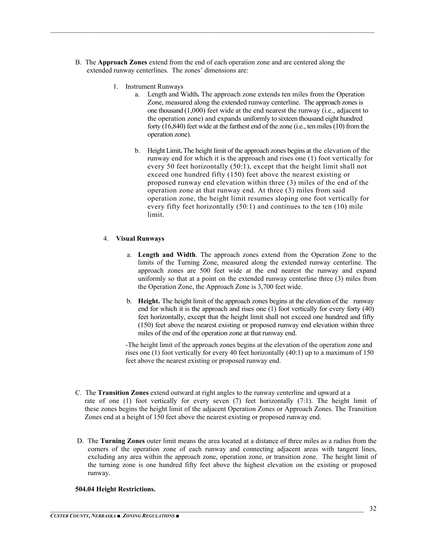B. The **Approach Zones** extend from the end of each operation zone and are centered along the extended runway centerlines. The zones' dimensions are:

 $\mathcal{L}_\mathcal{L} = \mathcal{L}_\mathcal{L} = \mathcal{L}_\mathcal{L} = \mathcal{L}_\mathcal{L} = \mathcal{L}_\mathcal{L} = \mathcal{L}_\mathcal{L} = \mathcal{L}_\mathcal{L} = \mathcal{L}_\mathcal{L} = \mathcal{L}_\mathcal{L} = \mathcal{L}_\mathcal{L} = \mathcal{L}_\mathcal{L} = \mathcal{L}_\mathcal{L} = \mathcal{L}_\mathcal{L} = \mathcal{L}_\mathcal{L} = \mathcal{L}_\mathcal{L} = \mathcal{L}_\mathcal{L} = \mathcal{L}_\mathcal{L}$ 

- 1. Instrument Runways
	- a. Length and Width**.** The approach zone extends ten miles from the Operation Zone, measured along the extended runway centerline. The approach zones is one thousand (1,000) feet wide at the end nearest the runway (i.e., adjacent to the operation zone) and expands uniformly to sixteen thousand eight hundred forty (16,840) feet wide at the farthest end of the zone (i.e., ten miles (10) from the operation zone).
	- b. Height Limit**.** The height limit of the approach zones begins at the elevation of the runway end for which it is the approach and rises one (1) foot vertically for every 50 feet horizontally (50:1), except that the height limit shall not exceed one hundred fifty (150) feet above the nearest existing or proposed runway end elevation within three (3) miles of the end of the operation zone at that runway end. At three (3) miles from said operation zone, the height limit resumes sloping one foot vertically for every fifty feet horizontally (50:1) and continues to the ten (10) mile limit.

#### 4. **Visual Runways**

- a. **Length and Width**. The approach zones extend from the Operation Zone to the limits of the Turning Zone, measured along the extended runway centerline. The approach zones are 500 feet wide at the end nearest the runway and expand uniformly so that at a point on the extended runway centerline three (3) miles from the Operation Zone, the Approach Zone is 3,700 feet wide.
- b. **Height.** The height limit of the approach zones begins at the elevation of the runway end for which it is the approach and rises one (1) foot vertically for every forty (40) feet horizontally, except that the height limit shall not exceed one hundred and fifty (150) feet above the nearest existing or proposed runway end elevation within three miles of the end of the operation zone at that runway end.

-The height limit of the approach zones begins at the elevation of the operation zone and rises one (1) foot vertically for every 40 feet horizontally (40:1) up to a maximum of 150 feet above the nearest existing or proposed runway end.

- C. The **Transition Zones** extend outward at right angles to the runway centerline and upward at a rate of one (1) foot vertically for every seven (7) feet horizontally (7:1). The height limit of these zones begins the height limit of the adjacent Operation Zones or Approach Zones. The Transition Zones end at a height of 150 feet above the nearest existing or proposed runway end.
- D. The **Turning Zones** outer limit means the area located at a distance of three miles as a radius from the corners of the operation zone of each runway and connecting adjacent areas with tangent lines, excluding any area within the approach zone, operation zone, or transition zone. The height limit of the turning zone is one hundred fifty feet above the highest elevation on the existing or proposed runway.

#### **504.04 Height Restrictions.**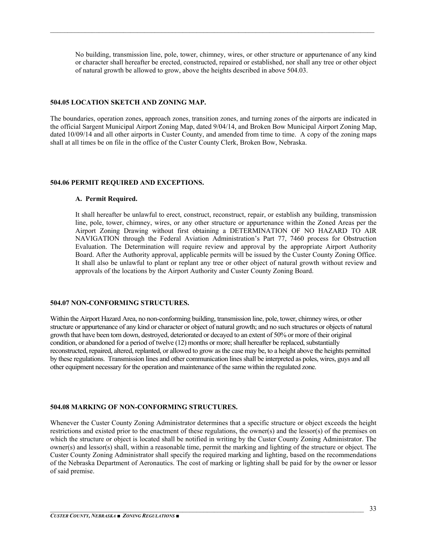No building, transmission line, pole, tower, chimney, wires, or other structure or appurtenance of any kind or character shall hereafter be erected, constructed, repaired or established, nor shall any tree or other object of natural growth be allowed to grow, above the heights described in above 504.03.

 $\mathcal{L}_\mathcal{L} = \mathcal{L}_\mathcal{L} = \mathcal{L}_\mathcal{L} = \mathcal{L}_\mathcal{L} = \mathcal{L}_\mathcal{L} = \mathcal{L}_\mathcal{L} = \mathcal{L}_\mathcal{L} = \mathcal{L}_\mathcal{L} = \mathcal{L}_\mathcal{L} = \mathcal{L}_\mathcal{L} = \mathcal{L}_\mathcal{L} = \mathcal{L}_\mathcal{L} = \mathcal{L}_\mathcal{L} = \mathcal{L}_\mathcal{L} = \mathcal{L}_\mathcal{L} = \mathcal{L}_\mathcal{L} = \mathcal{L}_\mathcal{L}$ 

#### **504.05 LOCATION SKETCH AND ZONING MAP.**

The boundaries, operation zones, approach zones, transition zones, and turning zones of the airports are indicated in the official Sargent Municipal Airport Zoning Map, dated 9/04/14, and Broken Bow Municipal Airport Zoning Map, dated 10/09/14 and all other airports in Custer County, and amended from time to time. A copy of the zoning maps shall at all times be on file in the office of the Custer County Clerk, Broken Bow, Nebraska.

#### **504.06 PERMIT REQUIRED AND EXCEPTIONS.**

#### **A. Permit Required.**

It shall hereafter be unlawful to erect, construct, reconstruct, repair, or establish any building, transmission line, pole, tower, chimney, wires, or any other structure or appurtenance within the Zoned Areas per the Airport Zoning Drawing without first obtaining a DETERMINATION OF NO HAZARD TO AIR NAVIGATION through the Federal Aviation Administration's Part 77, 7460 process for Obstruction Evaluation. The Determination will require review and approval by the appropriate Airport Authority Board. After the Authority approval, applicable permits will be issued by the Custer County Zoning Office. It shall also be unlawful to plant or replant any tree or other object of natural growth without review and approvals of the locations by the Airport Authority and Custer County Zoning Board.

#### **504.07 NON-CONFORMING STRUCTURES.**

Within the Airport Hazard Area, no non-conforming building, transmission line, pole, tower, chimney wires, or other structure or appurtenance of any kind or character or object of natural growth; and no such structures or objects of natural growth that have been torn down, destroyed, deteriorated or decayed to an extent of 50% or more of their original condition, or abandoned for a period of twelve (12) months or more; shall hereafter be replaced, substantially reconstructed, repaired, altered, replanted, or allowed to grow as the case may be, to a height above the heights permitted by these regulations. Transmission lines and other communication lines shall be interpreted as poles, wires, guys and all other equipment necessary for the operation and maintenance of the same within the regulated zone.

#### **504.08 MARKING OF NON-CONFORMING STRUCTURES.**

Whenever the Custer County Zoning Administrator determines that a specific structure or object exceeds the height restrictions and existed prior to the enactment of these regulations, the owner(s) and the lessor(s) of the premises on which the structure or object is located shall be notified in writing by the Custer County Zoning Administrator. The owner(s) and lessor(s) shall, within a reasonable time, permit the marking and lighting of the structure or object. The Custer County Zoning Administrator shall specify the required marking and lighting, based on the recommendations of the Nebraska Department of Aeronautics. The cost of marking or lighting shall be paid for by the owner or lessor of said premise.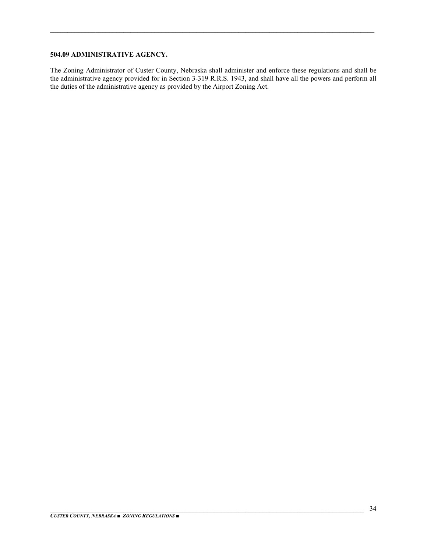#### **504.09 ADMINISTRATIVE AGENCY.**

The Zoning Administrator of Custer County, Nebraska shall administer and enforce these regulations and shall be the administrative agency provided for in Section 3-319 R.R.S. 1943, and shall have all the powers and perform all the duties of the administrative agency as provided by the Airport Zoning Act.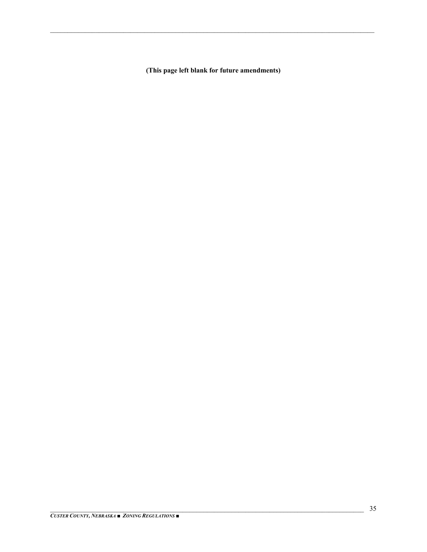(This page left blank for future amendments)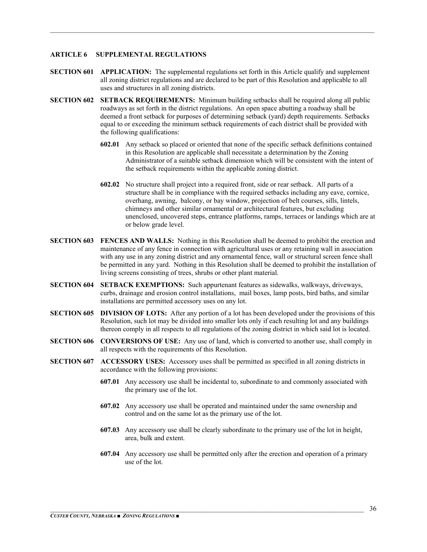#### **ARTICLE 6 SUPPLEMENTAL REGULATIONS**

**SECTION 601** APPLICATION: The supplemental regulations set forth in this Article qualify and supplement all zoning district regulations and are declared to be part of this Resolution and applicable to all uses and structures in all zoning districts.

- **SECTION 602 SETBACK REQUIREMENTS:** Minimum building setbacks shall be required along all public roadways as set forth in the district regulations. An open space abutting a roadway shall be deemed a front setback for purposes of determining setback (yard) depth requirements. Setbacks equal to or exceeding the minimum setback requirements of each district shall be provided with the following qualifications:
	- **602.01** Any setback so placed or oriented that none of the specific setback definitions contained in this Resolution are applicable shall necessitate a determination by the Zoning Administrator of a suitable setback dimension which will be consistent with the intent of the setback requirements within the applicable zoning district.
	- **602.02** No structure shall project into a required front, side or rear setback. All parts of a structure shall be in compliance with the required setbacks including any eave, cornice, overhang, awning, balcony, or bay window, projection of belt courses, sills, lintels, chimneys and other similar ornamental or architectural features, but excluding unenclosed, uncovered steps, entrance platforms, ramps, terraces or landings which are at or below grade level.
- **SECTION 603 FENCES AND WALLS:** Nothing in this Resolution shall be deemed to prohibit the erection and maintenance of any fence in connection with agricultural uses or any retaining wall in association with any use in any zoning district and any ornamental fence, wall or structural screen fence shall be permitted in any yard. Nothing in this Resolution shall be deemed to prohibit the installation of living screens consisting of trees, shrubs or other plant material.
- **SECTION 604 SETBACK EXEMPTIONS:** Such appurtenant features as sidewalks, walkways, driveways, curbs, drainage and erosion control installations, mail boxes, lamp posts, bird baths, and similar installations are permitted accessory uses on any lot.
- **SECTION 605 DIVISION OF LOTS:** After any portion of a lot has been developed under the provisions of this Resolution, such lot may be divided into smaller lots only if each resulting lot and any buildings thereon comply in all respects to all regulations of the zoning district in which said lot is located.
- **SECTION 606 CONVERSIONS OF USE:** Any use of land, which is converted to another use, shall comply in all respects with the requirements of this Resolution.
- **SECTION 607 ACCESSORY USES:** Accessory uses shall be permitted as specified in all zoning districts in accordance with the following provisions:
	- **607.01** Any accessory use shall be incidental to, subordinate to and commonly associated with the primary use of the lot.
	- **607.02** Any accessory use shall be operated and maintained under the same ownership and control and on the same lot as the primary use of the lot.
	- **607.03** Any accessory use shall be clearly subordinate to the primary use of the lot in height, area, bulk and extent.
	- **607.04** Any accessory use shall be permitted only after the erection and operation of a primary use of the lot.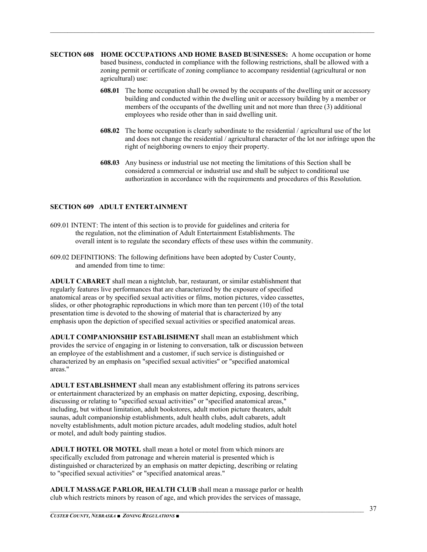**SECTION 608 HOME OCCUPATIONS AND HOME BASED BUSINESSES:** A home occupation or home based business, conducted in compliance with the following restrictions, shall be allowed with a zoning permit or certificate of zoning compliance to accompany residential (agricultural or non agricultural) use:

 $\mathcal{L}_\mathcal{L} = \mathcal{L}_\mathcal{L} = \mathcal{L}_\mathcal{L} = \mathcal{L}_\mathcal{L} = \mathcal{L}_\mathcal{L} = \mathcal{L}_\mathcal{L} = \mathcal{L}_\mathcal{L} = \mathcal{L}_\mathcal{L} = \mathcal{L}_\mathcal{L} = \mathcal{L}_\mathcal{L} = \mathcal{L}_\mathcal{L} = \mathcal{L}_\mathcal{L} = \mathcal{L}_\mathcal{L} = \mathcal{L}_\mathcal{L} = \mathcal{L}_\mathcal{L} = \mathcal{L}_\mathcal{L} = \mathcal{L}_\mathcal{L}$ 

- **608.01** The home occupation shall be owned by the occupants of the dwelling unit or accessory building and conducted within the dwelling unit or accessory building by a member or members of the occupants of the dwelling unit and not more than three (3) additional employees who reside other than in said dwelling unit.
- **608.02** The home occupation is clearly subordinate to the residential / agricultural use of the lot and does not change the residential / agricultural character of the lot nor infringe upon the right of neighboring owners to enjoy their property.
- **608.03** Any business or industrial use not meeting the limitations of this Section shall be considered a commercial or industrial use and shall be subject to conditional use authorization in accordance with the requirements and procedures of this Resolution.

#### **SECTION 609 ADULT ENTERTAINMENT**

- 609.01 INTENT: The intent of this section is to provide for guidelines and criteria for the regulation, not the elimination of Adult Entertainment Establishments. The overall intent is to regulate the secondary effects of these uses within the community.
- 609.02 DEFINITIONS: The following definitions have been adopted by Custer County, and amended from time to time:

**ADULT CABARET** shall mean a nightclub, bar, restaurant, or similar establishment that regularly features live performances that are characterized by the exposure of specified anatomical areas or by specified sexual activities or films, motion pictures, video cassettes, slides, or other photographic reproductions in which more than ten percent (10) of the total presentation time is devoted to the showing of material that is characterized by any emphasis upon the depiction of specified sexual activities or specified anatomical areas.

**ADULT COMPANIONSHIP ESTABLISHMENT** shall mean an establishment which provides the service of engaging in or listening to conversation, talk or discussion between an employee of the establishment and a customer, if such service is distinguished or characterized by an emphasis on "specified sexual activities" or "specified anatomical areas."

**ADULT ESTABLISHMENT** shall mean any establishment offering its patrons services or entertainment characterized by an emphasis on matter depicting, exposing, describing, discussing or relating to "specified sexual activities" or "specified anatomical areas," including, but without limitation, adult bookstores, adult motion picture theaters, adult saunas, adult companionship establishments, adult health clubs, adult cabarets, adult novelty establishments, adult motion picture arcades, adult modeling studios, adult hotel or motel, and adult body painting studios.

**ADULT HOTEL OR MOTEL** shall mean a hotel or motel from which minors are specifically excluded from patronage and wherein material is presented which is distinguished or characterized by an emphasis on matter depicting, describing or relating to "specified sexual activities" or "specified anatomical areas."

**ADULT MASSAGE PARLOR, HEALTH CLUB** shall mean a massage parlor or health club which restricts minors by reason of age, and which provides the services of massage,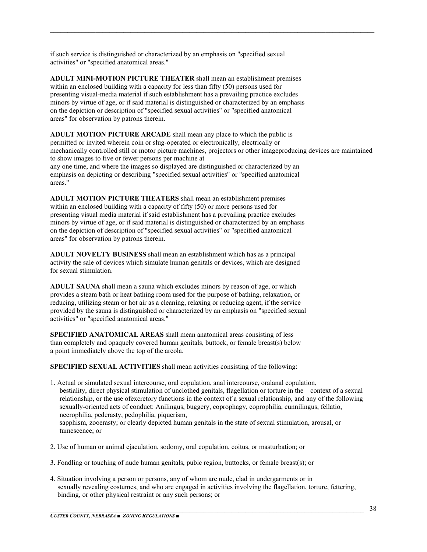if such service is distinguished or characterized by an emphasis on "specified sexual activities" or "specified anatomical areas."

**ADULT MINI-MOTION PICTURE THEATER** shall mean an establishment premises within an enclosed building with a capacity for less than fifty (50) persons used for presenting visual-media material if such establishment has a prevailing practice excludes minors by virtue of age, or if said material is distinguished or characterized by an emphasis on the depiction or description of "specified sexual activities" or "specified anatomical areas" for observation by patrons therein.

**ADULT MOTION PICTURE ARCADE** shall mean any place to which the public is permitted or invited wherein coin or slug-operated or electronically, electrically or mechanically controlled still or motor picture machines, projectors or other imageproducing devices are maintained to show images to five or fewer persons per machine at any one time, and where the images so displayed are distinguished or characterized by an emphasis on depicting or describing "specified sexual activities" or "specified anatomical areas."

 $\mathcal{L}_\mathcal{L} = \mathcal{L}_\mathcal{L} = \mathcal{L}_\mathcal{L} = \mathcal{L}_\mathcal{L} = \mathcal{L}_\mathcal{L} = \mathcal{L}_\mathcal{L} = \mathcal{L}_\mathcal{L} = \mathcal{L}_\mathcal{L} = \mathcal{L}_\mathcal{L} = \mathcal{L}_\mathcal{L} = \mathcal{L}_\mathcal{L} = \mathcal{L}_\mathcal{L} = \mathcal{L}_\mathcal{L} = \mathcal{L}_\mathcal{L} = \mathcal{L}_\mathcal{L} = \mathcal{L}_\mathcal{L} = \mathcal{L}_\mathcal{L}$ 

**ADULT MOTION PICTURE THEATERS** shall mean an establishment premises within an enclosed building with a capacity of fifty (50) or more persons used for presenting visual media material if said establishment has a prevailing practice excludes minors by virtue of age, or if said material is distinguished or characterized by an emphasis on the depiction of description of "specified sexual activities" or "specified anatomical areas" for observation by patrons therein.

**ADULT NOVELTY BUSINESS** shall mean an establishment which has as a principal activity the sale of devices which simulate human genitals or devices, which are designed for sexual stimulation.

**ADULT SAUNA** shall mean a sauna which excludes minors by reason of age, or which provides a steam bath or heat bathing room used for the purpose of bathing, relaxation, or reducing, utilizing steam or hot air as a cleaning, relaxing or reducing agent, if the service provided by the sauna is distinguished or characterized by an emphasis on "specified sexual activities" or "specified anatomical areas."

**SPECIFIED ANATOMICAL AREAS** shall mean anatomical areas consisting of less than completely and opaquely covered human genitals, buttock, or female breast(s) below a point immediately above the top of the areola.

**SPECIFIED SEXUAL ACTIVITIES** shall mean activities consisting of the following:

- 1. Actual or simulated sexual intercourse, oral copulation, anal intercourse, oralanal copulation, bestiality, direct physical stimulation of unclothed genitals, flagellation or torture in the context of a sexual relationship, or the use ofexcretory functions in the context of a sexual relationship, and any of the following sexually-oriented acts of conduct: Anilingus, buggery, coprophagy, coprophilia, cunnilingus, fellatio, necrophilia, pederasty, pedophilia, piquerism, sapphism, zooerasty; or clearly depicted human genitals in the state of sexual stimulation, arousal, or tumescence; or
- 2. Use of human or animal ejaculation, sodomy, oral copulation, coitus, or masturbation; or
- 3. Fondling or touching of nude human genitals, pubic region, buttocks, or female breast(s); or
- 4. Situation involving a person or persons, any of whom are nude, clad in undergarments or in sexually revealing costumes, and who are engaged in activities involving the flagellation, torture, fettering, binding, or other physical restraint or any such persons; or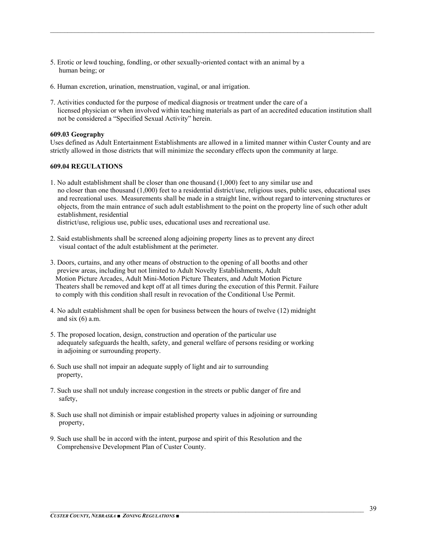- 5. Erotic or lewd touching, fondling, or other sexually-oriented contact with an animal by a human being; or
- 6. Human excretion, urination, menstruation, vaginal, or anal irrigation.
- 7. Activities conducted for the purpose of medical diagnosis or treatment under the care of a licensed physician or when involved within teaching materials as part of an accredited education institution shall not be considered a "Specified Sexual Activity" herein.

 $\mathcal{L}_\mathcal{L} = \mathcal{L}_\mathcal{L} = \mathcal{L}_\mathcal{L} = \mathcal{L}_\mathcal{L} = \mathcal{L}_\mathcal{L} = \mathcal{L}_\mathcal{L} = \mathcal{L}_\mathcal{L} = \mathcal{L}_\mathcal{L} = \mathcal{L}_\mathcal{L} = \mathcal{L}_\mathcal{L} = \mathcal{L}_\mathcal{L} = \mathcal{L}_\mathcal{L} = \mathcal{L}_\mathcal{L} = \mathcal{L}_\mathcal{L} = \mathcal{L}_\mathcal{L} = \mathcal{L}_\mathcal{L} = \mathcal{L}_\mathcal{L}$ 

#### **609.03 Geography**

Uses defined as Adult Entertainment Establishments are allowed in a limited manner within Custer County and are strictly allowed in those districts that will minimize the secondary effects upon the community at large.

#### **609.04 REGULATIONS**

1. No adult establishment shall be closer than one thousand (1,000) feet to any similar use and no closer than one thousand (1,000) feet to a residential district/use, religious uses, public uses, educational uses and recreational uses. Measurements shall be made in a straight line, without regard to intervening structures or objects, from the main entrance of such adult establishment to the point on the property line of such other adult establishment, residential

district/use, religious use, public uses, educational uses and recreational use.

- 2. Said establishments shall be screened along adjoining property lines as to prevent any direct visual contact of the adult establishment at the perimeter.
- 3. Doors, curtains, and any other means of obstruction to the opening of all booths and other preview areas, including but not limited to Adult Novelty Establishments, Adult Motion Picture Arcades, Adult Mini-Motion Picture Theaters, and Adult Motion Picture Theaters shall be removed and kept off at all times during the execution of this Permit. Failure to comply with this condition shall result in revocation of the Conditional Use Permit.
- 4. No adult establishment shall be open for business between the hours of twelve (12) midnight and six  $(6)$  a.m.
- 5. The proposed location, design, construction and operation of the particular use adequately safeguards the health, safety, and general welfare of persons residing or working in adjoining or surrounding property.
- 6. Such use shall not impair an adequate supply of light and air to surrounding property,
- 7. Such use shall not unduly increase congestion in the streets or public danger of fire and safety,
- 8. Such use shall not diminish or impair established property values in adjoining or surrounding property,
- 9. Such use shall be in accord with the intent, purpose and spirit of this Resolution and the Comprehensive Development Plan of Custer County.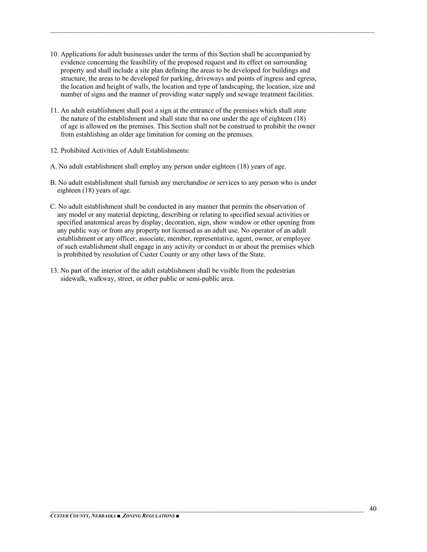10. Applications for adult businesses under the terms of this Section shall be accompanied by evidence concerning the feasibility of the proposed request and its effect on surrounding property and shall include a site plan defining the areas to be developed for buildings and structure, the areas to be developed for parking, driveways and points of ingress and egress, the location and height of walls, the location and type of landscaping, the location, size and number of signs and the manner of providing water supply and sewage treatment facilities.

- 11. An adult establishment shall post a sign at the entrance of the premises which shall state the nature of the establishment and shall state that no one under the age of eighteen (18) of age is allowed on the premises. This Section shall not be construed to prohibit the owner from establishing an older age limitation for coming on the premises.
- 12. Prohibited Activities of Adult Establishments:
- A. No adult establishment shall employ any person under eighteen (18) years of age.
- B. No adult establishment shall furnish any merchandise or services to any person who is under eighteen (18) years of age.
- C. No adult establishment shall be conducted in any manner that permits the observation of any model or any material depicting, describing or relating to specified sexual activities or specified anatomical areas by display, decoration, sign, show window or other opening from any public way or from any property not licensed as an adult use. No operator of an adult establishment or any officer, associate, member, representative, agent, owner, or employee of such establishment shall engage in any activity or conduct in or about the premises which is prohibited by resolution of Custer County or any other laws of the State.
- 13. No part of the interior of the adult establishment shall be visible from the pedestrian sidewalk, walkway, street, or other public or semi-public area.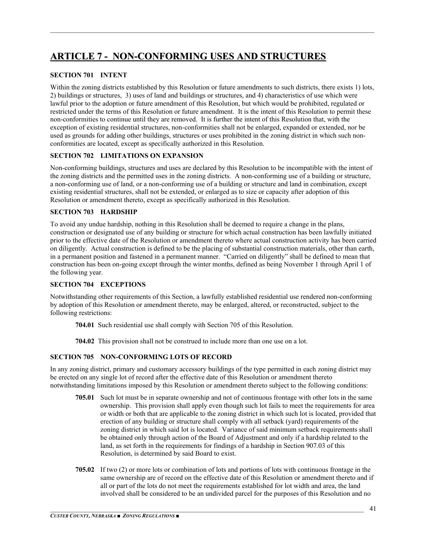## **ARTICLE 7 - NON-CONFORMING USES AND STRUCTURES**

#### **SECTION 701 INTENT**

Within the zoning districts established by this Resolution or future amendments to such districts, there exists 1) lots, 2) buildings or structures, 3) uses of land and buildings or structures, and 4) characteristics of use which were lawful prior to the adoption or future amendment of this Resolution, but which would be prohibited, regulated or restricted under the terms of this Resolution or future amendment. It is the intent of this Resolution to permit these non-conformities to continue until they are removed. It is further the intent of this Resolution that, with the exception of existing residential structures, non-conformities shall not be enlarged, expanded or extended, nor be used as grounds for adding other buildings, structures or uses prohibited in the zoning district in which such nonconformities are located, except as specifically authorized in this Resolution.

 $\mathcal{L}_\mathcal{L} = \mathcal{L}_\mathcal{L} = \mathcal{L}_\mathcal{L} = \mathcal{L}_\mathcal{L} = \mathcal{L}_\mathcal{L} = \mathcal{L}_\mathcal{L} = \mathcal{L}_\mathcal{L} = \mathcal{L}_\mathcal{L} = \mathcal{L}_\mathcal{L} = \mathcal{L}_\mathcal{L} = \mathcal{L}_\mathcal{L} = \mathcal{L}_\mathcal{L} = \mathcal{L}_\mathcal{L} = \mathcal{L}_\mathcal{L} = \mathcal{L}_\mathcal{L} = \mathcal{L}_\mathcal{L} = \mathcal{L}_\mathcal{L}$ 

#### **SECTION 702 LIMITATIONS ON EXPANSION**

Non-conforming buildings, structures and uses are declared by this Resolution to be incompatible with the intent of the zoning districts and the permitted uses in the zoning districts. A non-conforming use of a building or structure, a non-conforming use of land, or a non-conforming use of a building or structure and land in combination, except existing residential structures, shall not be extended, or enlarged as to size or capacity after adoption of this Resolution or amendment thereto, except as specifically authorized in this Resolution.

#### **SECTION 703 HARDSHIP**

To avoid any undue hardship, nothing in this Resolution shall be deemed to require a change in the plans, construction or designated use of any building or structure for which actual construction has been lawfully initiated prior to the effective date of the Resolution or amendment thereto where actual construction activity has been carried on diligently. Actual construction is defined to be the placing of substantial construction materials, other than earth, in a permanent position and fastened in a permanent manner. "Carried on diligently" shall be defined to mean that construction has been on-going except through the winter months, defined as being November 1 through April 1 of the following year.

#### **SECTION 704 EXCEPTIONS**

Notwithstanding other requirements of this Section, a lawfully established residential use rendered non-conforming by adoption of this Resolution or amendment thereto, may be enlarged, altered, or reconstructed, subject to the following restrictions:

- **704.01** Such residential use shall comply with Section 705 of this Resolution.
- **704.02** This provision shall not be construed to include more than one use on a lot.

#### **SECTION 705 NON-CONFORMING LOTS OF RECORD**

In any zoning district, primary and customary accessory buildings of the type permitted in each zoning district may be erected on any single lot of record after the effective date of this Resolution or amendment thereto notwithstanding limitations imposed by this Resolution or amendment thereto subject to the following conditions:

- **705.01** Such lot must be in separate ownership and not of continuous frontage with other lots in the same ownership. This provision shall apply even though such lot fails to meet the requirements for area or width or both that are applicable to the zoning district in which such lot is located, provided that erection of any building or structure shall comply with all setback (yard) requirements of the zoning district in which said lot is located. Variance of said minimum setback requirements shall be obtained only through action of the Board of Adjustment and only if a hardship related to the land, as set forth in the requirements for findings of a hardship in Section 907.03 of this Resolution, is determined by said Board to exist.
- **705.02** If two (2) or more lots or combination of lots and portions of lots with continuous frontage in the same ownership are of record on the effective date of this Resolution or amendment thereto and if all or part of the lots do not meet the requirements established for lot width and area, the land involved shall be considered to be an undivided parcel for the purposes of this Resolution and no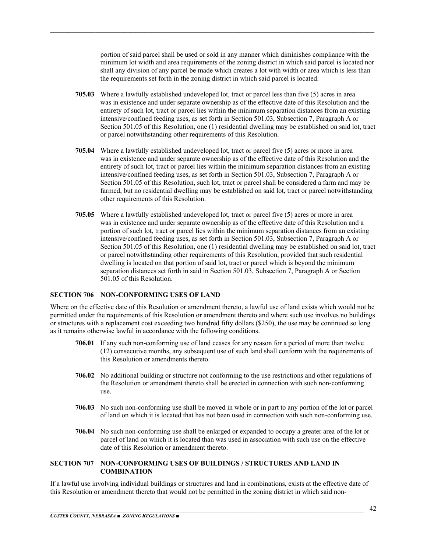portion of said parcel shall be used or sold in any manner which diminishes compliance with the minimum lot width and area requirements of the zoning district in which said parcel is located nor shall any division of any parcel be made which creates a lot with width or area which is less than the requirements set forth in the zoning district in which said parcel is located.

**705.03** Where a lawfully established undeveloped lot, tract or parcel less than five (5) acres in area was in existence and under separate ownership as of the effective date of this Resolution and the entirety of such lot, tract or parcel lies within the minimum separation distances from an existing intensive/confined feeding uses, as set forth in Section 501.03, Subsection 7, Paragraph A or Section 501.05 of this Resolution, one (1) residential dwelling may be established on said lot, tract or parcel notwithstanding other requirements of this Resolution.

 $\mathcal{L}_\mathcal{L} = \mathcal{L}_\mathcal{L} = \mathcal{L}_\mathcal{L} = \mathcal{L}_\mathcal{L} = \mathcal{L}_\mathcal{L} = \mathcal{L}_\mathcal{L} = \mathcal{L}_\mathcal{L} = \mathcal{L}_\mathcal{L} = \mathcal{L}_\mathcal{L} = \mathcal{L}_\mathcal{L} = \mathcal{L}_\mathcal{L} = \mathcal{L}_\mathcal{L} = \mathcal{L}_\mathcal{L} = \mathcal{L}_\mathcal{L} = \mathcal{L}_\mathcal{L} = \mathcal{L}_\mathcal{L} = \mathcal{L}_\mathcal{L}$ 

- **705.04** Where a lawfully established undeveloped lot, tract or parcel five (5) acres or more in area was in existence and under separate ownership as of the effective date of this Resolution and the entirety of such lot, tract or parcel lies within the minimum separation distances from an existing intensive/confined feeding uses, as set forth in Section 501.03, Subsection 7, Paragraph A or Section 501.05 of this Resolution, such lot, tract or parcel shall be considered a farm and may be farmed, but no residential dwelling may be established on said lot, tract or parcel notwithstanding other requirements of this Resolution.
- **705.05** Where a lawfully established undeveloped lot, tract or parcel five (5) acres or more in area was in existence and under separate ownership as of the effective date of this Resolution and a portion of such lot, tract or parcel lies within the minimum separation distances from an existing intensive/confined feeding uses, as set forth in Section 501.03, Subsection 7, Paragraph A or Section 501.05 of this Resolution, one (1) residential dwelling may be established on said lot, tract or parcel notwithstanding other requirements of this Resolution, provided that such residential dwelling is located on that portion of said lot, tract or parcel which is beyond the minimum separation distances set forth in said in Section 501.03, Subsection 7, Paragraph A or Section 501.05 of this Resolution.

#### **SECTION 706 NON-CONFORMING USES OF LAND**

Where on the effective date of this Resolution or amendment thereto, a lawful use of land exists which would not be permitted under the requirements of this Resolution or amendment thereto and where such use involves no buildings or structures with a replacement cost exceeding two hundred fifty dollars (\$250), the use may be continued so long as it remains otherwise lawful in accordance with the following conditions.

- **706.01** If any such non-conforming use of land ceases for any reason for a period of more than twelve (12) consecutive months, any subsequent use of such land shall conform with the requirements of this Resolution or amendments thereto.
- **706.02** No additional building or structure not conforming to the use restrictions and other regulations of the Resolution or amendment thereto shall be erected in connection with such non-conforming use.
- **706.03** No such non-conforming use shall be moved in whole or in part to any portion of the lot or parcel of land on which it is located that has not been used in connection with such non-conforming use.
- **706.04** No such non-conforming use shall be enlarged or expanded to occupy a greater area of the lot or parcel of land on which it is located than was used in association with such use on the effective date of this Resolution or amendment thereto.

#### **SECTION 707 NON-CONFORMING USES OF BUILDINGS / STRUCTURES AND LAND IN COMBINATION**

If a lawful use involving individual buildings or structures and land in combinations, exists at the effective date of this Resolution or amendment thereto that would not be permitted in the zoning district in which said non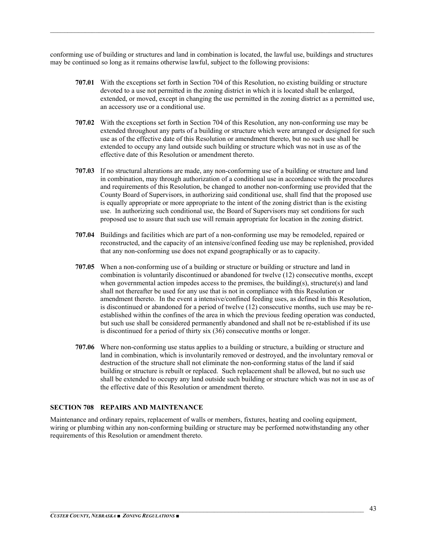conforming use of building or structures and land in combination is located, the lawful use, buildings and structures may be continued so long as it remains otherwise lawful, subject to the following provisions:

 $\mathcal{L}_\mathcal{L} = \mathcal{L}_\mathcal{L} = \mathcal{L}_\mathcal{L} = \mathcal{L}_\mathcal{L} = \mathcal{L}_\mathcal{L} = \mathcal{L}_\mathcal{L} = \mathcal{L}_\mathcal{L} = \mathcal{L}_\mathcal{L} = \mathcal{L}_\mathcal{L} = \mathcal{L}_\mathcal{L} = \mathcal{L}_\mathcal{L} = \mathcal{L}_\mathcal{L} = \mathcal{L}_\mathcal{L} = \mathcal{L}_\mathcal{L} = \mathcal{L}_\mathcal{L} = \mathcal{L}_\mathcal{L} = \mathcal{L}_\mathcal{L}$ 

- **707.01** With the exceptions set forth in Section 704 of this Resolution, no existing building or structure devoted to a use not permitted in the zoning district in which it is located shall be enlarged, extended, or moved, except in changing the use permitted in the zoning district as a permitted use, an accessory use or a conditional use.
- **707.02** With the exceptions set forth in Section 704 of this Resolution, any non-conforming use may be extended throughout any parts of a building or structure which were arranged or designed for such use as of the effective date of this Resolution or amendment thereto, but no such use shall be extended to occupy any land outside such building or structure which was not in use as of the effective date of this Resolution or amendment thereto.
- **707.03** If no structural alterations are made, any non-conforming use of a building or structure and land in combination, may through authorization of a conditional use in accordance with the procedures and requirements of this Resolution, be changed to another non-conforming use provided that the County Board of Supervisors, in authorizing said conditional use, shall find that the proposed use is equally appropriate or more appropriate to the intent of the zoning district than is the existing use. In authorizing such conditional use, the Board of Supervisors may set conditions for such proposed use to assure that such use will remain appropriate for location in the zoning district.
- **707.04** Buildings and facilities which are part of a non-conforming use may be remodeled, repaired or reconstructed, and the capacity of an intensive/confined feeding use may be replenished, provided that any non-conforming use does not expand geographically or as to capacity.
- **707.05** When a non-conforming use of a building or structure or building or structure and land in combination is voluntarily discontinued or abandoned for twelve (12) consecutive months, except when governmental action impedes access to the premises, the building(s), structure(s) and land shall not thereafter be used for any use that is not in compliance with this Resolution or amendment thereto. In the event a intensive/confined feeding uses, as defined in this Resolution, is discontinued or abandoned for a period of twelve (12) consecutive months, such use may be reestablished within the confines of the area in which the previous feeding operation was conducted, but such use shall be considered permanently abandoned and shall not be re-established if its use is discontinued for a period of thirty six (36) consecutive months or longer.
- **707.06** Where non-conforming use status applies to a building or structure, a building or structure and land in combination, which is involuntarily removed or destroyed, and the involuntary removal or destruction of the structure shall not eliminate the non-conforming status of the land if said building or structure is rebuilt or replaced. Such replacement shall be allowed, but no such use shall be extended to occupy any land outside such building or structure which was not in use as of the effective date of this Resolution or amendment thereto.

#### **SECTION 708 REPAIRS AND MAINTENANCE**

Maintenance and ordinary repairs, replacement of walls or members, fixtures, heating and cooling equipment, wiring or plumbing within any non-conforming building or structure may be performed notwithstanding any other requirements of this Resolution or amendment thereto.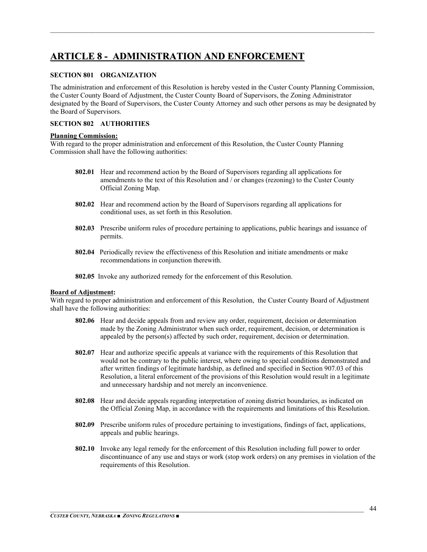## **ARTICLE 8 - ADMINISTRATION AND ENFORCEMENT**

#### **SECTION 801 ORGANIZATION**

The administration and enforcement of this Resolution is hereby vested in the Custer County Planning Commission, the Custer County Board of Adjustment, the Custer County Board of Supervisors, the Zoning Administrator designated by the Board of Supervisors, the Custer County Attorney and such other persons as may be designated by the Board of Supervisors.

 $\mathcal{L}_\mathcal{L} = \mathcal{L}_\mathcal{L} = \mathcal{L}_\mathcal{L} = \mathcal{L}_\mathcal{L} = \mathcal{L}_\mathcal{L} = \mathcal{L}_\mathcal{L} = \mathcal{L}_\mathcal{L} = \mathcal{L}_\mathcal{L} = \mathcal{L}_\mathcal{L} = \mathcal{L}_\mathcal{L} = \mathcal{L}_\mathcal{L} = \mathcal{L}_\mathcal{L} = \mathcal{L}_\mathcal{L} = \mathcal{L}_\mathcal{L} = \mathcal{L}_\mathcal{L} = \mathcal{L}_\mathcal{L} = \mathcal{L}_\mathcal{L}$ 

#### **SECTION 802 AUTHORITIES**

#### **Planning Commission:**

With regard to the proper administration and enforcement of this Resolution, the Custer County Planning Commission shall have the following authorities:

- **802.01** Hear and recommend action by the Board of Supervisors regarding all applications for amendments to the text of this Resolution and / or changes (rezoning) to the Custer County Official Zoning Map.
- **802.02** Hear and recommend action by the Board of Supervisors regarding all applications for conditional uses, as set forth in this Resolution.
- **802.03** Prescribe uniform rules of procedure pertaining to applications, public hearings and issuance of permits.
- **802.04** Periodically review the effectiveness of this Resolution and initiate amendments or make recommendations in conjunction therewith.
- **802.05** Invoke any authorized remedy for the enforcement of this Resolution.

#### **Board of Adjustment:**

With regard to proper administration and enforcement of this Resolution, the Custer County Board of Adjustment shall have the following authorities:

- **802.06** Hear and decide appeals from and review any order, requirement, decision or determination made by the Zoning Administrator when such order, requirement, decision, or determination is appealed by the person(s) affected by such order, requirement, decision or determination.
- **802.07** Hear and authorize specific appeals at variance with the requirements of this Resolution that would not be contrary to the public interest, where owing to special conditions demonstrated and after written findings of legitimate hardship, as defined and specified in Section 907.03 of this Resolution, a literal enforcement of the provisions of this Resolution would result in a legitimate and unnecessary hardship and not merely an inconvenience.
- **802.08** Hear and decide appeals regarding interpretation of zoning district boundaries, as indicated on the Official Zoning Map, in accordance with the requirements and limitations of this Resolution.
- **802.09** Prescribe uniform rules of procedure pertaining to investigations, findings of fact, applications, appeals and public hearings.
- **802.10** Invoke any legal remedy for the enforcement of this Resolution including full power to order discontinuance of any use and stays or work (stop work orders) on any premises in violation of the requirements of this Resolution.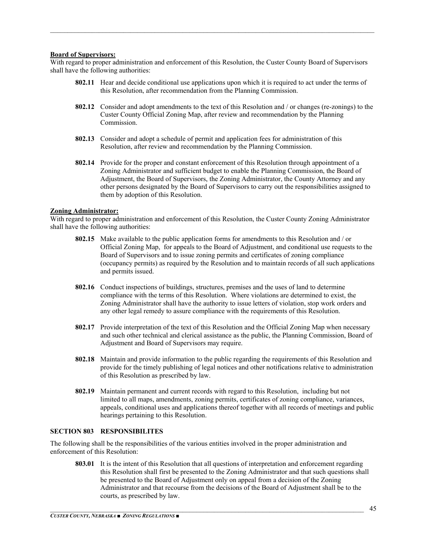#### **Board of Supervisors:**

With regard to proper administration and enforcement of this Resolution, the Custer County Board of Supervisors shall have the following authorities:

 $\mathcal{L}_\mathcal{L} = \mathcal{L}_\mathcal{L} = \mathcal{L}_\mathcal{L} = \mathcal{L}_\mathcal{L} = \mathcal{L}_\mathcal{L} = \mathcal{L}_\mathcal{L} = \mathcal{L}_\mathcal{L} = \mathcal{L}_\mathcal{L} = \mathcal{L}_\mathcal{L} = \mathcal{L}_\mathcal{L} = \mathcal{L}_\mathcal{L} = \mathcal{L}_\mathcal{L} = \mathcal{L}_\mathcal{L} = \mathcal{L}_\mathcal{L} = \mathcal{L}_\mathcal{L} = \mathcal{L}_\mathcal{L} = \mathcal{L}_\mathcal{L}$ 

- **802.11** Hear and decide conditional use applications upon which it is required to act under the terms of this Resolution, after recommendation from the Planning Commission.
- **802.12** Consider and adopt amendments to the text of this Resolution and / or changes (re-zonings) to the Custer County Official Zoning Map, after review and recommendation by the Planning Commission.
- **802.13** Consider and adopt a schedule of permit and application fees for administration of this Resolution, after review and recommendation by the Planning Commission.
- **802.14** Provide for the proper and constant enforcement of this Resolution through appointment of a Zoning Administrator and sufficient budget to enable the Planning Commission, the Board of Adjustment, the Board of Supervisors, the Zoning Administrator, the County Attorney and any other persons designated by the Board of Supervisors to carry out the responsibilities assigned to them by adoption of this Resolution.

#### **Zoning Administrator:**

With regard to proper administration and enforcement of this Resolution, the Custer County Zoning Administrator shall have the following authorities:

- **802.15** Make available to the public application forms for amendments to this Resolution and / or Official Zoning Map, for appeals to the Board of Adjustment, and conditional use requests to the Board of Supervisors and to issue zoning permits and certificates of zoning compliance (occupancy permits) as required by the Resolution and to maintain records of all such applications and permits issued.
- **802.16** Conduct inspections of buildings, structures, premises and the uses of land to determine compliance with the terms of this Resolution. Where violations are determined to exist, the Zoning Administrator shall have the authority to issue letters of violation, stop work orders and any other legal remedy to assure compliance with the requirements of this Resolution.
- **802.17** Provide interpretation of the text of this Resolution and the Official Zoning Map when necessary and such other technical and clerical assistance as the public, the Planning Commission, Board of Adjustment and Board of Supervisors may require.
- **802.18** Maintain and provide information to the public regarding the requirements of this Resolution and provide for the timely publishing of legal notices and other notifications relative to administration of this Resolution as prescribed by law.
- **802.19** Maintain permanent and current records with regard to this Resolution, including but not limited to all maps, amendments, zoning permits, certificates of zoning compliance, variances, appeals, conditional uses and applications thereof together with all records of meetings and public hearings pertaining to this Resolution.

#### **SECTION 803 RESPONSIBILITES**

The following shall be the responsibilities of the various entities involved in the proper administration and enforcement of this Resolution:

**803.01** It is the intent of this Resolution that all questions of interpretation and enforcement regarding this Resolution shall first be presented to the Zoning Administrator and that such questions shall be presented to the Board of Adjustment only on appeal from a decision of the Zoning Administrator and that recourse from the decisions of the Board of Adjustment shall be to the courts, as prescribed by law.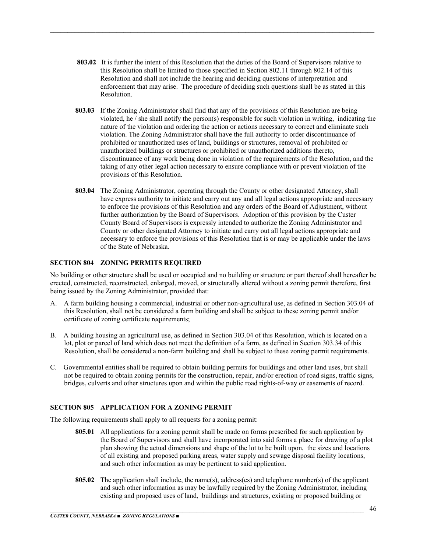**803.02** It is further the intent of this Resolution that the duties of the Board of Supervisors relative to this Resolution shall be limited to those specified in Section 802.11 through 802.14 of this Resolution and shall not include the hearing and deciding questions of interpretation and enforcement that may arise. The procedure of deciding such questions shall be as stated in this Resolution.

 $\mathcal{L}_\mathcal{L} = \mathcal{L}_\mathcal{L} = \mathcal{L}_\mathcal{L} = \mathcal{L}_\mathcal{L} = \mathcal{L}_\mathcal{L} = \mathcal{L}_\mathcal{L} = \mathcal{L}_\mathcal{L} = \mathcal{L}_\mathcal{L} = \mathcal{L}_\mathcal{L} = \mathcal{L}_\mathcal{L} = \mathcal{L}_\mathcal{L} = \mathcal{L}_\mathcal{L} = \mathcal{L}_\mathcal{L} = \mathcal{L}_\mathcal{L} = \mathcal{L}_\mathcal{L} = \mathcal{L}_\mathcal{L} = \mathcal{L}_\mathcal{L}$ 

- **803.03** If the Zoning Administrator shall find that any of the provisions of this Resolution are being violated, he / she shall notify the person(s) responsible for such violation in writing, indicating the nature of the violation and ordering the action or actions necessary to correct and eliminate such violation. The Zoning Administrator shall have the full authority to order discontinuance of prohibited or unauthorized uses of land, buildings or structures, removal of prohibited or unauthorized buildings or structures or prohibited or unauthorized additions thereto, discontinuance of any work being done in violation of the requirements of the Resolution, and the taking of any other legal action necessary to ensure compliance with or prevent violation of the provisions of this Resolution.
- **803.04** The Zoning Administrator, operating through the County or other designated Attorney, shall have express authority to initiate and carry out any and all legal actions appropriate and necessary to enforce the provisions of this Resolution and any orders of the Board of Adjustment, without further authorization by the Board of Supervisors. Adoption of this provision by the Custer County Board of Supervisors is expressly intended to authorize the Zoning Administrator and County or other designated Attorney to initiate and carry out all legal actions appropriate and necessary to enforce the provisions of this Resolution that is or may be applicable under the laws of the State of Nebraska.

#### **SECTION 804 ZONING PERMITS REQUIRED**

No building or other structure shall be used or occupied and no building or structure or part thereof shall hereafter be erected, constructed, reconstructed, enlarged, moved, or structurally altered without a zoning permit therefore, first being issued by the Zoning Administrator, provided that:

- A. A farm building housing a commercial, industrial or other non-agricultural use, as defined in Section 303.04 of this Resolution, shall not be considered a farm building and shall be subject to these zoning permit and/or certificate of zoning certificate requirements;
- B. A building housing an agricultural use, as defined in Section 303.04 of this Resolution, which is located on a lot, plot or parcel of land which does not meet the definition of a farm, as defined in Section 303.34 of this Resolution, shall be considered a non-farm building and shall be subject to these zoning permit requirements.
- C. Governmental entities shall be required to obtain building permits for buildings and other land uses, but shall not be required to obtain zoning permits for the construction, repair, and/or erection of road signs, traffic signs, bridges, culverts and other structures upon and within the public road rights-of-way or easements of record.

#### **SECTION 805 APPLICATION FOR A ZONING PERMIT**

The following requirements shall apply to all requests for a zoning permit:

- **805.01** All applications for a zoning permit shall be made on forms prescribed for such application by the Board of Supervisors and shall have incorporated into said forms a place for drawing of a plot plan showing the actual dimensions and shape of the lot to be built upon, the sizes and locations of all existing and proposed parking areas, water supply and sewage disposal facility locations, and such other information as may be pertinent to said application.
- **805.02** The application shall include, the name(s), address(es) and telephone number(s) of the applicant and such other information as may be lawfully required by the Zoning Administrator, including existing and proposed uses of land, buildings and structures, existing or proposed building or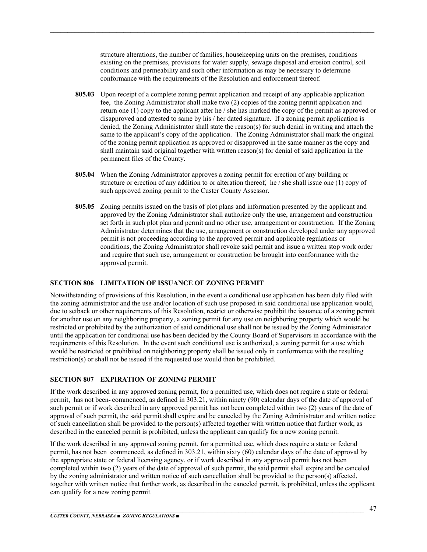structure alterations, the number of families, housekeeping units on the premises, conditions existing on the premises, provisions for water supply, sewage disposal and erosion control, soil conditions and permeability and such other information as may be necessary to determine conformance with the requirements of the Resolution and enforcement thereof.

 $\mathcal{L}_\mathcal{L} = \mathcal{L}_\mathcal{L} = \mathcal{L}_\mathcal{L} = \mathcal{L}_\mathcal{L} = \mathcal{L}_\mathcal{L} = \mathcal{L}_\mathcal{L} = \mathcal{L}_\mathcal{L} = \mathcal{L}_\mathcal{L} = \mathcal{L}_\mathcal{L} = \mathcal{L}_\mathcal{L} = \mathcal{L}_\mathcal{L} = \mathcal{L}_\mathcal{L} = \mathcal{L}_\mathcal{L} = \mathcal{L}_\mathcal{L} = \mathcal{L}_\mathcal{L} = \mathcal{L}_\mathcal{L} = \mathcal{L}_\mathcal{L}$ 

- **805.03** Upon receipt of a complete zoning permit application and receipt of any applicable application fee, the Zoning Administrator shall make two (2) copies of the zoning permit application and return one (1) copy to the applicant after he / she has marked the copy of the permit as approved or disapproved and attested to same by his / her dated signature. If a zoning permit application is denied, the Zoning Administrator shall state the reason(s) for such denial in writing and attach the same to the applicant's copy of the application. The Zoning Administrator shall mark the original of the zoning permit application as approved or disapproved in the same manner as the copy and shall maintain said original together with written reason(s) for denial of said application in the permanent files of the County.
- **805.04** When the Zoning Administrator approves a zoning permit for erection of any building or structure or erection of any addition to or alteration thereof, he / she shall issue one (1) copy of such approved zoning permit to the Custer County Assessor.
- **805.05** Zoning permits issued on the basis of plot plans and information presented by the applicant and approved by the Zoning Administrator shall authorize only the use, arrangement and construction set forth in such plot plan and permit and no other use, arrangement or construction. If the Zoning Administrator determines that the use, arrangement or construction developed under any approved permit is not proceeding according to the approved permit and applicable regulations or conditions, the Zoning Administrator shall revoke said permit and issue a written stop work order and require that such use, arrangement or construction be brought into conformance with the approved permit.

#### **SECTION 806 LIMITATION OF ISSUANCE OF ZONING PERMIT**

Notwithstanding of provisions of this Resolution, in the event a conditional use application has been duly filed with the zoning administrator and the use and/or location of such use proposed in said conditional use application would, due to setback or other requirements of this Resolution, restrict or otherwise prohibit the issuance of a zoning permit for another use on any neighboring property, a zoning permit for any use on neighboring property which would be restricted or prohibited by the authorization of said conditional use shall not be issued by the Zoning Administrator until the application for conditional use has been decided by the County Board of Supervisors in accordance with the requirements of this Resolution. In the event such conditional use is authorized, a zoning permit for a use which would be restricted or prohibited on neighboring property shall be issued only in conformance with the resulting restriction(s) or shall not be issued if the requested use would then be prohibited.

#### **SECTION 807 EXPIRATION OF ZONING PERMIT**

If the work described in any approved zoning permit, for a permitted use, which does not require a state or federal permit, has not been commenced, as defined in 303.21, within ninety (90) calendar days of the date of approval of such permit or if work described in any approved permit has not been completed within two (2) years of the date of approval of such permit, the said permit shall expire and be canceled by the Zoning Administrator and written notice of such cancellation shall be provided to the person(s) affected together with written notice that further work, as described in the canceled permit is prohibited, unless the applicant can qualify for a new zoning permit.

If the work described in any approved zoning permit, for a permitted use, which does require a state or federal permit, has not been commenced, as defined in 303.21, within sixty (60) calendar days of the date of approval by the appropriate state or federal licensing agency, or if work described in any approved permit has not been completed within two (2) years of the date of approval of such permit, the said permit shall expire and be canceled by the zoning administrator and written notice of such cancellation shall be provided to the person(s) affected, together with written notice that further work, as described in the canceled permit, is prohibited, unless the applicant can qualify for a new zoning permit.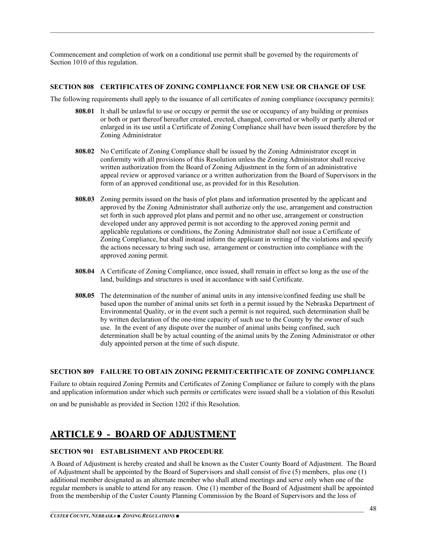Commencement and completion of work on a conditional use permit shall be governed by the requirements of Section 1010 of this regulation.

 $\mathcal{L}_\mathcal{L} = \mathcal{L}_\mathcal{L} = \mathcal{L}_\mathcal{L} = \mathcal{L}_\mathcal{L} = \mathcal{L}_\mathcal{L} = \mathcal{L}_\mathcal{L} = \mathcal{L}_\mathcal{L} = \mathcal{L}_\mathcal{L} = \mathcal{L}_\mathcal{L} = \mathcal{L}_\mathcal{L} = \mathcal{L}_\mathcal{L} = \mathcal{L}_\mathcal{L} = \mathcal{L}_\mathcal{L} = \mathcal{L}_\mathcal{L} = \mathcal{L}_\mathcal{L} = \mathcal{L}_\mathcal{L} = \mathcal{L}_\mathcal{L}$ 

#### **SECTION 808 CERTIFICATES OF ZONING COMPLIANCE FOR NEW USE OR CHANGE OF USE**

The following requirements shall apply to the issuance of all certificates of zoning compliance (occupancy permits):

- **808.01** It shall be unlawful to use or occupy or permit the use or occupancy of any building or premises or both or part thereof hereafter created, erected, changed, converted or wholly or partly altered or enlarged in its use until a Certificate of Zoning Compliance shall have been issued therefore by the Zoning Administrator
- **808.02** No Certificate of Zoning Compliance shall be issued by the Zoning Administrator except in conformity with all provisions of this Resolution unless the Zoning Administrator shall receive written authorization from the Board of Zoning Adjustment in the form of an administrative appeal review or approved variance or a written authorization from the Board of Supervisors in the form of an approved conditional use, as provided for in this Resolution.
- **808.03** Zoning permits issued on the basis of plot plans and information presented by the applicant and approved by the Zoning Administrator shall authorize only the use, arrangement and construction set forth in such approved plot plans and permit and no other use, arrangement or construction developed under any approved permit is not according to the approved zoning permit and applicable regulations or conditions, the Zoning Administrator shall not issue a Certificate of Zoning Compliance, but shall instead inform the applicant in writing of the violations and specify the actions necessary to bring such use, arrangement or construction into compliance with the approved zoning permit.
- **808.04** A Certificate of Zoning Compliance, once issued, shall remain in effect so long as the use of the land, buildings and structures is used in accordance with said Certificate.
- **808.05** The determination of the number of animal units in any intensive/confined feeding use shall be based upon the number of animal units set forth in a permit issued by the Nebraska Department of Environmental Quality, or in the event such a permit is not required, such determination shall be by written declaration of the one-time capacity of such use to the County by the owner of such use. In the event of any dispute over the number of animal units being confined, such determination shall be by actual counting of the animal units by the Zoning Administrator or other duly appointed person at the time of such dispute.

#### **SECTION 809 FAILURE TO OBTAIN ZONING PERMIT/CERTIFICATE OF ZONING COMPLIANCE**

Failure to obtain required Zoning Permits and Certificates of Zoning Compliance or failure to comply with the plans and application information under which such permits or certificates were issued shall be a violation of this Resoluti

on and be punishable as provided in Section 1202 if this Resolution.

## **ARTICLE 9 - BOARD OF ADJUSTMENT**

#### **SECTION 901 ESTABLISHMENT AND PROCEDURE**

A Board of Adjustment is hereby created and shall be known as the Custer County Board of Adjustment. The Board of Adjustment shall be appointed by the Board of Supervisors and shall consist of five (5) members, plus one (1) additional member designated as an alternate member who shall attend meetings and serve only when one of the regular members is unable to attend for any reason. One (1) member of the Board of Adjustment shall be appointed from the membership of the Custer County Planning Commission by the Board of Supervisors and the loss of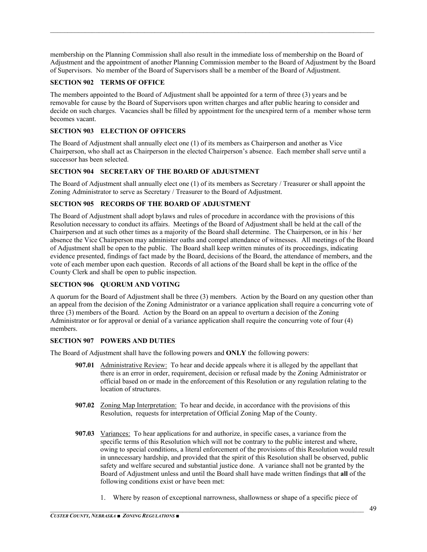membership on the Planning Commission shall also result in the immediate loss of membership on the Board of Adjustment and the appointment of another Planning Commission member to the Board of Adjustment by the Board of Supervisors. No member of the Board of Supervisors shall be a member of the Board of Adjustment.

 $\mathcal{L}_\mathcal{L} = \mathcal{L}_\mathcal{L} = \mathcal{L}_\mathcal{L} = \mathcal{L}_\mathcal{L} = \mathcal{L}_\mathcal{L} = \mathcal{L}_\mathcal{L} = \mathcal{L}_\mathcal{L} = \mathcal{L}_\mathcal{L} = \mathcal{L}_\mathcal{L} = \mathcal{L}_\mathcal{L} = \mathcal{L}_\mathcal{L} = \mathcal{L}_\mathcal{L} = \mathcal{L}_\mathcal{L} = \mathcal{L}_\mathcal{L} = \mathcal{L}_\mathcal{L} = \mathcal{L}_\mathcal{L} = \mathcal{L}_\mathcal{L}$ 

#### **SECTION 902 TERMS OF OFFICE**

The members appointed to the Board of Adjustment shall be appointed for a term of three (3) years and be removable for cause by the Board of Supervisors upon written charges and after public hearing to consider and decide on such charges. Vacancies shall be filled by appointment for the unexpired term of a member whose term becomes vacant.

#### **SECTION 903 ELECTION OF OFFICERS**

The Board of Adjustment shall annually elect one (1) of its members as Chairperson and another as Vice Chairperson, who shall act as Chairperson in the elected Chairperson's absence. Each member shall serve until a successor has been selected.

#### **SECTION 904 SECRETARY OF THE BOARD OF ADJUSTMENT**

The Board of Adjustment shall annually elect one (1) of its members as Secretary / Treasurer or shall appoint the Zoning Administrator to serve as Secretary / Treasurer to the Board of Adjustment.

#### **SECTION 905 RECORDS OF THE BOARD OF ADJUSTMENT**

The Board of Adjustment shall adopt bylaws and rules of procedure in accordance with the provisions of this Resolution necessary to conduct its affairs. Meetings of the Board of Adjustment shall be held at the call of the Chairperson and at such other times as a majority of the Board shall determine. The Chairperson, or in his / her absence the Vice Chairperson may administer oaths and compel attendance of witnesses. All meetings of the Board of Adjustment shall be open to the public. The Board shall keep written minutes of its proceedings, indicating evidence presented, findings of fact made by the Board, decisions of the Board, the attendance of members, and the vote of each member upon each question. Records of all actions of the Board shall be kept in the office of the County Clerk and shall be open to public inspection.

#### **SECTION 906 QUORUM AND VOTING**

A quorum for the Board of Adjustment shall be three (3) members. Action by the Board on any question other than an appeal from the decision of the Zoning Administrator or a variance application shall require a concurring vote of three (3) members of the Board. Action by the Board on an appeal to overturn a decision of the Zoning Administrator or for approval or denial of a variance application shall require the concurring vote of four (4) members.

#### **SECTION 907 POWERS AND DUTIES**

The Board of Adjustment shall have the following powers and **ONLY** the following powers:

- **907.01** Administrative Review: To hear and decide appeals where it is alleged by the appellant that there is an error in order, requirement, decision or refusal made by the Zoning Administrator or official based on or made in the enforcement of this Resolution or any regulation relating to the location of structures.
- **907.02** Zoning Map Interpretation: To hear and decide, in accordance with the provisions of this Resolution, requests for interpretation of Official Zoning Map of the County.
- **907.03** Variances: To hear applications for and authorize, in specific cases, a variance from the specific terms of this Resolution which will not be contrary to the public interest and where, owing to special conditions, a literal enforcement of the provisions of this Resolution would result in unnecessary hardship, and provided that the spirit of this Resolution shall be observed, public safety and welfare secured and substantial justice done. A variance shall not be granted by the Board of Adjustment unless and until the Board shall have made written findings that **all** of the following conditions exist or have been met:
	- 1. Where by reason of exceptional narrowness, shallowness or shape of a specific piece of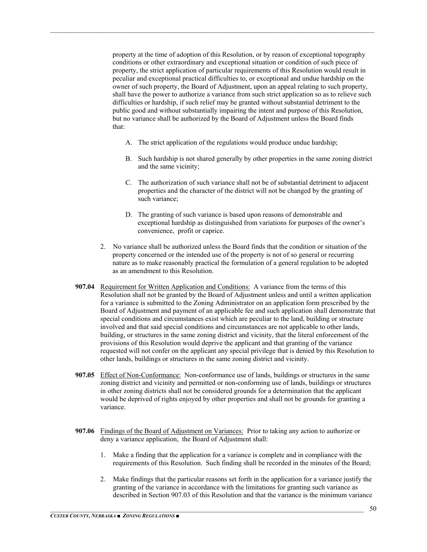property at the time of adoption of this Resolution, or by reason of exceptional topography conditions or other extraordinary and exceptional situation or condition of such piece of property, the strict application of particular requirements of this Resolution would result in peculiar and exceptional practical difficulties to, or exceptional and undue hardship on the owner of such property, the Board of Adjustment, upon an appeal relating to such property, shall have the power to authorize a variance from such strict application so as to relieve such difficulties or hardship, if such relief may be granted without substantial detriment to the public good and without substantially impairing the intent and purpose of this Resolution, but no variance shall be authorized by the Board of Adjustment unless the Board finds that:

- A. The strict application of the regulations would produce undue hardship;
- B. Such hardship is not shared generally by other properties in the same zoning district and the same vicinity;
- C. The authorization of such variance shall not be of substantial detriment to adjacent properties and the character of the district will not be changed by the granting of such variance;
- D. The granting of such variance is based upon reasons of demonstrable and exceptional hardship as distinguished from variations for purposes of the owner's convenience, profit or caprice.
- 2. No variance shall be authorized unless the Board finds that the condition or situation of the property concerned or the intended use of the property is not of so general or recurring nature as to make reasonably practical the formulation of a general regulation to be adopted as an amendment to this Resolution.
- **907.04** Requirement for Written Application and Conditions: A variance from the terms of this Resolution shall not be granted by the Board of Adjustment unless and until a written application for a variance is submitted to the Zoning Administrator on an application form prescribed by the Board of Adjustment and payment of an applicable fee and such application shall demonstrate that special conditions and circumstances exist which are peculiar to the land, building or structure involved and that said special conditions and circumstances are not applicable to other lands, building, or structures in the same zoning district and vicinity, that the literal enforcement of the provisions of this Resolution would deprive the applicant and that granting of the variance requested will not confer on the applicant any special privilege that is denied by this Resolution to other lands, buildings or structures in the same zoning district and vicinity.
- **907.05** Effect of Non-Conformance: Non-conformance use of lands, buildings or structures in the same zoning district and vicinity and permitted or non-conforming use of lands, buildings or structures in other zoning districts shall not be considered grounds for a determination that the applicant would be deprived of rights enjoyed by other properties and shall not be grounds for granting a variance.
- **907.06** Findings of the Board of Adjustment on Variances: Prior to taking any action to authorize or deny a variance application, the Board of Adjustment shall:
	- 1. Make a finding that the application for a variance is complete and in compliance with the requirements of this Resolution. Such finding shall be recorded in the minutes of the Board;
	- 2. Make findings that the particular reasons set forth in the application for a variance justify the granting of the variance in accordance with the limitations for granting such variance as described in Section 907.03 of this Resolution and that the variance is the minimum variance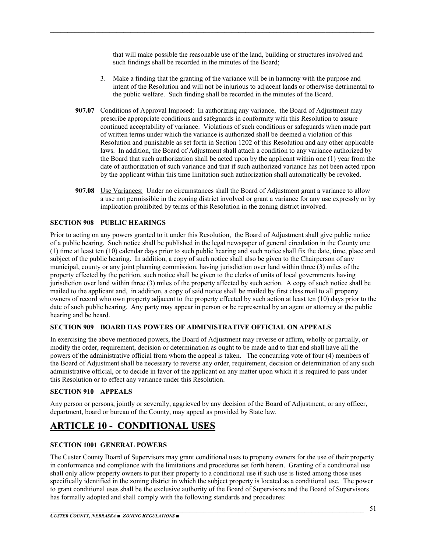that will make possible the reasonable use of the land, building or structures involved and such findings shall be recorded in the minutes of the Board;

 $\mathcal{L}_\mathcal{L} = \mathcal{L}_\mathcal{L} = \mathcal{L}_\mathcal{L} = \mathcal{L}_\mathcal{L} = \mathcal{L}_\mathcal{L} = \mathcal{L}_\mathcal{L} = \mathcal{L}_\mathcal{L} = \mathcal{L}_\mathcal{L} = \mathcal{L}_\mathcal{L} = \mathcal{L}_\mathcal{L} = \mathcal{L}_\mathcal{L} = \mathcal{L}_\mathcal{L} = \mathcal{L}_\mathcal{L} = \mathcal{L}_\mathcal{L} = \mathcal{L}_\mathcal{L} = \mathcal{L}_\mathcal{L} = \mathcal{L}_\mathcal{L}$ 

- 3. Make a finding that the granting of the variance will be in harmony with the purpose and intent of the Resolution and will not be injurious to adjacent lands or otherwise detrimental to the public welfare. Such finding shall be recorded in the minutes of the Board.
- **907.07** Conditions of Approval Imposed: In authorizing any variance, the Board of Adjustment may prescribe appropriate conditions and safeguards in conformity with this Resolution to assure continued acceptability of variance. Violations of such conditions or safeguards when made part of written terms under which the variance is authorized shall be deemed a violation of this Resolution and punishable as set forth in Section 1202 of this Resolution and any other applicable laws. In addition, the Board of Adjustment shall attach a condition to any variance authorized by the Board that such authorization shall be acted upon by the applicant within one (1) year from the date of authorization of such variance and that if such authorized variance has not been acted upon by the applicant within this time limitation such authorization shall automatically be revoked.
- **907.08** Use Variances: Under no circumstances shall the Board of Adjustment grant a variance to allow a use not permissible in the zoning district involved or grant a variance for any use expressly or by implication prohibited by terms of this Resolution in the zoning district involved.

#### **SECTION 908 PUBLIC HEARINGS**

Prior to acting on any powers granted to it under this Resolution, the Board of Adjustment shall give public notice of a public hearing. Such notice shall be published in the legal newspaper of general circulation in the County one (1) time at least ten (10) calendar days prior to such public hearing and such notice shall fix the date, time, place and subject of the public hearing. In addition, a copy of such notice shall also be given to the Chairperson of any municipal, county or any joint planning commission, having jurisdiction over land within three (3) miles of the property effected by the petition, such notice shall be given to the clerks of units of local governments having jurisdiction over land within three (3) miles of the property affected by such action. A copy of such notice shall be mailed to the applicant and, in addition, a copy of said notice shall be mailed by first class mail to all property owners of record who own property adjacent to the property effected by such action at least ten (10) days prior to the date of such public hearing. Any party may appear in person or be represented by an agent or attorney at the public hearing and be heard.

#### **SECTION 909 BOARD HAS POWERS OF ADMINISTRATIVE OFFICIAL ON APPEALS**

In exercising the above mentioned powers, the Board of Adjustment may reverse or affirm, wholly or partially, or modify the order, requirement, decision or determination as ought to be made and to that end shall have all the powers of the administrative official from whom the appeal is taken. The concurring vote of four (4) members of the Board of Adjustment shall be necessary to reverse any order, requirement, decision or determination of any such administrative official, or to decide in favor of the applicant on any matter upon which it is required to pass under this Resolution or to effect any variance under this Resolution.

#### **SECTION 910 APPEALS**

Any person or persons, jointly or severally, aggrieved by any decision of the Board of Adjustment, or any officer, department, board or bureau of the County, may appeal as provided by State law.

## **ARTICLE 10 - CONDITIONAL USES**

#### **SECTION 1001 GENERAL POWERS**

The Custer County Board of Supervisors may grant conditional uses to property owners for the use of their property in conformance and compliance with the limitations and procedures set forth herein. Granting of a conditional use shall only allow property owners to put their property to a conditional use if such use is listed among those uses specifically identified in the zoning district in which the subject property is located as a conditional use. The power to grant conditional uses shall be the exclusive authority of the Board of Supervisors and the Board of Supervisors has formally adopted and shall comply with the following standards and procedures: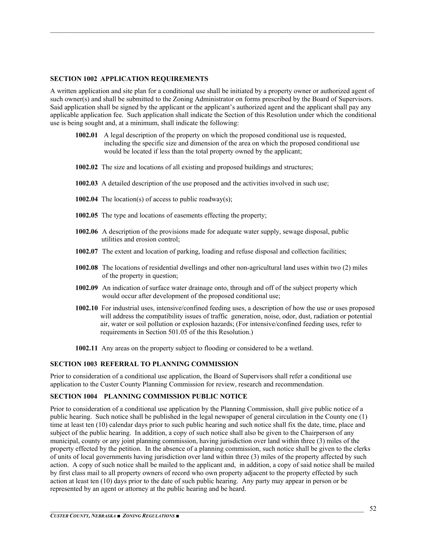#### **SECTION 1002 APPLICATION REQUIREMENTS**

A written application and site plan for a conditional use shall be initiated by a property owner or authorized agent of such owner(s) and shall be submitted to the Zoning Administrator on forms prescribed by the Board of Supervisors. Said application shall be signed by the applicant or the applicant's authorized agent and the applicant shall pay any applicable application fee. Such application shall indicate the Section of this Resolution under which the conditional use is being sought and, at a minimum, shall indicate the following:

 $\mathcal{L}_\mathcal{L} = \mathcal{L}_\mathcal{L} = \mathcal{L}_\mathcal{L} = \mathcal{L}_\mathcal{L} = \mathcal{L}_\mathcal{L} = \mathcal{L}_\mathcal{L} = \mathcal{L}_\mathcal{L} = \mathcal{L}_\mathcal{L} = \mathcal{L}_\mathcal{L} = \mathcal{L}_\mathcal{L} = \mathcal{L}_\mathcal{L} = \mathcal{L}_\mathcal{L} = \mathcal{L}_\mathcal{L} = \mathcal{L}_\mathcal{L} = \mathcal{L}_\mathcal{L} = \mathcal{L}_\mathcal{L} = \mathcal{L}_\mathcal{L}$ 

- **1002.01** A legal description of the property on which the proposed conditional use is requested, including the specific size and dimension of the area on which the proposed conditional use would be located if less than the total property owned by the applicant;
- **1002.02** The size and locations of all existing and proposed buildings and structures;
- **1002.03** A detailed description of the use proposed and the activities involved in such use;
- **1002.04** The location(s) of access to public roadway(s);
- **1002.05** The type and locations of easements effecting the property;
- **1002.06** A description of the provisions made for adequate water supply, sewage disposal, public utilities and erosion control;
- **1002.07** The extent and location of parking, loading and refuse disposal and collection facilities;
- **1002.08** The locations of residential dwellings and other non-agricultural land uses within two (2) miles of the property in question;
- **1002.09** An indication of surface water drainage onto, through and off of the subject property which would occur after development of the proposed conditional use;
- **1002.10** For industrial uses, intensive/confined feeding uses, a description of how the use or uses proposed will address the compatibility issues of traffic generation, noise, odor, dust, radiation or potential air, water or soil pollution or explosion hazards; (For intensive/confined feeding uses, refer to requirements in Section 501.05 of the this Resolution.)
- **1002.11** Any areas on the property subject to flooding or considered to be a wetland.

#### **SECTION 1003 REFERRAL TO PLANNING COMMISSION**

Prior to consideration of a conditional use application, the Board of Supervisors shall refer a conditional use application to the Custer County Planning Commission for review, research and recommendation.

#### **SECTION 1004 PLANNING COMMISSION PUBLIC NOTICE**

Prior to consideration of a conditional use application by the Planning Commission, shall give public notice of a public hearing. Such notice shall be published in the legal newspaper of general circulation in the County one (1) time at least ten (10) calendar days prior to such public hearing and such notice shall fix the date, time, place and subject of the public hearing. In addition, a copy of such notice shall also be given to the Chairperson of any municipal, county or any joint planning commission, having jurisdiction over land within three (3) miles of the property effected by the petition. In the absence of a planning commission, such notice shall be given to the clerks of units of local governments having jurisdiction over land within three (3) miles of the property affected by such action. A copy of such notice shall be mailed to the applicant and, in addition, a copy of said notice shall be mailed by first class mail to all property owners of record who own property adjacent to the property effected by such action at least ten (10) days prior to the date of such public hearing. Any party may appear in person or be represented by an agent or attorney at the public hearing and be heard.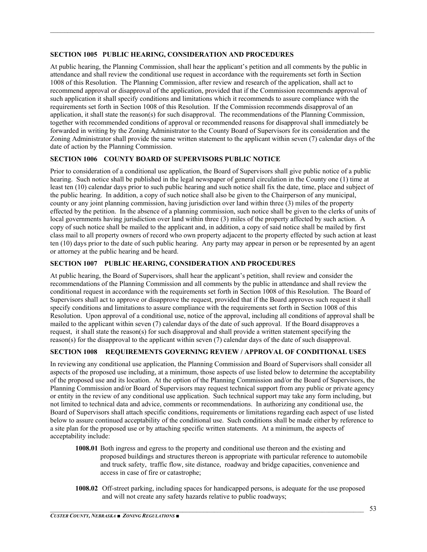#### **SECTION 1005 PUBLIC HEARING, CONSIDERATION AND PROCEDURES**

At public hearing, the Planning Commission, shall hear the applicant's petition and all comments by the public in attendance and shall review the conditional use request in accordance with the requirements set forth in Section 1008 of this Resolution. The Planning Commission, after review and research of the application, shall act to recommend approval or disapproval of the application, provided that if the Commission recommends approval of such application it shall specify conditions and limitations which it recommends to assure compliance with the requirements set forth in Section 1008 of this Resolution. If the Commission recommends disapproval of an application, it shall state the reason(s) for such disapproval. The recommendations of the Planning Commission, together with recommended conditions of approval or recommended reasons for disapproval shall immediately be forwarded in writing by the Zoning Administrator to the County Board of Supervisors for its consideration and the Zoning Administrator shall provide the same written statement to the applicant within seven (7) calendar days of the date of action by the Planning Commission.

 $\mathcal{L}_\mathcal{L} = \mathcal{L}_\mathcal{L} = \mathcal{L}_\mathcal{L} = \mathcal{L}_\mathcal{L} = \mathcal{L}_\mathcal{L} = \mathcal{L}_\mathcal{L} = \mathcal{L}_\mathcal{L} = \mathcal{L}_\mathcal{L} = \mathcal{L}_\mathcal{L} = \mathcal{L}_\mathcal{L} = \mathcal{L}_\mathcal{L} = \mathcal{L}_\mathcal{L} = \mathcal{L}_\mathcal{L} = \mathcal{L}_\mathcal{L} = \mathcal{L}_\mathcal{L} = \mathcal{L}_\mathcal{L} = \mathcal{L}_\mathcal{L}$ 

#### **SECTION 1006 COUNTY BOARD OF SUPERVISORS PUBLIC NOTICE**

Prior to consideration of a conditional use application, the Board of Supervisors shall give public notice of a public hearing. Such notice shall be published in the legal newspaper of general circulation in the County one (1) time at least ten (10) calendar days prior to such public hearing and such notice shall fix the date, time, place and subject of the public hearing. In addition, a copy of such notice shall also be given to the Chairperson of any municipal, county or any joint planning commission, having jurisdiction over land within three (3) miles of the property effected by the petition. In the absence of a planning commission, such notice shall be given to the clerks of units of local governments having jurisdiction over land within three (3) miles of the property affected by such action. A copy of such notice shall be mailed to the applicant and, in addition, a copy of said notice shall be mailed by first class mail to all property owners of record who own property adjacent to the property effected by such action at least ten (10) days prior to the date of such public hearing. Any party may appear in person or be represented by an agent or attorney at the public hearing and be heard.

#### **SECTION 1007 PUBLIC HEARING, CONSIDERATION AND PROCEDURES**

At public hearing, the Board of Supervisors, shall hear the applicant's petition, shall review and consider the recommendations of the Planning Commission and all comments by the public in attendance and shall review the conditional request in accordance with the requirements set forth in Section 1008 of this Resolution. The Board of Supervisors shall act to approve or disapprove the request, provided that if the Board approves such request it shall specify conditions and limitations to assure compliance with the requirements set forth in Section 1008 of this Resolution. Upon approval of a conditional use, notice of the approval, including all conditions of approval shall be mailed to the applicant within seven (7) calendar days of the date of such approval. If the Board disapproves a request, it shall state the reason(s) for such disapproval and shall provide a written statement specifying the reason(s) for the disapproval to the applicant within seven (7) calendar days of the date of such disapproval.

#### **SECTION 1008 REQUIREMENTS GOVERNING REVIEW / APPROVAL OF CONDITIONAL USES**

In reviewing any conditional use application, the Planning Commission and Board of Supervisors shall consider all aspects of the proposed use including, at a minimum, those aspects of use listed below to determine the acceptability of the proposed use and its location. At the option of the Planning Commission and/or the Board of Supervisors, the Planning Commission and/or Board of Supervisors may request technical support from any public or private agency or entity in the review of any conditional use application. Such technical support may take any form including, but not limited to technical data and advice, comments or recommendations. In authorizing any conditional use, the Board of Supervisors shall attach specific conditions, requirements or limitations regarding each aspect of use listed below to assure continued acceptability of the conditional use. Such conditions shall be made either by reference to a site plan for the proposed use or by attaching specific written statements. At a minimum, the aspects of acceptability include:

- **1008.01** Both ingress and egress to the property and conditional use thereon and the existing and proposed buildings and structures thereon is appropriate with particular reference to automobile and truck safety, traffic flow, site distance, roadway and bridge capacities, convenience and access in case of fire or catastrophe;
- **1008.02** Off-street parking, including spaces for handicapped persons, is adequate for the use proposed and will not create any safety hazards relative to public roadways;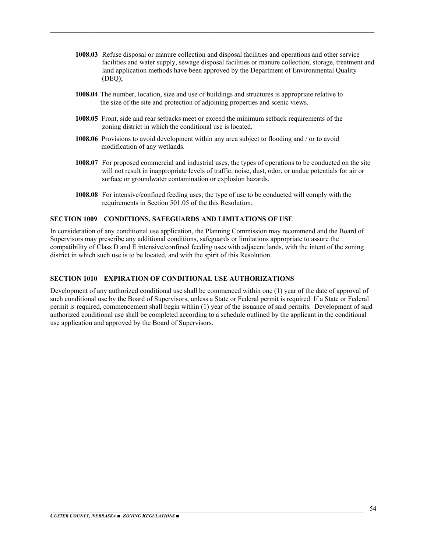- **1008.03** Refuse disposal or manure collection and disposal facilities and operations and other service facilities and water supply, sewage disposal facilities or manure collection, storage, treatment and land application methods have been approved by the Department of Environmental Quality  $(DEO)$ ;
- **1008.04** The number, location, size and use of buildings and structures is appropriate relative to the size of the site and protection of adjoining properties and scenic views.

 $\mathcal{L}_\mathcal{L} = \mathcal{L}_\mathcal{L} = \mathcal{L}_\mathcal{L} = \mathcal{L}_\mathcal{L} = \mathcal{L}_\mathcal{L} = \mathcal{L}_\mathcal{L} = \mathcal{L}_\mathcal{L} = \mathcal{L}_\mathcal{L} = \mathcal{L}_\mathcal{L} = \mathcal{L}_\mathcal{L} = \mathcal{L}_\mathcal{L} = \mathcal{L}_\mathcal{L} = \mathcal{L}_\mathcal{L} = \mathcal{L}_\mathcal{L} = \mathcal{L}_\mathcal{L} = \mathcal{L}_\mathcal{L} = \mathcal{L}_\mathcal{L}$ 

- **1008.05** Front, side and rear setbacks meet or exceed the minimum setback requirements of the zoning district in which the conditional use is located.
- **1008.06** Provisions to avoid development within any area subject to flooding and / or to avoid modification of any wetlands.
- **1008.07** For proposed commercial and industrial uses, the types of operations to be conducted on the site will not result in inappropriate levels of traffic, noise, dust, odor, or undue potentials for air or surface or groundwater contamination or explosion hazards.
- **1008.08** For intensive/confined feeding uses, the type of use to be conducted will comply with the requirements in Section 501.05 of the this Resolution.

#### **SECTION 1009 CONDITIONS, SAFEGUARDS AND LIMITATIONS OF USE**

In consideration of any conditional use application, the Planning Commission may recommend and the Board of Supervisors may prescribe any additional conditions, safeguards or limitations appropriate to assure the compatibility of Class D and E intensive/confined feeding uses with adjacent lands, with the intent of the zoning district in which such use is to be located, and with the spirit of this Resolution.

#### **SECTION 1010 EXPIRATION OF CONDITIONAL USE AUTHORIZATIONS**

Development of any authorized conditional use shall be commenced within one (1) year of the date of approval of such conditional use by the Board of Supervisors, unless a State or Federal permit is required If a State or Federal permit is required, commencement shall begin within (1) year of the issuance of said permits. Development of said authorized conditional use shall be completed according to a schedule outlined by the applicant in the conditional use application and approved by the Board of Supervisors.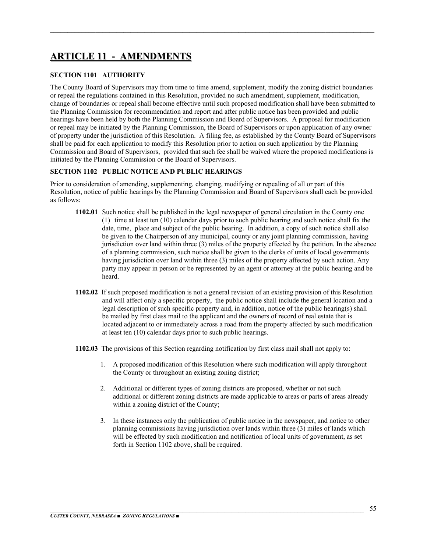## **ARTICLE 11 - AMENDMENTS**

#### **SECTION 1101 AUTHORITY**

The County Board of Supervisors may from time to time amend, supplement, modify the zoning district boundaries or repeal the regulations contained in this Resolution, provided no such amendment, supplement, modification, change of boundaries or repeal shall become effective until such proposed modification shall have been submitted to the Planning Commission for recommendation and report and after public notice has been provided and public hearings have been held by both the Planning Commission and Board of Supervisors. A proposal for modification or repeal may be initiated by the Planning Commission, the Board of Supervisors or upon application of any owner of property under the jurisdiction of this Resolution. A filing fee, as established by the County Board of Supervisors shall be paid for each application to modify this Resolution prior to action on such application by the Planning Commission and Board of Supervisors, provided that such fee shall be waived where the proposed modifications is initiated by the Planning Commission or the Board of Supervisors.

 $\mathcal{L}_\mathcal{L} = \mathcal{L}_\mathcal{L} = \mathcal{L}_\mathcal{L} = \mathcal{L}_\mathcal{L} = \mathcal{L}_\mathcal{L} = \mathcal{L}_\mathcal{L} = \mathcal{L}_\mathcal{L} = \mathcal{L}_\mathcal{L} = \mathcal{L}_\mathcal{L} = \mathcal{L}_\mathcal{L} = \mathcal{L}_\mathcal{L} = \mathcal{L}_\mathcal{L} = \mathcal{L}_\mathcal{L} = \mathcal{L}_\mathcal{L} = \mathcal{L}_\mathcal{L} = \mathcal{L}_\mathcal{L} = \mathcal{L}_\mathcal{L}$ 

#### **SECTION 1102 PUBLIC NOTICE AND PUBLIC HEARINGS**

Prior to consideration of amending, supplementing, changing, modifying or repealing of all or part of this Resolution, notice of public hearings by the Planning Commission and Board of Supervisors shall each be provided as follows:

- **1102.01** Such notice shall be published in the legal newspaper of general circulation in the County one (1) time at least ten (10) calendar days prior to such public hearing and such notice shall fix the date, time, place and subject of the public hearing. In addition, a copy of such notice shall also be given to the Chairperson of any municipal, county or any joint planning commission, having jurisdiction over land within three (3) miles of the property effected by the petition. In the absence of a planning commission, such notice shall be given to the clerks of units of local governments having jurisdiction over land within three (3) miles of the property affected by such action. Any party may appear in person or be represented by an agent or attorney at the public hearing and be heard.
- **1102.02** If such proposed modification is not a general revision of an existing provision of this Resolution and will affect only a specific property, the public notice shall include the general location and a legal description of such specific property and, in addition, notice of the public hearing(s) shall be mailed by first class mail to the applicant and the owners of record of real estate that is located adjacent to or immediately across a road from the property affected by such modification at least ten (10) calendar days prior to such public hearings.
- **1102.03** The provisions of this Section regarding notification by first class mail shall not apply to:
	- 1. A proposed modification of this Resolution where such modification will apply throughout the County or throughout an existing zoning district;
	- 2. Additional or different types of zoning districts are proposed, whether or not such additional or different zoning districts are made applicable to areas or parts of areas already within a zoning district of the County;
	- 3. In these instances only the publication of public notice in the newspaper, and notice to other planning commissions having jurisdiction over lands within three (3) miles of lands which will be effected by such modification and notification of local units of government, as set forth in Section 1102 above, shall be required.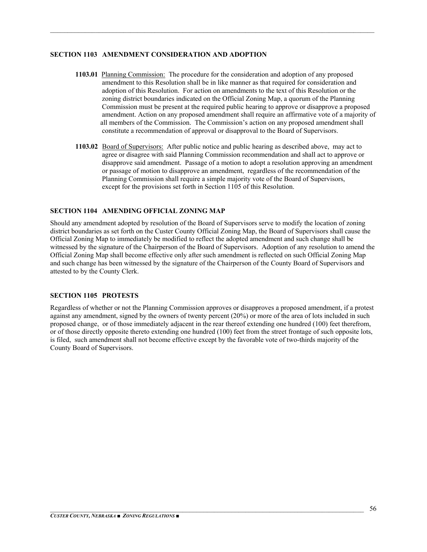#### **SECTION 1103 AMENDMENT CONSIDERATION AND ADOPTION**

**1103.01** Planning Commission: The procedure for the consideration and adoption of any proposed amendment to this Resolution shall be in like manner as that required for consideration and adoption of this Resolution. For action on amendments to the text of this Resolution or the zoning district boundaries indicated on the Official Zoning Map, a quorum of the Planning Commission must be present at the required public hearing to approve or disapprove a proposed amendment. Action on any proposed amendment shall require an affirmative vote of a majority of all members of the Commission. The Commission's action on any proposed amendment shall constitute a recommendation of approval or disapproval to the Board of Supervisors.

 $\mathcal{L}_\mathcal{L} = \mathcal{L}_\mathcal{L} = \mathcal{L}_\mathcal{L} = \mathcal{L}_\mathcal{L} = \mathcal{L}_\mathcal{L} = \mathcal{L}_\mathcal{L} = \mathcal{L}_\mathcal{L} = \mathcal{L}_\mathcal{L} = \mathcal{L}_\mathcal{L} = \mathcal{L}_\mathcal{L} = \mathcal{L}_\mathcal{L} = \mathcal{L}_\mathcal{L} = \mathcal{L}_\mathcal{L} = \mathcal{L}_\mathcal{L} = \mathcal{L}_\mathcal{L} = \mathcal{L}_\mathcal{L} = \mathcal{L}_\mathcal{L}$ 

**1103.02** Board of Supervisors: After public notice and public hearing as described above, may act to agree or disagree with said Planning Commission recommendation and shall act to approve or disapprove said amendment. Passage of a motion to adopt a resolution approving an amendment or passage of motion to disapprove an amendment, regardless of the recommendation of the Planning Commission shall require a simple majority vote of the Board of Supervisors, except for the provisions set forth in Section 1105 of this Resolution.

#### **SECTION 1104 AMENDING OFFICIAL ZONING MAP**

Should any amendment adopted by resolution of the Board of Supervisors serve to modify the location of zoning district boundaries as set forth on the Custer County Official Zoning Map, the Board of Supervisors shall cause the Official Zoning Map to immediately be modified to reflect the adopted amendment and such change shall be witnessed by the signature of the Chairperson of the Board of Supervisors. Adoption of any resolution to amend the Official Zoning Map shall become effective only after such amendment is reflected on such Official Zoning Map and such change has been witnessed by the signature of the Chairperson of the County Board of Supervisors and attested to by the County Clerk.

#### **SECTION 1105 PROTESTS**

Regardless of whether or not the Planning Commission approves or disapproves a proposed amendment, if a protest against any amendment, signed by the owners of twenty percent (20%) or more of the area of lots included in such proposed change, or of those immediately adjacent in the rear thereof extending one hundred (100) feet therefrom, or of those directly opposite thereto extending one hundred (100) feet from the street frontage of such opposite lots, is filed, such amendment shall not become effective except by the favorable vote of two-thirds majority of the County Board of Supervisors.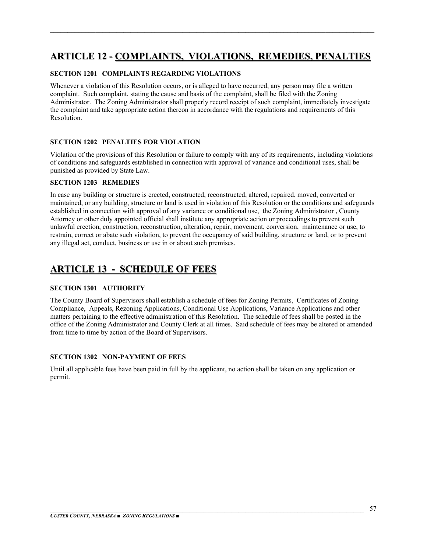## **ARTICLE 12 - COMPLAINTS, VIOLATIONS, REMEDIES, PENALTIES**

 $\mathcal{L}_\mathcal{L} = \mathcal{L}_\mathcal{L} = \mathcal{L}_\mathcal{L} = \mathcal{L}_\mathcal{L} = \mathcal{L}_\mathcal{L} = \mathcal{L}_\mathcal{L} = \mathcal{L}_\mathcal{L} = \mathcal{L}_\mathcal{L} = \mathcal{L}_\mathcal{L} = \mathcal{L}_\mathcal{L} = \mathcal{L}_\mathcal{L} = \mathcal{L}_\mathcal{L} = \mathcal{L}_\mathcal{L} = \mathcal{L}_\mathcal{L} = \mathcal{L}_\mathcal{L} = \mathcal{L}_\mathcal{L} = \mathcal{L}_\mathcal{L}$ 

#### **SECTION 1201 COMPLAINTS REGARDING VIOLATIONS**

Whenever a violation of this Resolution occurs, or is alleged to have occurred, any person may file a written complaint. Such complaint, stating the cause and basis of the complaint, shall be filed with the Zoning Administrator. The Zoning Administrator shall properly record receipt of such complaint, immediately investigate the complaint and take appropriate action thereon in accordance with the regulations and requirements of this Resolution.

#### **SECTION 1202 PENALTIES FOR VIOLATION**

Violation of the provisions of this Resolution or failure to comply with any of its requirements, including violations of conditions and safeguards established in connection with approval of variance and conditional uses, shall be punished as provided by State Law.

#### **SECTION 1203 REMEDIES**

In case any building or structure is erected, constructed, reconstructed, altered, repaired, moved, converted or maintained, or any building, structure or land is used in violation of this Resolution or the conditions and safeguards established in connection with approval of any variance or conditional use, the Zoning Administrator , County Attorney or other duly appointed official shall institute any appropriate action or proceedings to prevent such unlawful erection, construction, reconstruction, alteration, repair, movement, conversion, maintenance or use, to restrain, correct or abate such violation, to prevent the occupancy of said building, structure or land, or to prevent any illegal act, conduct, business or use in or about such premises.

## **ARTICLE 13 - SCHEDULE OF FEES**

#### **SECTION 1301 AUTHORITY**

The County Board of Supervisors shall establish a schedule of fees for Zoning Permits, Certificates of Zoning Compliance, Appeals, Rezoning Applications, Conditional Use Applications, Variance Applications and other matters pertaining to the effective administration of this Resolution. The schedule of fees shall be posted in the office of the Zoning Administrator and County Clerk at all times. Said schedule of fees may be altered or amended from time to time by action of the Board of Supervisors.

#### **SECTION 1302 NON-PAYMENT OF FEES**

Until all applicable fees have been paid in full by the applicant, no action shall be taken on any application or permit.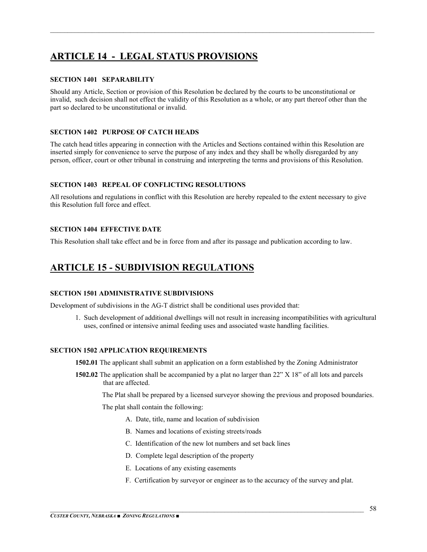## **ARTICLE 14 - LEGAL STATUS PROVISIONS**

#### **SECTION 1401 SEPARABILITY**

Should any Article, Section or provision of this Resolution be declared by the courts to be unconstitutional or invalid, such decision shall not effect the validity of this Resolution as a whole, or any part thereof other than the part so declared to be unconstitutional or invalid.

 $\mathcal{L}_\mathcal{L} = \mathcal{L}_\mathcal{L} = \mathcal{L}_\mathcal{L} = \mathcal{L}_\mathcal{L} = \mathcal{L}_\mathcal{L} = \mathcal{L}_\mathcal{L} = \mathcal{L}_\mathcal{L} = \mathcal{L}_\mathcal{L} = \mathcal{L}_\mathcal{L} = \mathcal{L}_\mathcal{L} = \mathcal{L}_\mathcal{L} = \mathcal{L}_\mathcal{L} = \mathcal{L}_\mathcal{L} = \mathcal{L}_\mathcal{L} = \mathcal{L}_\mathcal{L} = \mathcal{L}_\mathcal{L} = \mathcal{L}_\mathcal{L}$ 

#### **SECTION 1402 PURPOSE OF CATCH HEADS**

The catch head titles appearing in connection with the Articles and Sections contained within this Resolution are inserted simply for convenience to serve the purpose of any index and they shall be wholly disregarded by any person, officer, court or other tribunal in construing and interpreting the terms and provisions of this Resolution.

#### **SECTION 1403 REPEAL OF CONFLICTING RESOLUTIONS**

All resolutions and regulations in conflict with this Resolution are hereby repealed to the extent necessary to give this Resolution full force and effect.

#### **SECTION 1404 EFFECTIVE DATE**

This Resolution shall take effect and be in force from and after its passage and publication according to law.

## **ARTICLE 15 - SUBDIVISION REGULATIONS**

#### **SECTION 1501 ADMINISTRATIVE SUBDIVISIONS**

Development of subdivisions in the AG-T district shall be conditional uses provided that:

 1. Such development of additional dwellings will not result in increasing incompatibilities with agricultural uses, confined or intensive animal feeding uses and associated waste handling facilities.

#### **SECTION 1502 APPLICATION REQUIREMENTS**

**1502.01** The applicant shall submit an application on a form established by the Zoning Administrator

**1502.02** The application shall be accompanied by a plat no larger than 22" X 18" of all lots and parcels that are affected.

The Plat shall be prepared by a licensed surveyor showing the previous and proposed boundaries.

The plat shall contain the following:

- A. Date, title, name and location of subdivision
- B. Names and locations of existing streets/roads
- C. Identification of the new lot numbers and set back lines
- D. Complete legal description of the property
- E. Locations of any existing easements
- F. Certification by surveyor or engineer as to the accuracy of the survey and plat.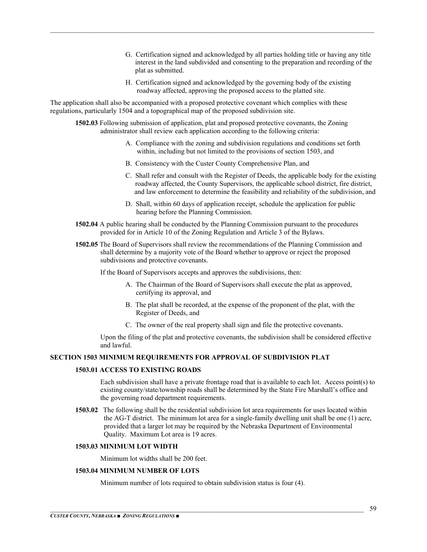- G. Certification signed and acknowledged by all parties holding title or having any title interest in the land subdivided and consenting to the preparation and recording of the plat as submitted.
- H. Certification signed and acknowledged by the governing body of the existing roadway affected, approving the proposed access to the platted site.

The application shall also be accompanied with a proposed protective covenant which complies with these regulations, particularly 1504 and a topographical map of the proposed subdivision site.

**1502.03** Following submission of application, plat and proposed protective covenants, the Zoning administrator shall review each application according to the following criteria:

 $\mathcal{L}_\mathcal{L} = \mathcal{L}_\mathcal{L} = \mathcal{L}_\mathcal{L} = \mathcal{L}_\mathcal{L} = \mathcal{L}_\mathcal{L} = \mathcal{L}_\mathcal{L} = \mathcal{L}_\mathcal{L} = \mathcal{L}_\mathcal{L} = \mathcal{L}_\mathcal{L} = \mathcal{L}_\mathcal{L} = \mathcal{L}_\mathcal{L} = \mathcal{L}_\mathcal{L} = \mathcal{L}_\mathcal{L} = \mathcal{L}_\mathcal{L} = \mathcal{L}_\mathcal{L} = \mathcal{L}_\mathcal{L} = \mathcal{L}_\mathcal{L}$ 

- A. Compliance with the zoning and subdivision regulations and conditions set forth within, including but not limited to the provisions of section 1503, and
- B. Consistency with the Custer County Comprehensive Plan, and
- C. Shall refer and consult with the Register of Deeds, the applicable body for the existing roadway affected, the County Supervisors, the applicable school district, fire district, and law enforcement to determine the feasibility and reliability of the subdivision, and
- D. Shall, within 60 days of application receipt, schedule the application for public hearing before the Planning Commission.
- **1502.04** A public hearing shall be conducted by the Planning Commission pursuant to the procedures provided for in Article 10 of the Zoning Regulation and Article 3 of the Bylaws.
- **1502.05** The Board of Supervisors shall review the recommendations of the Planning Commission and shall determine by a majority vote of the Board whether to approve or reject the proposed subdivisions and protective covenants.

If the Board of Supervisors accepts and approves the subdivisions, then:

- A. The Chairman of the Board of Supervisors shall execute the plat as approved, certifying its approval, and
- B. The plat shall be recorded, at the expense of the proponent of the plat, with the Register of Deeds, and
- C. The owner of the real property shall sign and file the protective covenants.

 Upon the filing of the plat and protective covenants, the subdivision shall be considered effective and lawful.

#### **SECTION 1503 MINIMUM REQUIREMENTS FOR APPROVAL OF SUBDIVISION PLAT**

#### **1503.01 ACCESS TO EXISTING ROADS**

Each subdivision shall have a private frontage road that is available to each lot. Access point(s) to existing county/state/township roads shall be determined by the State Fire Marshall's office and the governing road department requirements.

**1503.02** The following shall be the residential subdivision lot area requirements for uses located within the AG-T district. The minimum lot area for a single-family dwelling unit shall be one (1) acre, provided that a larger lot may be required by the Nebraska Department of Environmental Quality. Maximum Lot area is 19 acres.

#### **1503.03 MINIMUM LOT WIDTH**

Minimum lot widths shall be 200 feet.

#### **1503.04 MINIMUM NUMBER OF LOTS**

Minimum number of lots required to obtain subdivision status is four (4).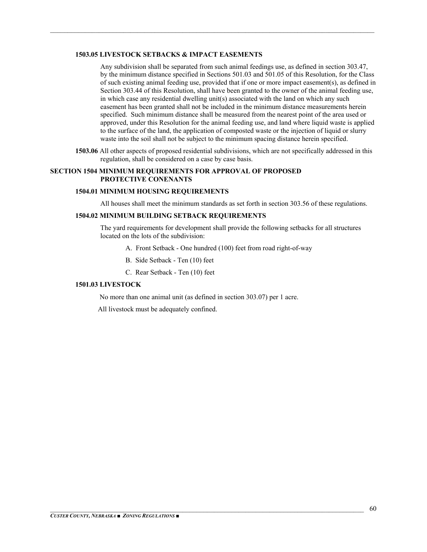#### **1503.05 LIVESTOCK SETBACKS & IMPACT EASEMENTS**

Any subdivision shall be separated from such animal feedings use, as defined in section 303.47, by the minimum distance specified in Sections 501.03 and 501.05 of this Resolution, for the Class of such existing animal feeding use, provided that if one or more impact easement(s), as defined in Section 303.44 of this Resolution, shall have been granted to the owner of the animal feeding use, in which case any residential dwelling unit(s) associated with the land on which any such easement has been granted shall not be included in the minimum distance measurements herein specified. Such minimum distance shall be measured from the nearest point of the area used or approved, under this Resolution for the animal feeding use, and land where liquid waste is applied to the surface of the land, the application of composted waste or the injection of liquid or slurry waste into the soil shall not be subject to the minimum spacing distance herein specified.

**1503.06** All other aspects of proposed residential subdivisions, which are not specifically addressed in this regulation, shall be considered on a case by case basis.

 $\mathcal{L}_\mathcal{L} = \mathcal{L}_\mathcal{L} = \mathcal{L}_\mathcal{L} = \mathcal{L}_\mathcal{L} = \mathcal{L}_\mathcal{L} = \mathcal{L}_\mathcal{L} = \mathcal{L}_\mathcal{L} = \mathcal{L}_\mathcal{L} = \mathcal{L}_\mathcal{L} = \mathcal{L}_\mathcal{L} = \mathcal{L}_\mathcal{L} = \mathcal{L}_\mathcal{L} = \mathcal{L}_\mathcal{L} = \mathcal{L}_\mathcal{L} = \mathcal{L}_\mathcal{L} = \mathcal{L}_\mathcal{L} = \mathcal{L}_\mathcal{L}$ 

#### **SECTION 1504 MINIMUM REQUIREMENTS FOR APPROVAL OF PROPOSED PROTECTIVE CONENANTS**

#### **1504.01 MINIMUM HOUSING REQUIREMENTS**

All houses shall meet the minimum standards as set forth in section 303.56 of these regulations.

#### **1504.02 MINIMUM BUILDING SETBACK REQUIREMENTS**

The yard requirements for development shall provide the following setbacks for all structures located on the lots of the subdivision:

- A. Front Setback One hundred (100) feet from road right-of-way
- B. Side Setback Ten (10) feet
- C. Rear Setback Ten (10) feet

#### **1501.03 LIVESTOCK**

No more than one animal unit (as defined in section 303.07) per 1 acre.

All livestock must be adequately confined.